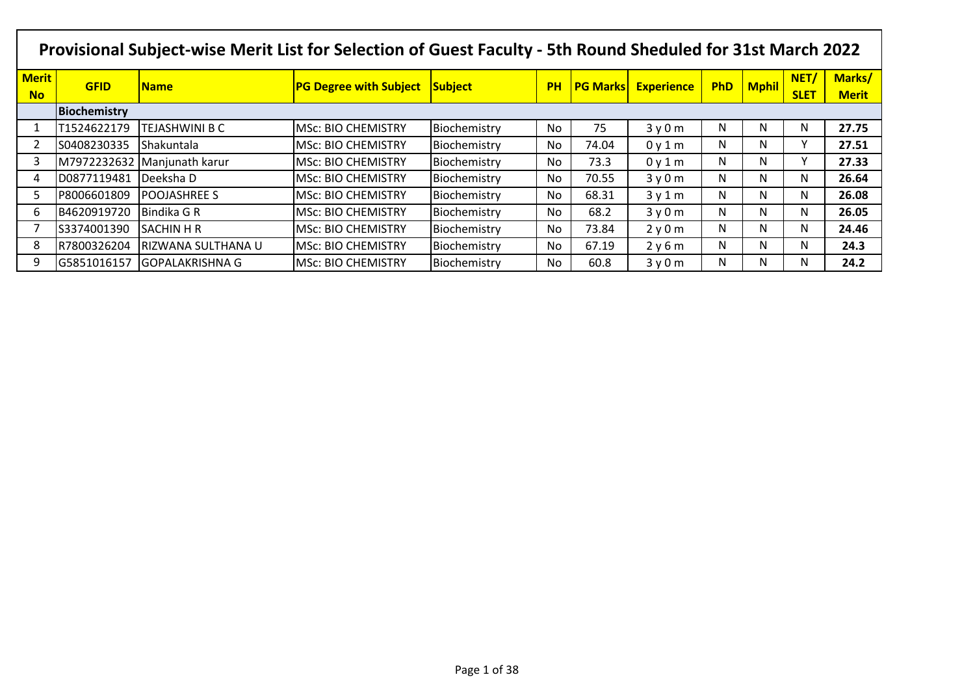|                           | Provisional Subject-wise Merit List for Selection of Guest Faculty - 5th Round Sheduled for 31st March 2022 |                        |                               |              |           |       |                            |            |              |                     |                        |  |  |
|---------------------------|-------------------------------------------------------------------------------------------------------------|------------------------|-------------------------------|--------------|-----------|-------|----------------------------|------------|--------------|---------------------|------------------------|--|--|
| <b>Merit</b><br><b>No</b> | <b>GFID</b>                                                                                                 | <b>Name</b>            | <b>PG Degree with Subject</b> | Subject      | <b>PH</b> |       | <b>PG Marks Experience</b> | <b>PhD</b> | <b>Mphil</b> | NET/<br><b>SLET</b> | Marks/<br><b>Merit</b> |  |  |
|                           | Biochemistry                                                                                                |                        |                               |              |           |       |                            |            |              |                     |                        |  |  |
|                           | T1524622179                                                                                                 | TEJASHWINI B C         | MSc: BIO CHEMISTRY            | Biochemistry | No        | 75    | 3y0m                       | N          | N            | N                   | 27.75                  |  |  |
|                           | S0408230335                                                                                                 | Shakuntala             | <b>MSc: BIO CHEMISTRY</b>     | Biochemistry | No        | 74.04 | 0y1m                       | N          | N            | ٧                   | 27.51                  |  |  |
| 3                         | M7972232632                                                                                                 | Manjunath karur        | <b>MSc: BIO CHEMISTRY</b>     | Biochemistry | No.       | 73.3  | 0y1m                       | N          | N            | v                   | 27.33                  |  |  |
| 4                         | D0877119481                                                                                                 | Deeksha D              | <b>MSc: BIO CHEMISTRY</b>     | Biochemistry | No        | 70.55 | 3y0m                       | N          | N            | N                   | 26.64                  |  |  |
| 5                         | P8006601809                                                                                                 | <b>POOJASHREE S</b>    | <b>MSc: BIO CHEMISTRY</b>     | Biochemistry | No        | 68.31 | 3y1m                       | N          | N            | N                   | 26.08                  |  |  |
| 6                         | B4620919720                                                                                                 | Bindika G R            | <b>MSc: BIO CHEMISTRY</b>     | Biochemistry | No.       | 68.2  | 3y0m                       | N          | N            | N                   | 26.05                  |  |  |
|                           | S3374001390                                                                                                 | <b>SACHIN H R</b>      | <b>IMSc: BIO CHEMISTRY</b>    | Biochemistry | No        | 73.84 | 2y0m                       | N          | N            | N                   | 24.46                  |  |  |
| 8                         | R7800326204                                                                                                 | RIZWANA SULTHANA U     | <b>MSc: BIO CHEMISTRY</b>     | Biochemistry | No.       | 67.19 | 2y6m                       | N          | N            | N                   | 24.3                   |  |  |
| 9                         | G5851016157                                                                                                 | <b>GOPALAKRISHNA G</b> | <b>MSc: BIO CHEMISTRY</b>     | Biochemistry | No        | 60.8  | 3y0m                       | N          | N            | N                   | 24.2                   |  |  |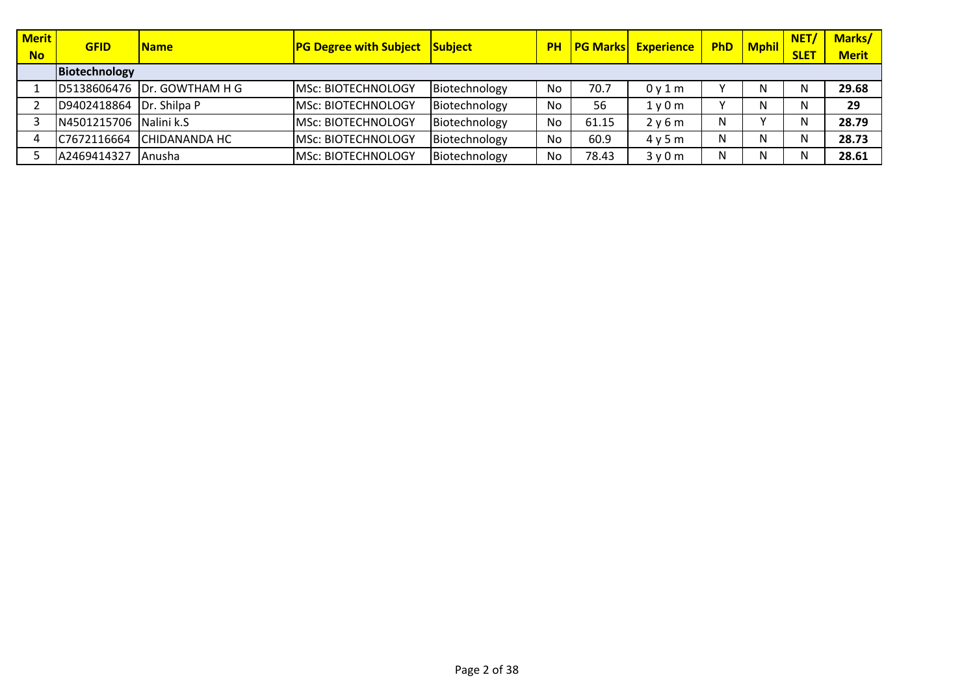| <b>Merit</b> | <b>GFID</b>            | <b>Name</b>                   | <b>PG Degree with Subject Subject</b> |               | <b>PH</b> |       | <b>PG Marks Experience</b>    | <b>PhD</b> | <b>Mphil</b> | NET/        | Marks/       |
|--------------|------------------------|-------------------------------|---------------------------------------|---------------|-----------|-------|-------------------------------|------------|--------------|-------------|--------------|
| <b>No</b>    | Biotechnology          |                               |                                       |               |           |       |                               |            |              | <b>SLET</b> | <b>Merit</b> |
|              |                        | ID5138606476 IDr. GOWTHAM H G | <b>MSC: BIOTECHNOLOGY</b>             | Biotechnology | No        | 70.7  | 0y1m                          |            | N            | N           | 29.68        |
|              | D9402418864            | Dr. Shilpa P                  | <b>MSC: BIOTECHNOLOGY</b>             | Biotechnology | No        | 56    | 1 <sub>V</sub> 0 <sub>m</sub> |            |              | N           | 29           |
|              | N4501215706 Nalini k.S |                               | <b>MSc: BIOTECHNOLOGY</b>             | Biotechnology | No        | 61.15 | 2y6m                          | N          |              | N           | 28.79        |
|              | C7672116664            | ICHIDANANDA HC                | <b>MSC: BIOTECHNOLOGY</b>             | Biotechnology | No        | 60.9  | 4v5m                          | N          | N            | N           | 28.73        |
|              | A2469414327            | l Anusha                      | <b>MSc: BIOTECHNOLOGY</b>             | Biotechnology | No        | 78.43 | 3v0m                          | N          |              | N           | 28.61        |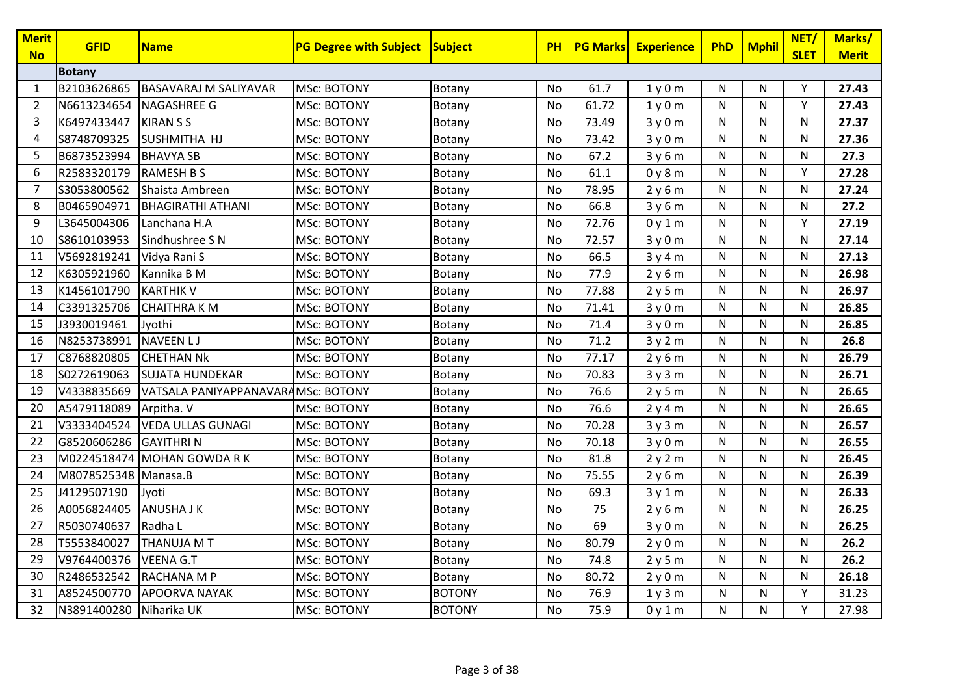| <b>Merit</b><br><b>No</b> | <b>GFID</b>   | <b>Name</b>                        | <b>PG Degree with Subject</b> | Subject       | <b>PH</b> | <b>PG Marksl</b> | <b>Experience</b> | PhD          | <b>Mphil</b> | NET/<br><b>SLET</b> | Marks/<br><b>Merit</b> |
|---------------------------|---------------|------------------------------------|-------------------------------|---------------|-----------|------------------|-------------------|--------------|--------------|---------------------|------------------------|
|                           | <b>Botany</b> |                                    |                               |               |           |                  |                   |              |              |                     |                        |
| 1                         | B2103626865   | <b>BASAVARAJ M SALIYAVAR</b>       | <b>MSc: BOTONY</b>            | Botany        | No        | 61.7             | 1y0m              | N            | N            | Y                   | 27.43                  |
| $\overline{2}$            | N6613234654   | <b>NAGASHREE G</b>                 | <b>MSc: BOTONY</b>            | Botany        | No        | 61.72            | 1y0m              | N            | N            | Y                   | 27.43                  |
| 3                         | K6497433447   | <b>KIRANSS</b>                     | <b>MSc: BOTONY</b>            | Botany        | No        | 73.49            | 3y0m              | N            | N            | N                   | 27.37                  |
| $\overline{4}$            | S8748709325   | SUSHMITHA HJ                       | <b>MSc: BOTONY</b>            | Botany        | No        | 73.42            | 3y0m              | N            | N            | $\mathsf{N}$        | 27.36                  |
| 5                         | B6873523994   | <b>BHAVYA SB</b>                   | MSc: BOTONY                   | Botany        | No        | 67.2             | 3y6m              | N            | N            | N                   | 27.3                   |
| 6                         | R2583320179   | <b>RAMESH B S</b>                  | MSc: BOTONY                   | Botany        | No        | 61.1             | 0y8m              | N            | N            | Υ                   | 27.28                  |
| 7                         | S3053800562   | Shaista Ambreen                    | MSc: BOTONY                   | Botany        | No        | 78.95            | 2y6m              | N            | $\mathsf{N}$ | N                   | 27.24                  |
| 8                         | B0465904971   | <b>BHAGIRATHI ATHANI</b>           | MSc: BOTONY                   | Botany        | No        | 66.8             | 3y6m              | N            | N            | N                   | 27.2                   |
| 9                         | L3645004306   | Lanchana H.A                       | <b>MSc: BOTONY</b>            | Botany        | No        | 72.76            | 0y1m              | N            | $\mathsf{N}$ | Y                   | 27.19                  |
| 10                        | S8610103953   | Sindhushree S N                    | <b>MSc: BOTONY</b>            | Botany        | No        | 72.57            | 3y0m              | $\mathsf{N}$ | N            | $\mathsf{N}$        | 27.14                  |
| 11                        | V5692819241   | Vidya Rani S                       | <b>MSc: BOTONY</b>            | Botany        | No        | 66.5             | 3y4m              | N            | N            | N                   | 27.13                  |
| 12                        | K6305921960   | Kannika B M                        | <b>MSc: BOTONY</b>            | Botany        | No        | 77.9             | 2y6m              | N            | N            | $\mathsf{N}$        | 26.98                  |
| 13                        | K1456101790   | <b>KARTHIK V</b>                   | MSc: BOTONY                   | Botany        | No        | 77.88            | 2y5m              | $\mathsf{N}$ | $\mathsf{N}$ | N                   | 26.97                  |
| 14                        | C3391325706   | <b>CHAITHRAKM</b>                  | <b>MSc: BOTONY</b>            | Botany        | No        | 71.41            | 3y0m              | N            | N            | $\mathsf{N}$        | 26.85                  |
| 15                        | J3930019461   | Jyothi                             | MSc: BOTONY                   | Botany        | No        | 71.4             | 3y0m              | N            | N            | N                   | 26.85                  |
| 16                        | N8253738991   | <b>NAVEENLJ</b>                    | <b>MSc: BOTONY</b>            | Botany        | No        | 71.2             | 3y2m              | $\mathsf{N}$ | $\mathsf{N}$ | $\mathsf{N}$        | 26.8                   |
| 17                        | C8768820805   | <b>CHETHAN Nk</b>                  | <b>MSc: BOTONY</b>            | Botany        | No        | 77.17            | 2y6m              | N            | N            | ${\sf N}$           | 26.79                  |
| 18                        | S0272619063   | <b>SUJATA HUNDEKAR</b>             | <b>MSc: BOTONY</b>            | Botany        | No        | 70.83            | 3y3m              | $\mathsf{N}$ | N            | ${\sf N}$           | 26.71                  |
| 19                        | V4338835669   | VATSALA PANIYAPPANAVARAMSC: BOTONY |                               | Botany        | No        | 76.6             | 2y5m              | N            | N            | N                   | 26.65                  |
| 20                        | A5479118089   | Arpitha. V                         | <b>MSc: BOTONY</b>            | Botany        | No        | 76.6             | 2y4m              | $\mathsf{N}$ | N            | N                   | 26.65                  |
| 21                        | V3333404524   | <b>VEDA ULLAS GUNAGI</b>           | MSc: BOTONY                   | Botany        | No        | 70.28            | 3y3m              | ${\sf N}$    | $\mathsf{N}$ | ${\sf N}$           | 26.57                  |
| 22                        | G8520606286   | <b>GAYITHRIN</b>                   | <b>MSc: BOTONY</b>            | Botany        | No        | 70.18            | 3y0m              | N            | N            | N                   | 26.55                  |
| 23                        | M0224518474   | <b>MOHAN GOWDA RK</b>              | <b>MSc: BOTONY</b>            | Botany        | No        | 81.8             | 2y2m              | N            | $\mathsf{N}$ | N                   | 26.45                  |
| 24                        | M8078525348   | Manasa.B                           | <b>MSc: BOTONY</b>            | Botany        | No        | 75.55            | 2y6m              | N            | $\mathsf{N}$ | ${\sf N}$           | 26.39                  |
| 25                        | J4129507190   | Jyoti                              | <b>MSc: BOTONY</b>            | Botany        | No        | 69.3             | 3y1m              | N            | $\mathsf{N}$ | N                   | 26.33                  |
| 26                        | A0056824405   | <b>ANUSHA J K</b>                  | <b>MSc: BOTONY</b>            | Botany        | No        | 75               | 2y6m              | N            | N            | $\mathsf{N}$        | 26.25                  |
| 27                        | R5030740637   | Radha L                            | MSc: BOTONY                   | Botany        | No        | 69               | 3y0m              | N            | N            | ${\sf N}$           | 26.25                  |
| 28                        | T5553840027   | <b>THANUJA M T</b>                 | MSc: BOTONY                   | Botany        | No        | 80.79            | 2y0m              | N            | $\mathsf{N}$ | N                   | 26.2                   |
| 29                        | V9764400376   | <b>VEENA G.T</b>                   | MSc: BOTONY                   | Botany        | No        | 74.8             | 2y5m              | N            | N            | ${\sf N}$           | 26.2                   |
| 30                        | R2486532542   | RACHANA M P                        | <b>MSc: BOTONY</b>            | Botany        | No        | 80.72            | 2y0m              | N            | N            | ${\sf N}$           | 26.18                  |
| 31                        | A8524500770   | <b>APOORVA NAYAK</b>               | <b>MSc: BOTONY</b>            | <b>BOTONY</b> | No        | 76.9             | 1y3m              | N            | $\mathsf{N}$ | Y                   | 31.23                  |
| 32                        | N3891400280   | Niharika UK                        | <b>MSc: BOTONY</b>            | <b>BOTONY</b> | No        | 75.9             | 0y1m              | N            | $\mathsf{N}$ | Y                   | 27.98                  |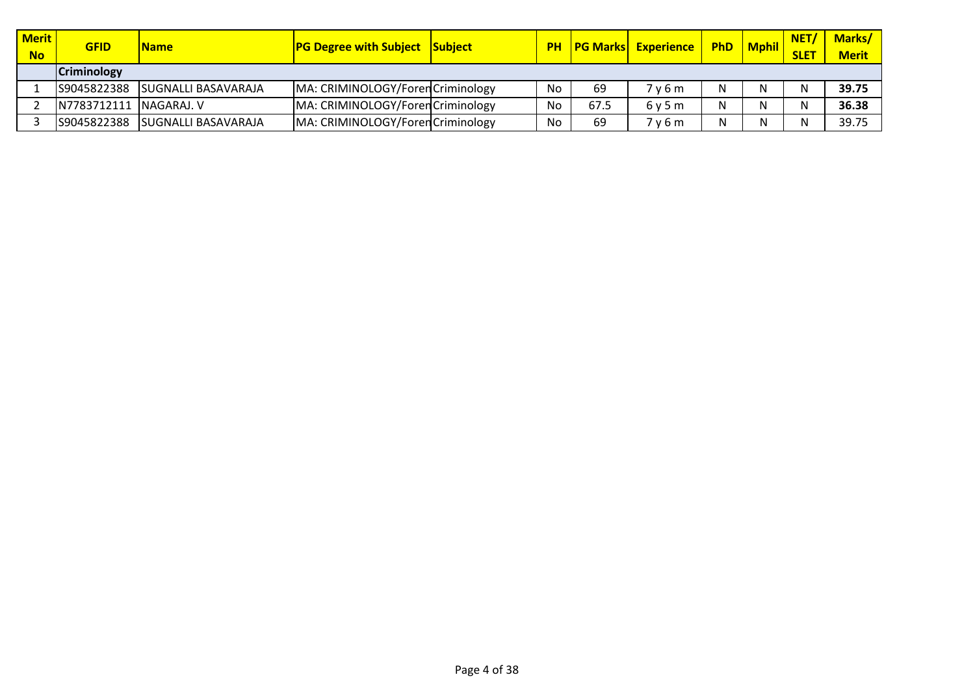| <b>Merit</b><br><b>No</b> | <b>GFID</b>            | <b>Name</b>                 | <b>PG Degree with Subject Subject</b> |    |      | <b>PH   PG Marks   Experience</b> | PhD | <b>Mphil</b> | <b>NET</b><br><b>SLET</b> | <b>Marks/</b><br><b>Merit</b> |
|---------------------------|------------------------|-----------------------------|---------------------------------------|----|------|-----------------------------------|-----|--------------|---------------------------|-------------------------------|
|                           | <b>Criminology</b>     |                             |                                       |    |      |                                   |     |              |                           |                               |
|                           | S9045822388            | ISUGNALLI BASAVARAJA        | MA: CRIMINOLOGY/Foren Criminology     | No | 69   | 7 v 6 m                           | N.  |              | N                         | 39.75                         |
|                           | N7783712111 NAGARAJ. V |                             | MA: CRIMINOLOGY/Foren Criminology     | No | 67.5 | 6v5m                              |     |              | N                         | 36.38                         |
|                           | S9045822388            | <b>ISUGNALLI BASAVARAJA</b> | MA: CRIMINOLOGY/Foren Criminology     | No | 69   | 7 v 6 m                           |     | N            | N                         | 39.75                         |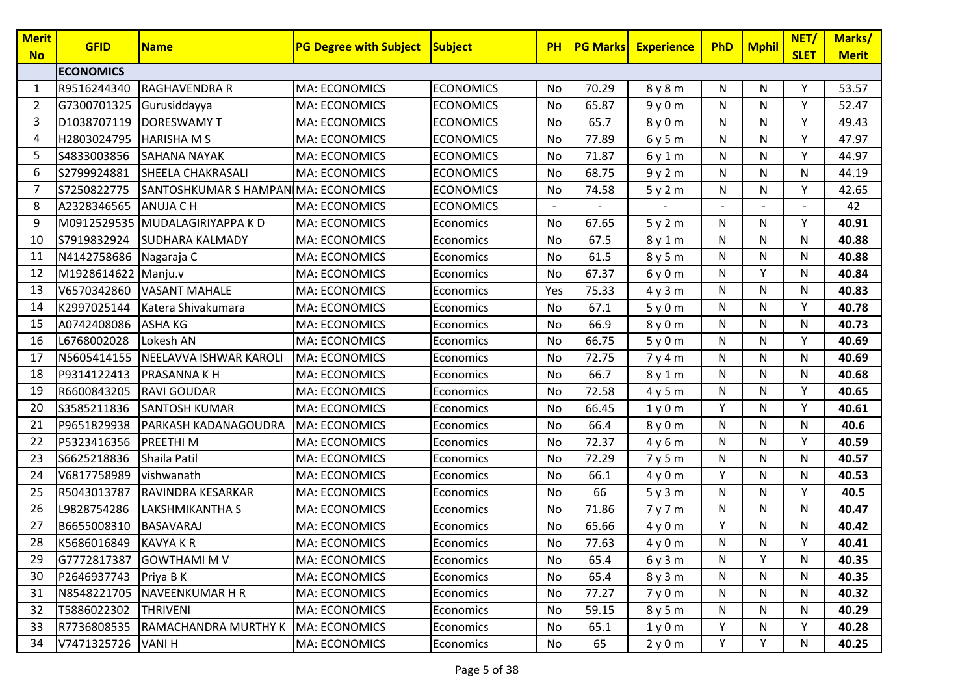| <b>Merit</b><br><b>No</b> | <b>GFID</b>            | <b>Name</b>                         | <b>PG Degree with Subject Subject</b> |                  | <b>PH</b> | <b>PG Marks</b> | <b>Experience</b> | PhD | <b>Mphil</b> | NET/<br><b>SLET</b> | Marks/<br><b>Merit</b> |
|---------------------------|------------------------|-------------------------------------|---------------------------------------|------------------|-----------|-----------------|-------------------|-----|--------------|---------------------|------------------------|
|                           | <b>ECONOMICS</b>       |                                     |                                       |                  |           |                 |                   |     |              |                     |                        |
| 1                         | R9516244340            | <b>RAGHAVENDRA R</b>                | MA: ECONOMICS                         | <b>ECONOMICS</b> | No        | 70.29           | 8y8m              | N   | N            | Y                   | 53.57                  |
| 2                         | G7300701325            | Gurusiddayya                        | MA: ECONOMICS                         | <b>ECONOMICS</b> | No        | 65.87           | 9y0m              | N   | N            | Y                   | 52.47                  |
| 3                         | D1038707119            | <b>DORESWAMY T</b>                  | MA: ECONOMICS                         | <b>ECONOMICS</b> | No        | 65.7            | 8y0m              | N   | $\mathsf{N}$ | Y                   | 49.43                  |
| 4                         | H2803024795            | <b>HARISHA M S</b>                  | MA: ECONOMICS                         | <b>ECONOMICS</b> | No        | 77.89           | 6y5m              | N   | N            | Υ                   | 47.97                  |
| 5                         | S4833003856            | <b>SAHANA NAYAK</b>                 | MA: ECONOMICS                         | <b>ECONOMICS</b> | No        | 71.87           | 6y1m              | N   | N            | Y                   | 44.97                  |
| 6                         | S2799924881            | <b>SHEELA CHAKRASALI</b>            | <b>MA: ECONOMICS</b>                  | <b>ECONOMICS</b> | No        | 68.75           | 9y2m              | N   | N            | N                   | 44.19                  |
| 7                         | S7250822775            | SANTOSHKUMAR S HAMPAN MA: ECONOMICS |                                       | <b>ECONOMICS</b> | No        | 74.58           | 5y2m              | N   | N            | Υ                   | 42.65                  |
| 8                         | A2328346565            | <b>ANUJA C H</b>                    | MA: ECONOMICS                         | <b>ECONOMICS</b> |           |                 |                   |     |              |                     | 42                     |
| 9                         |                        | M0912529535 MUDALAGIRIYAPPA KD      | MA: ECONOMICS                         | Economics        | No        | 67.65           | 5y2m              | N   | ${\sf N}$    | Y                   | 40.91                  |
| 10                        | S7919832924            | <b>SUDHARA KALMADY</b>              | MA: ECONOMICS                         | Economics        | No        | 67.5            | 8y1m              | N   | ${\sf N}$    | N                   | 40.88                  |
| 11                        | N4142758686 Nagaraja C |                                     | MA: ECONOMICS                         | Economics        | No        | 61.5            | 8y5m              | N   | N            | N                   | 40.88                  |
| 12                        | M1928614622            | Manju.v                             | <b>MA: ECONOMICS</b>                  | Economics        | No        | 67.37           | 6y0m              | N   | Y            | N                   | 40.84                  |
| 13                        | V6570342860            | <b>VASANT MAHALE</b>                | MA: ECONOMICS                         | Economics        | Yes       | 75.33           | 4y3m              | N   | $\mathsf{N}$ | N                   | 40.83                  |
| 14                        | K2997025144            | Katera Shivakumara                  | MA: ECONOMICS                         | Economics        | No        | 67.1            | 5y0m              | N   | N            | Y                   | 40.78                  |
| 15                        | A0742408086            | <b>ASHA KG</b>                      | MA: ECONOMICS                         | Economics        | No        | 66.9            | 8y0m              | N   | $\mathsf{N}$ | N                   | 40.73                  |
| 16                        | L6768002028            | Lokesh AN                           | MA: ECONOMICS                         | Economics        | No        | 66.75           | 5y0m              | N   | N            | Y                   | 40.69                  |
| 17                        | N5605414155            | NEELAVVA ISHWAR KAROLI              | MA: ECONOMICS                         | Economics        | No        | 72.75           | 7y4m              | N   | N            | N                   | 40.69                  |
| 18                        | P9314122413            | <b>PRASANNAKH</b>                   | <b>MA: ECONOMICS</b>                  | Economics        | No        | 66.7            | 8y1m              | N   | N            | N                   | 40.68                  |
| 19                        | R6600843205            | <b>RAVI GOUDAR</b>                  | MA: ECONOMICS                         | Economics        | No        | 72.58           | 4y5m              | N   | N            | Y                   | 40.65                  |
| 20                        | S3585211836            | <b>SANTOSH KUMAR</b>                | <b>MA: ECONOMICS</b>                  | Economics        | No        | 66.45           | 1y0m              | Y   | N            | Y                   | 40.61                  |
| 21                        | P9651829938            | PARKASH KADANAGOUDRA                | <b>MA: ECONOMICS</b>                  | Economics        | No        | 66.4            | 8y0m              | N   | N            | N                   | 40.6                   |
| 22                        | P5323416356            | <b>PREETHIM</b>                     | MA: ECONOMICS                         | Economics        | No        | 72.37           | 4y6m              | N   | N            | Y                   | 40.59                  |
| 23                        | S6625218836            | Shaila Patil                        | MA: ECONOMICS                         | Economics        | No        | 72.29           | 7y5m              | N   | N            | N                   | 40.57                  |
| 24                        | V6817758989            | vishwanath                          | MA: ECONOMICS                         | Economics        | No        | 66.1            | 4y0m              | Y   | N            | N                   | 40.53                  |
| 25                        | R5043013787            | <b>RAVINDRA KESARKAR</b>            | MA: ECONOMICS                         | Economics        | No        | 66              | 5y3m              | N   | N            | Y                   | 40.5                   |
| 26                        | L9828754286            | <b>LAKSHMIKANTHA S</b>              | MA: ECONOMICS                         | Economics        | No        | 71.86           | 7y7m              | N   | N            | N                   | 40.47                  |
| 27                        | B6655008310            | <b>BASAVARAJ</b>                    | MA: ECONOMICS                         | Economics        | No        | 65.66           | 4y0m              | Υ   | N            | N                   | 40.42                  |
| 28                        | K5686016849            | <b>KAVYA K R</b>                    | MA: ECONOMICS                         | Economics        | No        | 77.63           | 4y0m              | N   | N            | Y                   | 40.41                  |
| 29                        |                        | G7772817387 GOWTHAMI M V            | <b>MA: ECONOMICS</b>                  | Economics        | No        | 65.4            | 6y3m              | N   | Υ            | N                   | 40.35                  |
| 30                        | P2646937743            | Priya B K                           | <b>MA: ECONOMICS</b>                  | Economics        | No        | 65.4            | 8y3m              | N   | N            | N                   | 40.35                  |
| 31                        | N8548221705            | NAVEENKUMAR H R                     | <b>MA: ECONOMICS</b>                  | Economics        | No        | 77.27           | 7y0m              | N   | N            | N                   | 40.32                  |
| 32                        | T5886022302            | <b>THRIVENI</b>                     | <b>MA: ECONOMICS</b>                  | Economics        | No        | 59.15           | 8y5m              | N   | N            | N                   | 40.29                  |
| 33                        | R7736808535            | RAMACHANDRA MURTHY K                | MA: ECONOMICS                         | Economics        | No        | 65.1            | 1y0m              | Y   | N            | Υ                   | 40.28                  |
| 34                        | V7471325726            | <b>VANIH</b>                        | MA: ECONOMICS                         | Economics        | No        | 65              | 2y0m              | Y   | Υ            | N                   | 40.25                  |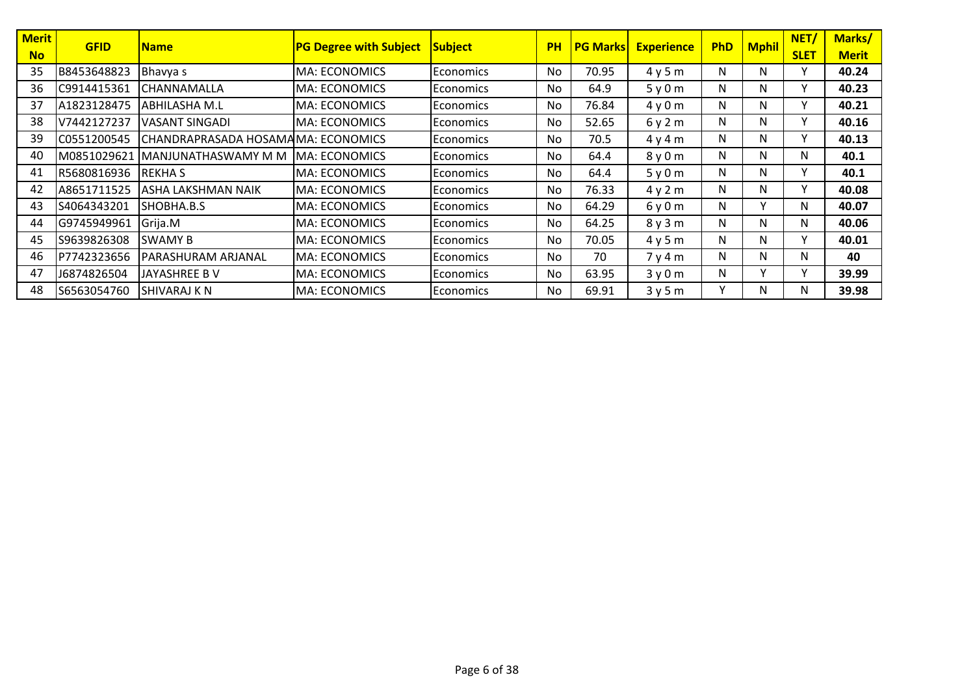| <b>Merit</b> | <b>GFID</b> | <b>Name</b>                        | <b>PG Degree with Subject</b> | Subject           | <b>PH</b> | <b>PG Marks</b> | <b>Experience</b> | <b>PhD</b> | <b>Mphil</b> | <b>NET</b>   | Marks/       |
|--------------|-------------|------------------------------------|-------------------------------|-------------------|-----------|-----------------|-------------------|------------|--------------|--------------|--------------|
| <b>No</b>    |             |                                    |                               |                   |           |                 |                   |            |              | <b>SLET</b>  | <b>Merit</b> |
| 35           | B8453648823 | Bhavya s                           | <b>MA: ECONOMICS</b>          | Economics         | No        | 70.95           | 4y5m              | N          | N            | Y            | 40.24        |
| 36           | C9914415361 | <b>CHANNAMALLA</b>                 | <b>MA: ECONOMICS</b>          | <b>Economics</b>  | No        | 64.9            | 5y0m              | N          | N            | v            | 40.23        |
| 37           | A1823128475 | ABHILASHA M.L                      | <b>MA: ECONOMICS</b>          | <b>Economics</b>  | No        | 76.84           | 4y0m              | N          | N            | $\checkmark$ | 40.21        |
| 38           | V7442127237 | <b>VASANT SINGADI</b>              | <b>MA: ECONOMICS</b>          | <b>Economics</b>  | No        | 52.65           | 6y2m              | N          | N            | $\checkmark$ | 40.16        |
| 39           | C0551200545 | CHANDRAPRASADA HOSAMAMA: ECONOMICS |                               | Economics         | No        | 70.5            | 4y4m              | N          | N            | ٧            | 40.13        |
| 40           | M0851029621 | MANJUNATHASWAMY M M                | IMA: ECONOMICS                | <b>Economics</b>  | No        | 64.4            | 8y0m              | N          | N            | N            | 40.1         |
| 41           | R5680816936 | <b>REKHAS</b>                      | <b>MA: ECONOMICS</b>          | <b>Economics</b>  | No        | 64.4            | 5y0m              | N          | N            | $\mathbf v$  | 40.1         |
| 42           | A8651711525 | ASHA LAKSHMAN NAIK                 | <b>MA: ECONOMICS</b>          | <b>IEconomics</b> | No        | 76.33           | 4y2m              | N          | N            | ٧            | 40.08        |
| 43           | S4064343201 | SHOBHA.B.S                         | <b>MA: ECONOMICS</b>          | <b>Economics</b>  | No        | 64.29           | 6y0m              | N          | Y            | N            | 40.07        |
| 44           | G9745949961 | Grija.M                            | IMA: ECONOMICS                | <b>IEconomics</b> | No        | 64.25           | 8y3m              | N          | N            | N            | 40.06        |
| 45           | S9639826308 | <b>SWAMY B</b>                     | MA: ECONOMICS                 | <b>Economics</b>  | No        | 70.05           | 4y5m              | N          | N            | $\mathsf{v}$ | 40.01        |
| 46           | P7742323656 | PARASHURAM ARJANAL                 | IMA: ECONOMICS                | <b>IEconomics</b> | No        | 70              | 7y4m              | N          | N            | N            | 40           |
| 47           | J6874826504 | JAYASHREE B V                      | <b>MA: ECONOMICS</b>          | <b>Economics</b>  | No        | 63.95           | 3y0m              | N          | Υ            | $\checkmark$ | 39.99        |
| 48           | S6563054760 | <b>SHIVARAJ K N</b>                | <b>MA: ECONOMICS</b>          | <b>Economics</b>  | No        | 69.91           | 3y5m              | ٧          | N            | N            | 39.98        |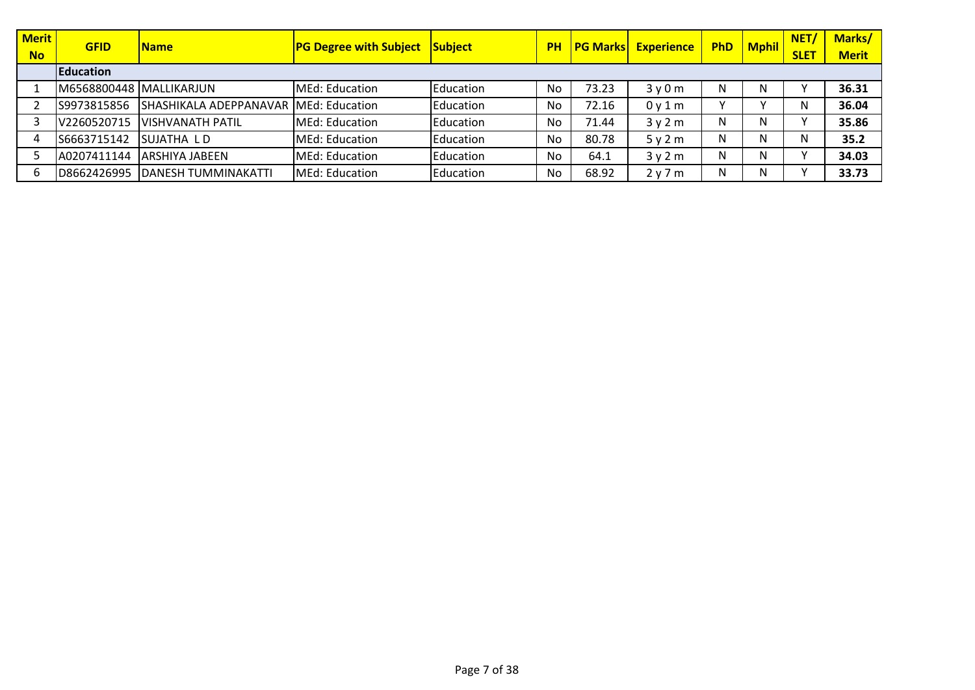| <b>Merit</b><br><b>No</b> | <b>GFID</b>             | <b>Name</b>                           | <b>PG Degree with Subject</b> | <b>Subject</b> | <b>PH</b> | <b>PG Marks</b> | <b>Experience</b> | <b>PhD</b>   | <b>Mphil</b> | NET/<br><b>SLET</b> | Marks/<br><b>Merit</b> |
|---------------------------|-------------------------|---------------------------------------|-------------------------------|----------------|-----------|-----------------|-------------------|--------------|--------------|---------------------|------------------------|
|                           | Education               |                                       |                               |                |           |                 |                   |              |              |                     |                        |
|                           | M6568800448 MALLIKARJUN |                                       | MEd: Education                | Education      | No        | 73.23           | 3y0m              |              | N            |                     | 36.31                  |
|                           | S9973815856             | SHASHIKALA ADEPPANAVAR MEd: Education |                               | Education      | No        | 72.16           | 0y1m              | $\checkmark$ |              | N                   | 36.04                  |
|                           | V2260520715             | <b>IVISHVANATH PATIL</b>              | MEd: Education                | Education      | No        | 71.44           | 3y2m              | Ν            | N            |                     | 35.86                  |
|                           | S6663715142             | <b>SUJATHA LD</b>                     | MEd: Education                | Education      | No        | 80.78           | 5y2m              | Ν            | N            | N                   | 35.2                   |
|                           | A0207411144             | <b>LARSHIYA JABEEN</b>                | MEd: Education                | Education      | No        | 64.1            | 3y2m              | N            | N            |                     | 34.03                  |
|                           | D8662426995             | <b>DANESH TUMMINAKATTI</b>            | MEd: Education                | Education      | No        | 68.92           | 2 y 7 m           | N            | N            |                     | 33.73                  |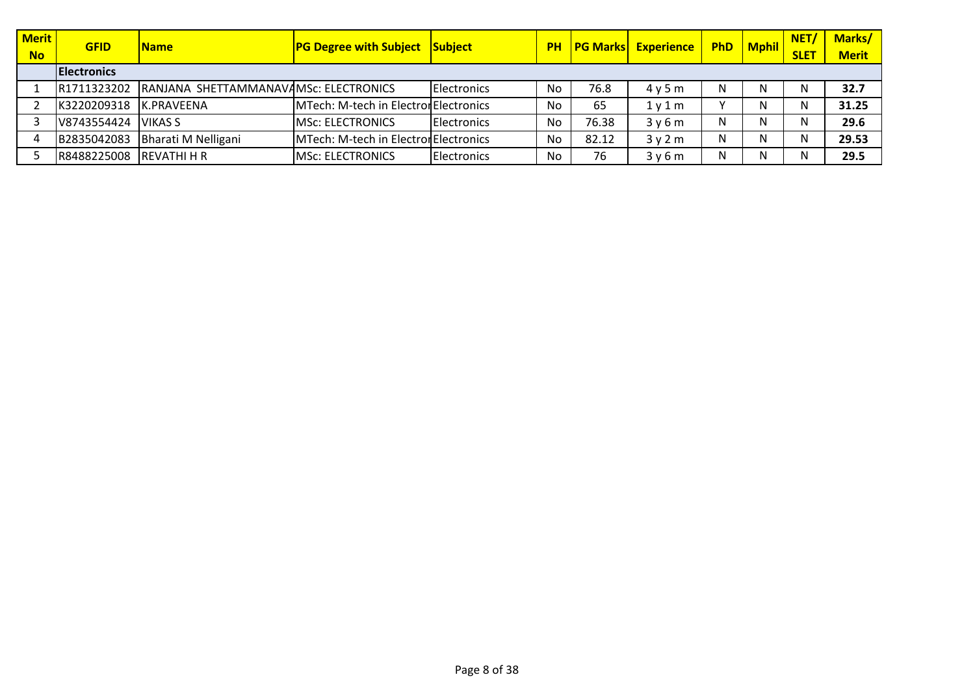| <b>Merit</b> | <b>GFID</b>         | <b>Name</b>                           | <b>PG Degree with Subject Subject</b> |                     | <b>PH</b> | <b>PG Marks</b> | <b>Experience</b>             | <b>PhD</b>   | <b>Mphil</b> | NET/        | <b>Marks/</b> |
|--------------|---------------------|---------------------------------------|---------------------------------------|---------------------|-----------|-----------------|-------------------------------|--------------|--------------|-------------|---------------|
| <b>No</b>    |                     |                                       |                                       |                     |           |                 |                               |              |              | <b>SLET</b> | <b>Merit</b>  |
|              | <b>IElectronics</b> |                                       |                                       |                     |           |                 |                               |              |              |             |               |
|              | R1711323202         | RANJANA SHETTAMMANAVAMSC: ELECTRONICS |                                       | <b>Electronics</b>  | No        | 76.8            | 4v5m                          | N            |              | N           | 32.7          |
|              | K3220209318         | <b>IK.PRAVEENA</b>                    | MTech: M-tech in Electron Electronics |                     | No        | 65              | 1 <sub>V</sub> 1 <sub>m</sub> | $\checkmark$ |              | N.          | 31.25         |
|              | V8743554424         | <b>VIKAS S</b>                        | <b>IMSC: ELECTRONICS</b>              | <b>IElectronics</b> | No        | 76.38           | 3y6m                          | N            |              | N           | 29.6          |
|              | B2835042083         | Bharati M Nelligani                   | MTech: M-tech in Electron Electronics |                     | No        | 82.12           | 3v2m                          | N            |              | N           | 29.53         |
|              | R8488225008         | IREVATHI H R                          | <b>IMSC: ELECTRONICS</b>              | Electronics         | No        | 76              | 3v6m                          | N            |              | N           | 29.5          |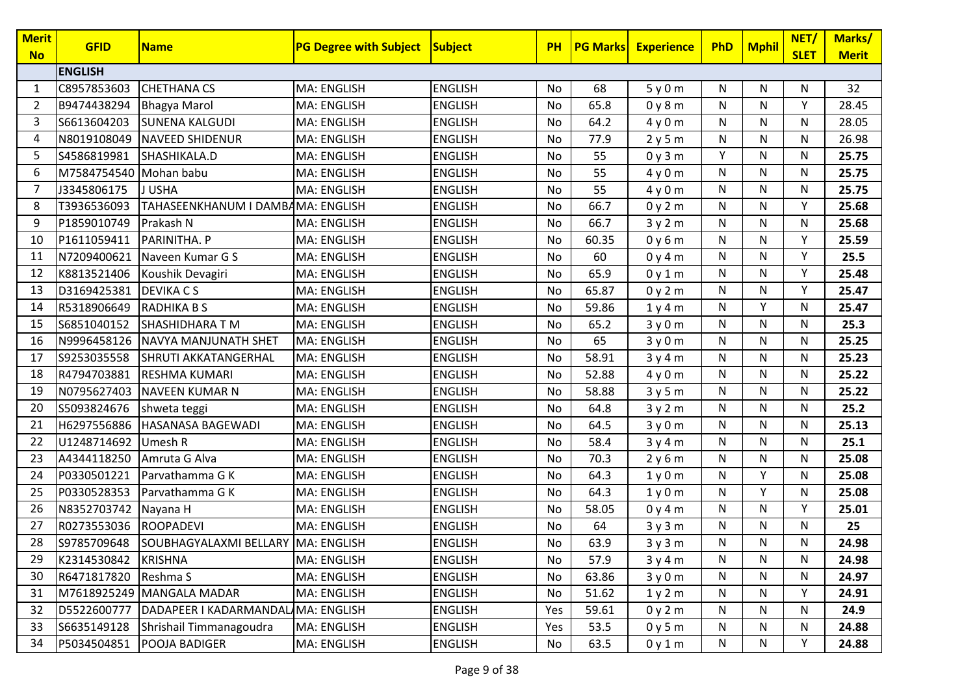| <b>Merit</b><br><b>No</b> | <b>GFID</b>            | <b>Name</b>                        | <b>PG Degree with Subject Subject</b> |                | <b>PH</b> | <b>PG Marks</b> | <b>Experience</b> | <b>PhD</b> | <b>Mphil</b> | NET/<br><b>SLET</b> | Marks/<br><b>Merit</b> |
|---------------------------|------------------------|------------------------------------|---------------------------------------|----------------|-----------|-----------------|-------------------|------------|--------------|---------------------|------------------------|
|                           | <b>ENGLISH</b>         |                                    |                                       |                |           |                 |                   |            |              |                     |                        |
| 1                         | C8957853603            | <b>CHETHANA CS</b>                 | MA: ENGLISH                           | <b>ENGLISH</b> | No        | 68              | 5y0m              | N          | N            | N                   | 32                     |
| 2                         | B9474438294            | <b>Bhagya Marol</b>                | MA: ENGLISH                           | <b>ENGLISH</b> | No        | 65.8            | 0y8m              | N          | N            | Υ                   | 28.45                  |
| 3                         | S6613604203            | <b>SUNENA KALGUDI</b>              | MA: ENGLISH                           | <b>ENGLISH</b> | No        | 64.2            | 4y0m              | N          | $\mathsf{N}$ | N                   | 28.05                  |
| 4                         | N8019108049            | <b>NAVEED SHIDENUR</b>             | MA: ENGLISH                           | <b>ENGLISH</b> | No        | 77.9            | 2y5m              | N          | N            | N                   | 26.98                  |
| 5                         | S4586819981            | SHASHIKALA.D                       | <b>MA: ENGLISH</b>                    | <b>ENGLISH</b> | No        | 55              | 0y3m              | Y          | N            | N                   | 25.75                  |
| 6                         | M7584754540 Mohan babu |                                    | <b>MA: ENGLISH</b>                    | <b>ENGLISH</b> | No        | 55              | 4y0m              | N          | $\mathsf{N}$ | N                   | 25.75                  |
| 7                         | J3345806175            | J USHA                             | MA: ENGLISH                           | <b>ENGLISH</b> | No        | 55              | 4y0m              | N          | N            | N                   | 25.75                  |
| 8                         | T3936536093            | TAHASEENKHANUM I DAMBAMA: ENGLISH  |                                       | <b>ENGLISH</b> | No        | 66.7            | 0y2m              | N          | $\mathsf{N}$ | Y                   | 25.68                  |
| 9                         | P1859010749            | Prakash N                          | <b>MA: ENGLISH</b>                    | <b>ENGLISH</b> | No        | 66.7            | 3y2m              | N          | ${\sf N}$    | N                   | 25.68                  |
| 10                        | P1611059411            | PARINITHA. P                       | MA: ENGLISH                           | <b>ENGLISH</b> | No        | 60.35           | 0y6m              | N          | ${\sf N}$    | Y                   | 25.59                  |
| 11                        | N7209400621            | Naveen Kumar G S                   | <b>MA: ENGLISH</b>                    | <b>ENGLISH</b> | No        | 60              | 0y4m              | N          | N            | Y                   | 25.5                   |
| 12                        | K8813521406            | Koushik Devagiri                   | MA: ENGLISH                           | <b>ENGLISH</b> | No        | 65.9            | 0y1m              | N          | N            | Y                   | 25.48                  |
| 13                        | D3169425381            | <b>DEVIKA CS</b>                   | <b>MA: ENGLISH</b>                    | <b>ENGLISH</b> | No        | 65.87           | 0y2m              | N          | N            | Y                   | 25.47                  |
| 14                        | R5318906649            | <b>RADHIKA B S</b>                 | MA: ENGLISH                           | <b>ENGLISH</b> | No        | 59.86           | 1y4m              | N          | Y            | N                   | 25.47                  |
| 15                        | S6851040152            | <b>SHASHIDHARA T M</b>             | MA: ENGLISH                           | <b>ENGLISH</b> | No        | 65.2            | 3y0m              | N          | $\mathsf{N}$ | N                   | 25.3                   |
| 16                        | N9996458126            | NAVYA MANJUNATH SHET               | <b>MA: ENGLISH</b>                    | <b>ENGLISH</b> | No        | 65              | 3y0m              | N          | N            | N                   | 25.25                  |
| 17                        | S9253035558            | SHRUTI AKKATANGERHAL               | <b>MA: ENGLISH</b>                    | <b>ENGLISH</b> | No        | 58.91           | 3y4m              | N          | N            | N                   | 25.23                  |
| 18                        | R4794703881            | <b>RESHMA KUMARI</b>               | <b>MA: ENGLISH</b>                    | <b>ENGLISH</b> | No        | 52.88           | 4y0m              | N          | N            | N                   | 25.22                  |
| 19                        | N0795627403            | <b>NAVEEN KUMAR N</b>              | MA: ENGLISH                           | <b>ENGLISH</b> | No        | 58.88           | 3y5m              | N          | N            | N                   | 25.22                  |
| 20                        | S5093824676            | shweta teggi                       | MA: ENGLISH                           | <b>ENGLISH</b> | No        | 64.8            | 3y2m              | N          | N            | N                   | 25.2                   |
| 21                        | H6297556886            | <b>HASANASA BAGEWADI</b>           | MA: ENGLISH                           | <b>ENGLISH</b> | No        | 64.5            | 3y0m              | N          | N            | N                   | 25.13                  |
| 22                        | U1248714692            | Umesh R                            | MA: ENGLISH                           | <b>ENGLISH</b> | No        | 58.4            | 3y4m              | N          | N            | N                   | 25.1                   |
| 23                        | A4344118250            | Amruta G Alva                      | <b>MA: ENGLISH</b>                    | <b>ENGLISH</b> | No        | 70.3            | 2y6m              | N          | N            | N                   | 25.08                  |
| 24                        | P0330501221            | Parvathamma G K                    | MA: ENGLISH                           | <b>ENGLISH</b> | No        | 64.3            | 1y0m              | N          | Y            | N                   | 25.08                  |
| 25                        | P0330528353            | Parvathamma G K                    | <b>MA: ENGLISH</b>                    | <b>ENGLISH</b> | No        | 64.3            | 1y0m              | N          | Y            | N                   | 25.08                  |
| 26                        | N8352703742            | Nayana H                           | MA: ENGLISH                           | <b>ENGLISH</b> | No        | 58.05           | 0y4m              | N          | N            | Y                   | 25.01                  |
| 27                        | R0273553036            | <b>ROOPADEVI</b>                   | MA: ENGLISH                           | <b>ENGLISH</b> | No        | 64              | 3y3m              | N          | N            | N                   | 25                     |
| 28                        | S9785709648            | SOUBHAGYALAXMI BELLARY MA: ENGLISH |                                       | <b>ENGLISH</b> | No        | 63.9            | 3y3m              | N          | N            | N                   | 24.98                  |
| 29                        | K2314530842            | <b>KRISHNA</b>                     | <b>MA: ENGLISH</b>                    | <b>ENGLISH</b> | No        | 57.9            | 3y4m              | N          | N            | N                   | 24.98                  |
| 30                        | R6471817820            | Reshma S                           | <b>MA: ENGLISH</b>                    | <b>ENGLISH</b> | No        | 63.86           | 3y0m              | N          | N            | N                   | 24.97                  |
| 31                        |                        | M7618925249 MANGALA MADAR          | <b>MA: ENGLISH</b>                    | <b>ENGLISH</b> | No        | 51.62           | 1y2m              | N          | N            | Y                   | 24.91                  |
| 32                        | D5522600777            | DADAPEER I KADARMANDAL MA: ENGLISH |                                       | <b>ENGLISH</b> | Yes       | 59.61           | 0y2m              | N          | N            | N                   | 24.9                   |
| 33                        | S6635149128            | Shrishail Timmanagoudra            | <b>MA: ENGLISH</b>                    | <b>ENGLISH</b> | Yes       | 53.5            | 0y5m              | N          | N            | N                   | 24.88                  |
| 34                        | P5034504851            | POOJA BADIGER                      | MA: ENGLISH                           | <b>ENGLISH</b> | No        | 63.5            | 0y1m              | N          | N            | Y                   | 24.88                  |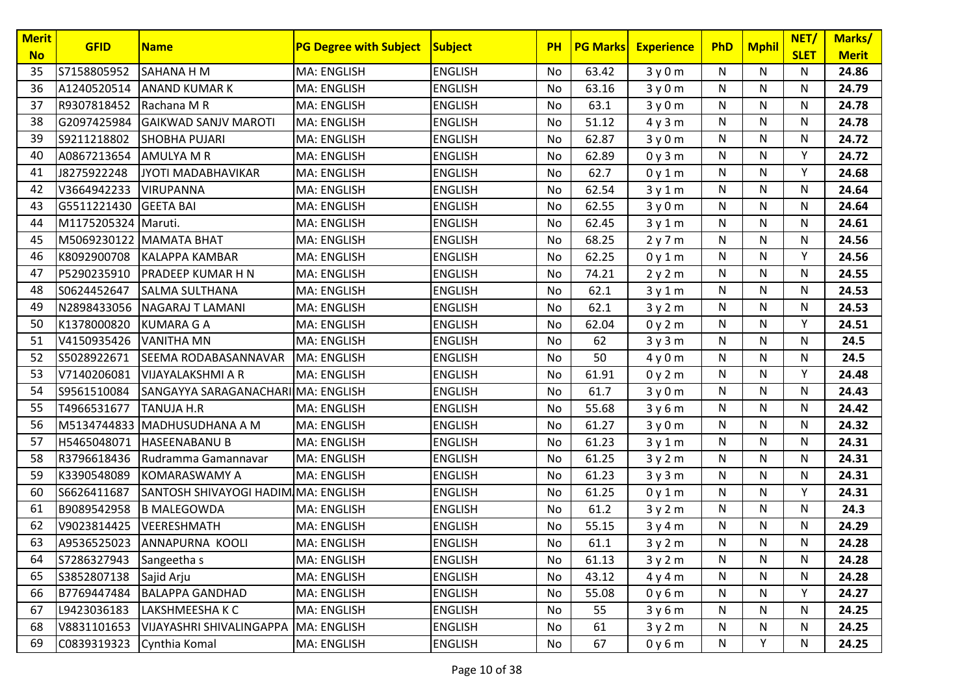| <b>Merit</b><br><b>No</b> | <b>GFID</b>         | <b>Name</b>                         | <b>PG Degree with Subject</b> | Subject        | <b>PH</b> | <b>PG Marks</b> | <b>Experience</b> | <b>PhD</b>   | <b>Mphil</b> | NET/<br><b>SLET</b> | Marks/<br><b>Merit</b> |
|---------------------------|---------------------|-------------------------------------|-------------------------------|----------------|-----------|-----------------|-------------------|--------------|--------------|---------------------|------------------------|
| 35                        | S7158805952         | <b>SAHANA H M</b>                   | MA: ENGLISH                   | <b>ENGLISH</b> | No        | 63.42           | 3y0m              | N.           | N            | N                   | 24.86                  |
| 36                        | A1240520514         | <b>ANAND KUMAR K</b>                | MA: ENGLISH                   | <b>ENGLISH</b> | No        | 63.16           | 3y0m              | N            | N            | N                   | 24.79                  |
| 37                        | R9307818452         | Rachana M R                         | MA: ENGLISH                   | <b>ENGLISH</b> | No        | 63.1            | 3y0m              | N            | N            | N                   | 24.78                  |
| 38                        | G2097425984         | <b>GAIKWAD SANJV MAROTI</b>         | MA: ENGLISH                   | <b>ENGLISH</b> | No        | 51.12           | 4y3m              | N            | N            | N                   | 24.78                  |
| 39                        | S9211218802         | <b>SHOBHA PUJARI</b>                | MA: ENGLISH                   | <b>ENGLISH</b> | No        | 62.87           | 3y0m              | N            | N            | N                   | 24.72                  |
| 40                        | A0867213654         | <b>AMULYA M R</b>                   | MA: ENGLISH                   | <b>ENGLISH</b> | No        | 62.89           | 0y3m              | N            | N            | Y                   | 24.72                  |
| 41                        | J8275922248         | JYOTI MADABHAVIKAR                  | MA: ENGLISH                   | <b>ENGLISH</b> | No        | 62.7            | 0y1m              | N            | N            | Y                   | 24.68                  |
| 42                        | V3664942233         | <b>VIRUPANNA</b>                    | MA: ENGLISH                   | <b>ENGLISH</b> | No        | 62.54           | 3y1m              | N            | N            | N                   | 24.64                  |
| 43                        | G5511221430         | <b>GEETA BAI</b>                    | MA: ENGLISH                   | <b>ENGLISH</b> | No        | 62.55           | 3y0m              | N            | N            | N                   | 24.64                  |
| 44                        | M1175205324 Maruti. |                                     | MA: ENGLISH                   | <b>ENGLISH</b> | No        | 62.45           | 3y1m              | N            | N            | N                   | 24.61                  |
| 45                        | M5069230122         | <b>MAMATA BHAT</b>                  | MA: ENGLISH                   | <b>ENGLISH</b> | No        | 68.25           | 2y7m              | $\mathsf{N}$ | N            | N                   | 24.56                  |
| 46                        | K8092900708         | KALAPPA KAMBAR                      | MA: ENGLISH                   | <b>ENGLISH</b> | No        | 62.25           | 0y1m              | N            | N            | Y                   | 24.56                  |
| 47                        | P5290235910         | PRADEEP KUMAR H N                   | MA: ENGLISH                   | <b>ENGLISH</b> | No        | 74.21           | 2y2m              | N            | N            | N                   | 24.55                  |
| 48                        | S0624452647         | <b>SALMA SULTHANA</b>               | MA: ENGLISH                   | <b>ENGLISH</b> | No        | 62.1            | 3y1m              | N            | N            | N                   | 24.53                  |
| 49                        | N2898433056         | NAGARAJ T LAMANI                    | MA: ENGLISH                   | <b>ENGLISH</b> | No        | 62.1            | 3y2m              | N            | N            | N                   | 24.53                  |
| 50                        | K1378000820         | <b>KUMARA G A</b>                   | MA: ENGLISH                   | <b>ENGLISH</b> | No        | 62.04           | 0y2m              | N            | N            | Y                   | 24.51                  |
| 51                        | V4150935426         | <b>VANITHA MN</b>                   | MA: ENGLISH                   | <b>ENGLISH</b> | No        | 62              | 3y3m              | N            | N            | N                   | 24.5                   |
| 52                        | S5028922671         | SEEMA RODABASANNAVAR                | MA: ENGLISH                   | <b>ENGLISH</b> | No        | 50              | 4y0m              | N            | N            | N                   | 24.5                   |
| 53                        | V7140206081         | <b>VIJAYALAKSHMI A R</b>            | <b>MA: ENGLISH</b>            | <b>ENGLISH</b> | No        | 61.91           | 0y2m              | N            | N            | Y                   | 24.48                  |
| 54                        | S9561510084         | SANGAYYA SARAGANACHARI MA: ENGLISH  |                               | <b>ENGLISH</b> | No        | 61.7            | 3y0m              | N            | N            | N                   | 24.43                  |
| 55                        | T4966531677         | <b>TANUJA H.R</b>                   | <b>MA: ENGLISH</b>            | <b>ENGLISH</b> | No        | 55.68           | 3y6m              | N            | N            | N                   | 24.42                  |
| 56                        | M5134744833         | MADHUSUDHANA A M                    | MA: ENGLISH                   | <b>ENGLISH</b> | No        | 61.27           | 3y0m              | N            | N            | N                   | 24.32                  |
| 57                        | H5465048071         | <b>HASEENABANU B</b>                | MA: ENGLISH                   | <b>ENGLISH</b> | No        | 61.23           | 3y1m              | N            | N            | N                   | 24.31                  |
| 58                        | R3796618436         | Rudramma Gamannavar                 | MA: ENGLISH                   | <b>ENGLISH</b> | No        | 61.25           | 3y2m              | N            | N            | N                   | 24.31                  |
| 59                        | K3390548089         | <b>KOMARASWAMY A</b>                | MA: ENGLISH                   | <b>ENGLISH</b> | No        | 61.23           | 3y3m              | N            | N            | N                   | 24.31                  |
| 60                        | S6626411687         | SANTOSH SHIVAYOGI HADIM MA: ENGLISH |                               | <b>ENGLISH</b> | No        | 61.25           | 0y1m              | N            | N            | Y                   | 24.31                  |
| 61                        | B9089542958         | <b>B MALEGOWDA</b>                  | MA: ENGLISH                   | <b>ENGLISH</b> | No        | 61.2            | 3y2m              | N            | N            | N                   | 24.3                   |
| 62                        | V9023814425         | <b>VEERESHMATH</b>                  | MA: ENGLISH                   | <b>ENGLISH</b> | No        | 55.15           | 3y4m              | N            | N            | N                   | 24.29                  |
| 63                        |                     | A9536525023 ANNAPURNA KOOLI         | MA: ENGLISH                   | <b>ENGLISH</b> | No        | 61.1            | 3y2m              | N            | N            | N                   | 24.28                  |
| 64                        | S7286327943         | Sangeetha s                         | MA: ENGLISH                   | <b>ENGLISH</b> | No        | 61.13           | 3y2m              | N            | N            | N                   | 24.28                  |
| 65                        | S3852807138         | Sajid Arju                          | MA: ENGLISH                   | <b>ENGLISH</b> | No        | 43.12           | 4y4m              | N            | N            | N                   | 24.28                  |
| 66                        | B7769447484         | <b>BALAPPA GANDHAD</b>              | MA: ENGLISH                   | <b>ENGLISH</b> | No        | 55.08           | 0y6m              | N            | N            | Y                   | 24.27                  |
| 67                        | L9423036183         | LAKSHMEESHA K C                     | MA: ENGLISH                   | <b>ENGLISH</b> | No        | 55              | 3y6m              | N            | N            | N                   | 24.25                  |
| 68                        | V8831101653         | VIJAYASHRI SHIVALINGAPPA            | MA: ENGLISH                   | <b>ENGLISH</b> | No        | 61              | 3y2m              | N            | N            | N                   | 24.25                  |
| 69                        | C0839319323         | Cynthia Komal                       | <b>MA: ENGLISH</b>            | <b>ENGLISH</b> | No        | 67              | 0y6m              | N            | Υ            | ${\sf N}$           | 24.25                  |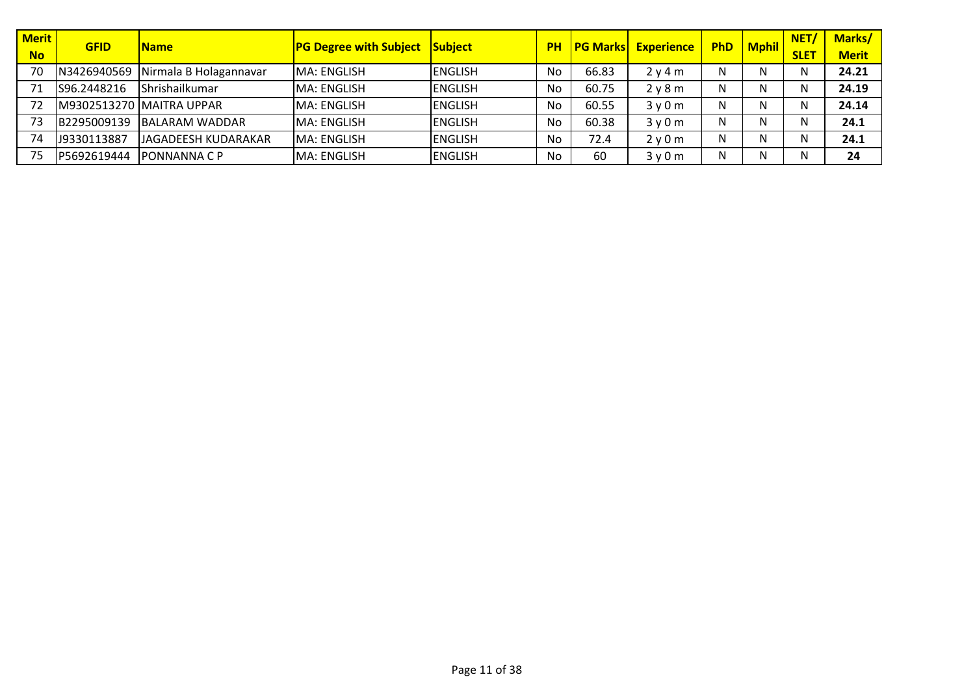| <b>Merit</b> | <b>GFID</b> | <b>Name</b>                       | <b>PG Degree with Subject</b> | Subject        | <b>PH</b> | <b>PG Marks</b> | <b>Experience</b> | <b>PhD</b> | <b>Mphil</b> | NET/        | <b>Marks/</b> |
|--------------|-------------|-----------------------------------|-------------------------------|----------------|-----------|-----------------|-------------------|------------|--------------|-------------|---------------|
| <b>No</b>    |             |                                   |                               |                |           |                 |                   |            |              | <b>SLET</b> | <b>Merit</b>  |
| 70           | N3426940569 | Nirmala B Holagannavar            | <b>MA: ENGLISH</b>            | <b>ENGLISH</b> | No        | 66.83           | 2 v 4 m           | N          |              | N           | 24.21         |
|              | S96.2448216 | Shrishailkumar                    | MA: ENGLISH                   | <b>ENGLISH</b> | No        | 60.75           | 2y8m              | N          |              | N           | 24.19         |
|              |             | <b>IM9302513270 IMAITRA UPPAR</b> | MA: ENGLISH                   | <b>ENGLISH</b> | No        | 60.55           | 3y0m              | Ν          |              | N           | 24.14         |
|              | B2295009139 | <b>IBALARAM WADDAR</b>            | MA: ENGLISH                   | <b>ENGLISH</b> | No        | 60.38           | 3v0m              | Ν          |              | N           | 24.1          |
| 74           | J9330113887 | JAGADEESH KUDARAKAR               | MA: ENGLISH                   | <b>ENGLISH</b> | No        | 72.4            | 2y0m              | N          |              | N           | 24.1          |
| 75           | P5692619444 | IPONNANNA C P                     | MA: ENGLISH                   | <b>ENGLISH</b> | No        | 60              | 3v0m              | N          |              | N           | 24            |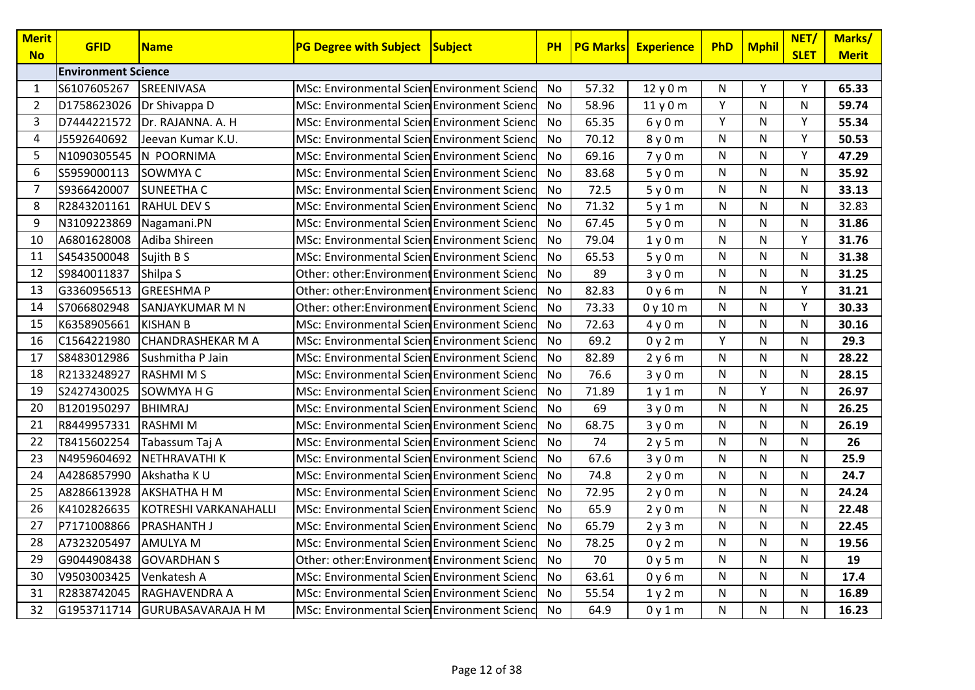| <b>Merit</b><br><b>No</b> | <b>GFID</b>                | <b>Name</b>                    | <b>PG Degree with Subject Subject</b>        | <b>PH</b> | <b>PG Marks</b> | <b>Experience</b> | <b>PhD</b> | <b>Mphil</b> | NET/<br><b>SLET</b> | Marks/<br><b>Merit</b> |
|---------------------------|----------------------------|--------------------------------|----------------------------------------------|-----------|-----------------|-------------------|------------|--------------|---------------------|------------------------|
|                           | <b>Environment Science</b> |                                |                                              |           |                 |                   |            |              |                     |                        |
| 1                         | S6107605267                | SREENIVASA                     | MSc: Environmental Scien Environment Scienc  | No        | 57.32           | 12y0m             | N          | Y            | Y                   | 65.33                  |
| $\overline{2}$            | D1758623026                | Dr Shivappa D                  | MSc: Environmental Scien Environment Scienc  | <b>No</b> | 58.96           | 11y0m             | Y          | N            | N                   | 59.74                  |
| 3                         | D7444221572                | Dr. RAJANNA. A. H              | MSc: Environmental Scien Environment Scienc  | No        | 65.35           | 6y0m              | Y          | $\mathsf{N}$ | Y                   | 55.34                  |
| 4                         | J5592640692                | Jeevan Kumar K.U.              | MSc: Environmental Scien Environment Scienc  | No        | 70.12           | 8y0m              | N          | N            | Y                   | 50.53                  |
| 5                         | N1090305545                | N POORNIMA                     | MSc: Environmental Scien Environment Scienc  | No        | 69.16           | 7y0m              | N          | $\mathsf{N}$ | Υ                   | 47.29                  |
| 6                         | S5959000113                | SOWMYA C                       | MSc: Environmental Scien Environment Scienc  | No        | 83.68           | 5y0m              | N          | $\mathsf{N}$ | N                   | 35.92                  |
| $\overline{7}$            | S9366420007                | <b>SUNEETHA C</b>              | MSc: Environmental Scien Environment Scienc  | No        | 72.5            | 5y0m              | N          | $\mathsf{N}$ | N                   | 33.13                  |
| 8                         | R2843201161                | <b>RAHUL DEV S</b>             | MSc: Environmental Scien Environment Scienc  | No        | 71.32           | 5y1m              | N          | $\mathsf{N}$ | ${\sf N}$           | 32.83                  |
| 9                         | N3109223869                | Nagamani.PN                    | MSc: Environmental Scien Environment Scienc  | <b>No</b> | 67.45           | 5y0m              | N          | $\mathsf{N}$ | N                   | 31.86                  |
| 10                        | A6801628008                | Adiba Shireen                  | MSc: Environmental Scien Environment Scienc  | No        | 79.04           | 1y0m              | N          | $\mathsf{N}$ | Y                   | 31.76                  |
| 11                        | S4543500048                | Sujith B S                     | MSc: Environmental Scien Environment Scienc  | No        | 65.53           | 5y0m              | N          | N            | N                   | 31.38                  |
| 12                        | S9840011837                | Shilpa S                       | Other: other: Environment Environment Scienc | <b>No</b> | 89              | 3y0m              | N          | $\mathsf{N}$ | N                   | 31.25                  |
| 13                        | G3360956513                | <b>GREESHMAP</b>               | Other: other: Environment Environment Scienc | No        | 82.83           | 0y6m              | N          | N            | Y                   | 31.21                  |
| 14                        | S7066802948                | SANJAYKUMAR M N                | Other: other:Environment Environment Scienc  | No        | 73.33           | 0y10m             | N          | N            | Y                   | 30.33                  |
| 15                        | K6358905661                | <b>KISHAN B</b>                | MSc: Environmental Scien Environment Scienc  | No        | 72.63           | 4y0m              | N          | N            | N                   | 30.16                  |
| 16                        | C1564221980                | <b>CHANDRASHEKAR M A</b>       | MSc: Environmental Scien Environment Scienc  | No        | 69.2            | 0y2m              | Y          | $\mathsf{N}$ | N                   | 29.3                   |
| 17                        | S8483012986                | Sushmitha P Jain               | MSc: Environmental Scien Environment Scienc  | No        | 82.89           | 2y6m              | N          | $\mathsf{N}$ | N                   | 28.22                  |
| 18                        | R2133248927                | <b>RASHMIMS</b>                | MSc: Environmental Scien Environment Scienc  | <b>No</b> | 76.6            | 3y0m              | N          | N            | N                   | 28.15                  |
| 19                        | S2427430025                | ISOWMYA H G                    | MSc: Environmental Scien Environment Scienc  | No        | 71.89           | 1y1m              | N          | Y            | N                   | 26.97                  |
| 20                        | B1201950297                | <b>BHIMRAJ</b>                 | MSc: Environmental Scien Environment Scienc  | No        | 69              | 3y0m              | N          | $\mathsf{N}$ | N                   | 26.25                  |
| 21                        | R8449957331                | <b>RASHMIM</b>                 | MSc: Environmental Scien Environment Scienc  | <b>No</b> | 68.75           | 3y0m              | N          | N            | N                   | 26.19                  |
| 22                        | T8415602254                | Tabassum Taj A                 | MSc: Environmental Scien Environment Scienc  | No        | 74              | 2y5m              | N          | $\mathsf{N}$ | N                   | 26                     |
| 23                        | N4959604692                | NETHRAVATHI K                  | MSc: Environmental Scien Environment Scienc  | No        | 67.6            | 3y0m              | N          | N            | N                   | 25.9                   |
| 24                        | A4286857990                | Akshatha K U                   | MSc: Environmental Scien Environment Scienc  | <b>No</b> | 74.8            | 2y0m              | N          | $\mathsf{N}$ | N                   | 24.7                   |
| 25                        | A8286613928                | <b>AKSHATHA H M</b>            | MSc: Environmental Scien Environment Scienc  | No        | 72.95           | 2y0m              | N          | $\mathsf{N}$ | ${\sf N}$           | 24.24                  |
| 26                        | K4102826635                | KOTRESHI VARKANAHALLI          | MSc: Environmental Scien Environment Scienc  | No        | 65.9            | 2y0m              | N          | N            | N                   | 22.48                  |
| 27                        | P7171008866                | <b>PRASHANTH J</b>             | MSc: Environmental Scien Environment Scienc  | No        | 65.79           | 2y3m              | N          | $\mathsf{N}$ | N                   | 22.45                  |
| 28                        | A7323205497                | <b>AMULYA M</b>                | MSc: Environmental Scien Environment Scienc  | No        | 78.25           | 0y2m              | N          | $\mathsf{N}$ | N                   | 19.56                  |
| 29                        | G9044908438                | <b>GOVARDHAN S</b>             | Other: other: Environment Environment Scienc | No        | 70              | 0y5m              | N          | $\mathsf{N}$ | N                   | 19                     |
| 30                        | V9503003425                | Venkatesh A                    | MSc: Environmental Scien Environment Scienc  | No        | 63.61           | 0y6m              | N          | N            | N                   | 17.4                   |
| 31                        | R2838742045                | RAGHAVENDRA A                  | MSc: Environmental Scien Environment Scienc  | No        | 55.54           | 1y2m              | N          | $\mathsf{N}$ | N                   | 16.89                  |
| 32                        |                            | G1953711714 GURUBASAVARAJA H M | MSc: Environmental Scien Environment Scienc  | No        | 64.9            | 0y1m              | N          | N            | N                   | 16.23                  |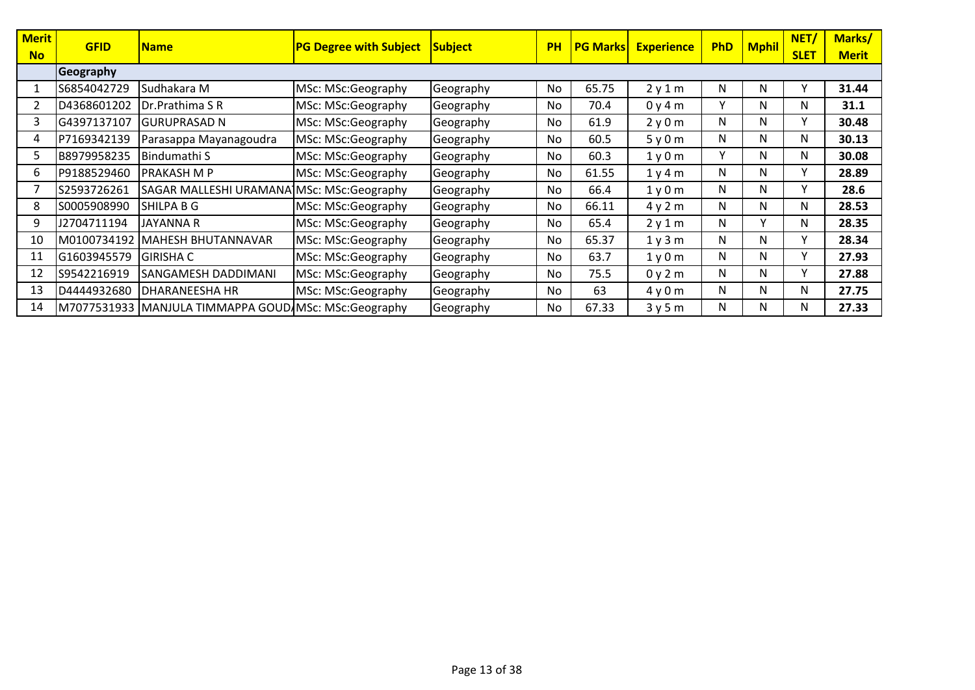| <b>Merit</b><br><b>No</b> | <b>GFID</b> | <b>Name</b>                                           | <b>PG Degree with Subject</b> | <b>Subject</b> | <b>PH</b> | <b>PG Marks</b> | <b>Experience</b> | <b>PhD</b> | <b>Mphil</b> | NET/<br><b>SLET</b> | Marks/<br><b>Merit</b> |
|---------------------------|-------------|-------------------------------------------------------|-------------------------------|----------------|-----------|-----------------|-------------------|------------|--------------|---------------------|------------------------|
|                           | Geography   |                                                       |                               |                |           |                 |                   |            |              |                     |                        |
|                           | S6854042729 | Sudhakara M                                           | MSc: MSc:Geography            | Geography      | No        | 65.75           | 2y1m              | N          | N            | v                   | 31.44                  |
|                           | D4368601202 | Dr.Prathima S R                                       | MSc: MSc:Geography            | Geography      | No        | 70.4            | 0y4m              | v          | N            | N                   | 31.1                   |
| 3                         | G4397137107 | <b>GURUPRASAD N</b>                                   | MSc: MSc:Geography            | Geography      | No        | 61.9            | 2y0m              | N          | N            | Y                   | 30.48                  |
| 4                         | P7169342139 | Parasappa Mayanagoudra                                | MSc: MSc:Geography            | Geography      | No.       | 60.5            | 5y0m              | N          | N            | N                   | 30.13                  |
| כ                         | B8979958235 | Bindumathi S                                          | MSc: MSc:Geography            | Geography      | No        | 60.3            | 1y0m              | v          | N            | N                   | 30.08                  |
| 6.                        | P9188529460 | IPRAKASH M P                                          | MSc: MSc:Geography            | Geography      | No        | 61.55           | 1y4m              | N          | N            | Y                   | 28.89                  |
|                           | S2593726261 | SAGAR MALLESHI URAMANA MSc: MSc:Geography             |                               | Geography      | No        | 66.4            | 1y0m              | N          | N            | Υ                   | 28.6                   |
| 8                         | S0005908990 | SHILPA B G                                            | MSc: MSc:Geography            | Geography      | No        | 66.11           | 4y2m              | N          | N            | N                   | 28.53                  |
| 9                         | J2704711194 | <b>JAYANNA R</b>                                      | MSc: MSc:Geography            | Geography      | No        | 65.4            | 2y1m              | N          | $\mathsf{v}$ | N                   | 28.35                  |
| 10                        |             | M0100734192 MAHESH BHUTANNAVAR                        | MSc: MSc:Geography            | Geography      | No.       | 65.37           | 1 y 3 m           | N          | N            | Υ                   | 28.34                  |
| 11                        | G1603945579 | <b>GIRISHA C</b>                                      | MSc: MSc:Geography            | Geography      | No        | 63.7            | 1y0m              | N          | N            | Y.                  | 27.93                  |
| 12                        | S9542216919 | SANGAMESH DADDIMANI                                   | MSc: MSc:Geography            | Geography      | No        | 75.5            | 0y2m              | N          | N            | Υ                   | 27.88                  |
| 13                        | D4444932680 | <b>DHARANEESHA HR</b>                                 | MSc: MSc:Geography            | Geography      | No        | 63              | 4y0m              | N          | N            | N                   | 27.75                  |
| 14                        |             | M7077531933 MANJULA TIMMAPPA GOUD MSc: MSc: Geography |                               | Geography      | No        | 67.33           | 3y5m              | N          | N            | N                   | 27.33                  |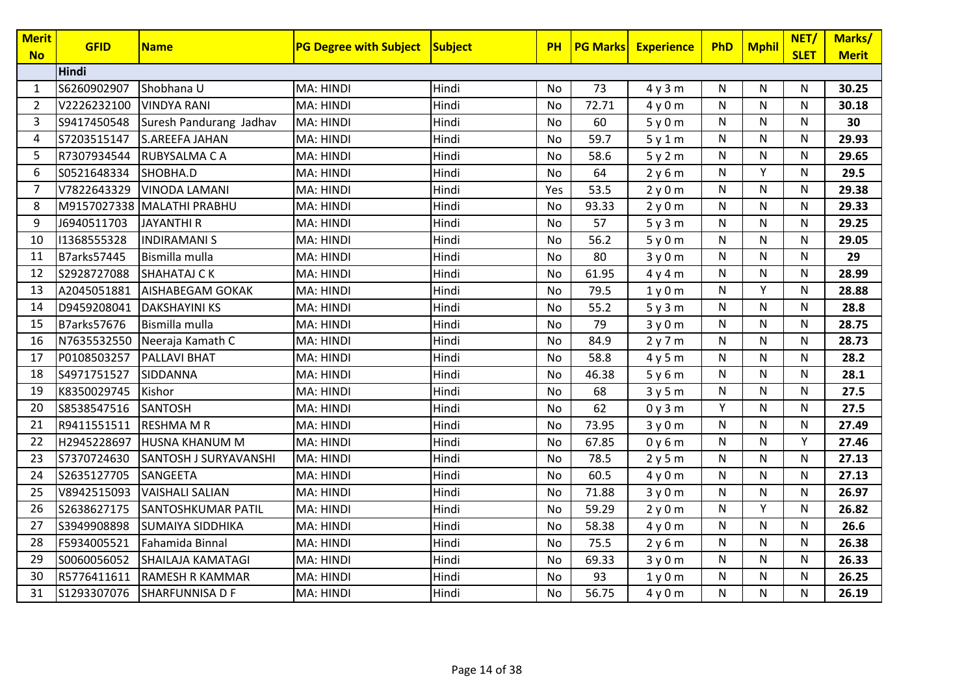| <b>Merit</b>   | <b>GFID</b>        | <b>Name</b>               | <b>PG Degree with Subject</b> | Subject | PH        | <b>PG Marks</b> | <b>Experience</b> | <b>PhD</b>   | <b>Mphil</b> | NET/         | Marks/       |
|----------------|--------------------|---------------------------|-------------------------------|---------|-----------|-----------------|-------------------|--------------|--------------|--------------|--------------|
| <b>No</b>      | Hindi              |                           |                               |         |           |                 |                   |              |              | <b>SLET</b>  | <b>Merit</b> |
|                |                    |                           |                               |         |           |                 |                   |              |              |              |              |
| 1              | S6260902907        | Shobhana U                | MA: HINDI                     | Hindi   | No        | 73              | 4y3m              | N            | N            | N            | 30.25        |
| $\overline{2}$ | V2226232100        | <b>VINDYA RANI</b>        | <b>MA: HINDI</b>              | Hindi   | <b>No</b> | 72.71           | 4y0m              | N            | N            | $\mathsf{N}$ | 30.18        |
| 3              | S9417450548        | Suresh Pandurang Jadhav   | <b>MA: HINDI</b>              | Hindi   | No        | 60              | 5y0m              | N            | N            | N            | 30           |
| 4              | S7203515147        | <b>S.AREEFA JAHAN</b>     | MA: HINDI                     | Hindi   | <b>No</b> | 59.7            | 5y1m              | N            | N            | N            | 29.93        |
| 5              | R7307934544        | <b>RUBYSALMA CA</b>       | <b>MA: HINDI</b>              | Hindi   | No        | 58.6            | 5y2m              | N            | N            | N            | 29.65        |
| 6              | S0521648334        | SHOBHA.D                  | MA: HINDI                     | Hindi   | No        | 64              | 2y6m              | N            | Y            | N            | 29.5         |
| 7              | V7822643329        | <b>VINODA LAMANI</b>      | <b>MA: HINDI</b>              | Hindi   | Yes       | 53.5            | 2y0m              | N            | N            | N            | 29.38        |
| 8              | M9157027338        | MALATHI PRABHU            | MA: HINDI                     | Hindi   | No        | 93.33           | 2y0m              | N            | N            | N            | 29.33        |
| 9              | J6940511703        | <b>JAYANTHIR</b>          | <b>MA: HINDI</b>              | Hindi   | <b>No</b> | 57              | 5y3m              | N            | N            | N            | 29.25        |
| 10             | 11368555328        | <b>INDIRAMANIS</b>        | <b>MA: HINDI</b>              | Hindi   | No        | 56.2            | 5y0m              | N            | N            | ${\sf N}$    | 29.05        |
| 11             | <b>B7arks57445</b> | Bismilla mulla            | <b>MA: HINDI</b>              | Hindi   | No        | 80              | 3y0m              | N            | N            | $\mathsf{N}$ | 29           |
| 12             | S2928727088        | <b>SHAHATAJ CK</b>        | <b>MA: HINDI</b>              | Hindi   | <b>No</b> | 61.95           | 4y4m              | N            | N            | N            | 28.99        |
| 13             | A2045051881        | AISHABEGAM GOKAK          | MA: HINDI                     | Hindi   | No        | 79.5            | 1y0m              | N            | Υ            | N            | 28.88        |
| 14             | D9459208041        | <b>DAKSHAYINI KS</b>      | MA: HINDI                     | Hindi   | <b>No</b> | 55.2            | 5y3m              | N            | N            | N            | 28.8         |
| 15             | <b>B7arks57676</b> | Bismilla mulla            | <b>MA: HINDI</b>              | Hindi   | No        | 79              | 3y0m              | N            | N            | ${\sf N}$    | 28.75        |
| 16             | N7635532550        | Neeraja Kamath C          | <b>MA: HINDI</b>              | Hindi   | No        | 84.9            | 2y7m              | N            | N            | N            | 28.73        |
| 17             | P0108503257        | <b>PALLAVI BHAT</b>       | <b>MA: HINDI</b>              | Hindi   | <b>No</b> | 58.8            | 4y5m              | N            | N            | N            | 28.2         |
| 18             | S4971751527        | SIDDANNA                  | MA: HINDI                     | Hindi   | No        | 46.38           | 5y6m              | N            | N            | N            | 28.1         |
| 19             | K8350029745        | Kishor                    | MA: HINDI                     | Hindi   | <b>No</b> | 68              | 3y5m              | $\mathsf{N}$ | N            | N            | 27.5         |
| 20             | S8538547516        | <b>SANTOSH</b>            | <b>MA: HINDI</b>              | Hindi   | No        | 62              | 0y3m              | Y            | N            | ${\sf N}$    | 27.5         |
| 21             | R9411551511        | <b>RESHMA M R</b>         | <b>MA: HINDI</b>              | Hindi   | No        | 73.95           | 3y0m              | N            | N            | N            | 27.49        |
| 22             | H2945228697        | <b>HUSNA KHANUM M</b>     | <b>MA: HINDI</b>              | Hindi   | No        | 67.85           | 0y6m              | N            | N            | Y            | 27.46        |
| 23             | S7370724630        | SANTOSH J SURYAVANSHI     | MA: HINDI                     | Hindi   | No        | 78.5            | 2y5m              | N            | N            | N            | 27.13        |
| 24             | S2635127705        | SANGEETA                  | MA: HINDI                     | Hindi   | <b>No</b> | 60.5            | 4y0m              | N            | N            | N            | 27.13        |
| 25             | V8942515093        | <b>VAISHALI SALIAN</b>    | MA: HINDI                     | Hindi   | No        | 71.88           | 3y0m              | N            | N            | ${\sf N}$    | 26.97        |
| 26             | S2638627175        | <b>SANTOSHKUMAR PATIL</b> | MA: HINDI                     | Hindi   | No        | 59.29           | 2y0m              | N            | Y            | $\mathsf{N}$ | 26.82        |
| 27             | S3949908898        | <b>SUMAIYA SIDDHIKA</b>   | <b>MA: HINDI</b>              | Hindi   | <b>No</b> | 58.38           | 4y0m              | N            | N            | N            | 26.6         |
| 28             | F5934005521        | Fahamida Binnal           | <b>MA: HINDI</b>              | Hindi   | No        | 75.5            | 2y6m              | N            | N            | N            | 26.38        |
| 29             | S0060056052        | SHAILAJA KAMATAGI         | <b>MA: HINDI</b>              | Hindi   | No        | 69.33           | 3y0m              | N            | N            | N            | 26.33        |
| 30             | R5776411611        | <b>RAMESH R KAMMAR</b>    | <b>MA: HINDI</b>              | Hindi   | No        | 93              | 1y0m              | N            | ${\sf N}$    | N            | 26.25        |
| 31             | S1293307076        | <b>SHARFUNNISA D F</b>    | MA: HINDI                     | Hindi   | No        | 56.75           | 4y0m              | N            | N            | N            | 26.19        |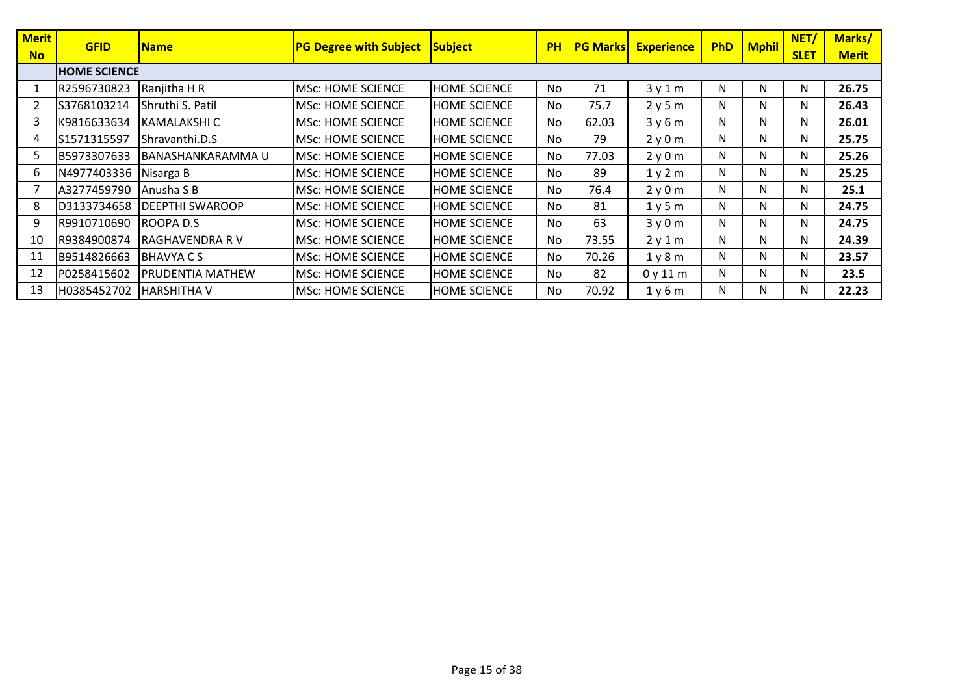| <b>Merit</b> | <b>GFID</b>         | Name                   | <b>PG Degree with Subject</b> | <b>Subject</b>      | <b>PH</b> | <b>PG Marks</b> | <b>Experience</b> | <b>PhD</b> | <b>Mphil</b> | NET/        | Marks/       |
|--------------|---------------------|------------------------|-------------------------------|---------------------|-----------|-----------------|-------------------|------------|--------------|-------------|--------------|
| <b>No</b>    |                     |                        |                               |                     |           |                 |                   |            |              | <b>SLET</b> | <b>Merit</b> |
|              | <b>HOME SCIENCE</b> |                        |                               |                     |           |                 |                   |            |              |             |              |
|              | R2596730823         | Ranjitha H R           | <b>MSc: HOME SCIENCE</b>      | <b>HOME SCIENCE</b> | No        | 71              | 3y1m              | N          | N            | N           | 26.75        |
|              | S3768103214         | Shruthi S. Patil       | <b>MSc: HOME SCIENCE</b>      | <b>HOME SCIENCE</b> | No        | 75.7            | 2y5m              | N          | N            | N           | 26.43        |
| 3            | K9816633634         | <b>KAMALAKSHI C</b>    | <b>MSc: HOME SCIENCE</b>      | <b>HOME SCIENCE</b> | No        | 62.03           | 3y6m              | N          | N            | N           | 26.01        |
| 4            | S1571315597         | Shravanthi.D.S         | <b>MSc: HOME SCIENCE</b>      | <b>HOME SCIENCE</b> | No        | 79              | 2y0m              | N          | N            | N           | 25.75        |
| כ            | B5973307633         | BANASHANKARAMMA U      | <b>MSc: HOME SCIENCE</b>      | <b>HOME SCIENCE</b> | No        | 77.03           | 2y0m              | N          | N            | N           | 25.26        |
| 6.           | N4977403336         | Nisarga B              | <b>MSc: HOME SCIENCE</b>      | <b>HOME SCIENCE</b> | <b>No</b> | 89              | 1y2m              | N          | N            | N           | 25.25        |
|              | A3277459790         | l Anusha S B           | <b>MSc: HOME SCIENCE</b>      | <b>HOME SCIENCE</b> | No        | 76.4            | 2y0m              | N          | N            | N           | 25.1         |
| 8            | D3133734658         | <b>DEEPTHI SWAROOP</b> | <b>MSc: HOME SCIENCE</b>      | <b>HOME SCIENCE</b> | No        | 81              | 1y5m              | N          | N            | N           | 24.75        |
| 9            | R9910710690         | ROOPA D.S.             | <b>MSc: HOME SCIENCE</b>      | <b>HOME SCIENCE</b> | <b>No</b> | 63              | 3y0m              | N          | N            | N           | 24.75        |
| 10           | R9384900874         | <b>RAGHAVENDRA R V</b> | <b>MSc: HOME SCIENCE</b>      | <b>HOME SCIENCE</b> | No        | 73.55           | 2y1m              | N          | N            | N           | 24.39        |
| 11           | B9514826663         | IBHAVYA C S            | <b>MSc: HOME SCIENCE</b>      | <b>HOME SCIENCE</b> | No        | 70.26           | 1y8m              | N          | N            | N           | 23.57        |
| 12           | P0258415602         | PRUDENTIA MATHEW       | <b>MSc: HOME SCIENCE</b>      | <b>HOME SCIENCE</b> | No        | 82              | 0y11m             | N          | N            | N           | 23.5         |
| 13           | H0385452702         | <b>HARSHITHA V</b>     | <b>MSc: HOME SCIENCE</b>      | <b>HOME SCIENCE</b> | No        | 70.92           | 1y6m              | N          | N            | N           | 22.23        |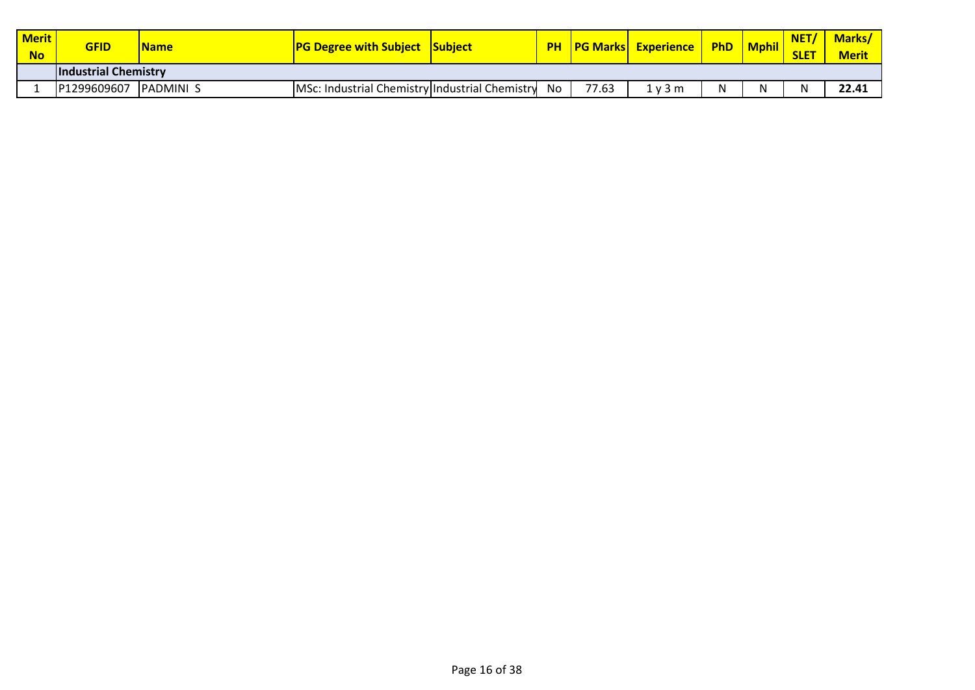| <b>Merit</b><br><b>No</b> | <b>GFID</b>                 | <b>Name</b>      | <b>PG Degree with Subject Subject</b>          |    |       | <b>PH PG Marks Experience PhD Mphil</b> |   | NET/<br><b>SLET</b> | Marks/<br><b>Merit</b> |
|---------------------------|-----------------------------|------------------|------------------------------------------------|----|-------|-----------------------------------------|---|---------------------|------------------------|
|                           | <b>Industrial Chemistry</b> |                  |                                                |    |       |                                         |   |                     |                        |
|                           | P1299609607                 | <b>PADMINI S</b> | MSc: Industrial Chemistry Industrial Chemistry | No | 77.63 | 1 v 3 m                                 | N | N                   | 22.41                  |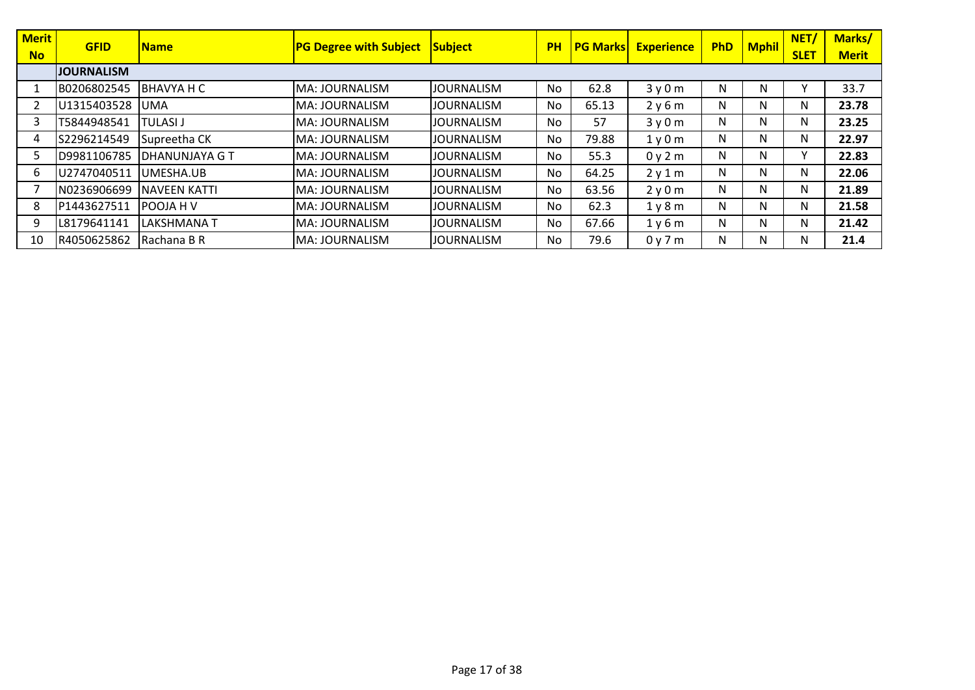| <b>Merit</b> | <b>GFID</b>       | <b>Name</b>           | <b>PG Degree with Subject</b> | <b>Subject</b>    | <b>PH</b> | <b>PG Marks</b> | <b>Experience</b>             | <b>PhD</b> | <b>Mphil</b> | NET/        | Marks/       |
|--------------|-------------------|-----------------------|-------------------------------|-------------------|-----------|-----------------|-------------------------------|------------|--------------|-------------|--------------|
| <b>No</b>    |                   |                       |                               |                   |           |                 |                               |            |              | <b>SLET</b> | <b>Merit</b> |
|              | <b>JOURNALISM</b> |                       |                               |                   |           |                 |                               |            |              |             |              |
|              | B0206802545       | BHAVYA H C            | MA: JOURNALISM                | <b>JOURNALISM</b> | No        | 62.8            | 3y0m                          | N          | N            |             | 33.7         |
|              | U1315403528       | <b>UMA</b>            | MA: JOURNALISM                | <b>JOURNALISM</b> | No        | 65.13           | 2y6m                          | N          | N            | N           | 23.78        |
| 3            | T5844948541       | TULASI J              | MA: JOURNALISM                | <b>JOURNALISM</b> | No        | 57              | 3y0m                          | N          | N            | N           | 23.25        |
| 4            | S2296214549       | Supreetha CK          | MA: JOURNALISM                | <b>JOURNALISM</b> | No        | 79.88           | 1 <sub>V</sub> 0 <sub>m</sub> | N          | N            | N           | 22.97        |
|              | D9981106785       | <b>DHANUNJAYA G T</b> | MA: JOURNALISM                | <b>JOURNALISM</b> | No        | 55.3            | 0y2m                          | Ν          | N            | Υ           | 22.83        |
| 6.           | U2747040511       | UMESHA.UB             | MA: JOURNALISM                | <b>JOURNALISM</b> | No        | 64.25           | 2y1m                          | N          | N            | N           | 22.06        |
|              | N0236906699       | <b>NAVEEN KATTI</b>   | MA: JOURNALISM                | <b>JOURNALISM</b> | No        | 63.56           | 2y0m                          | N          | N            | N           | 21.89        |
| 8            | P1443627511       | POOJA H V             | MA: JOURNALISM                | <b>JOURNALISM</b> | <b>No</b> | 62.3            | 1y8m                          | N          | N            | N           | 21.58        |
| 9            | L8179641141       | <b>LAKSHMANAT</b>     | MA: JOURNALISM                | <b>JOURNALISM</b> | No        | 67.66           | 1y6m                          | N          | N            | N           | 21.42        |
| 10           | R4050625862       | Rachana B R           | MA: JOURNALISM                | <b>JOURNALISM</b> | No        | 79.6            | 0y7m                          | N          | N            | N           | 21.4         |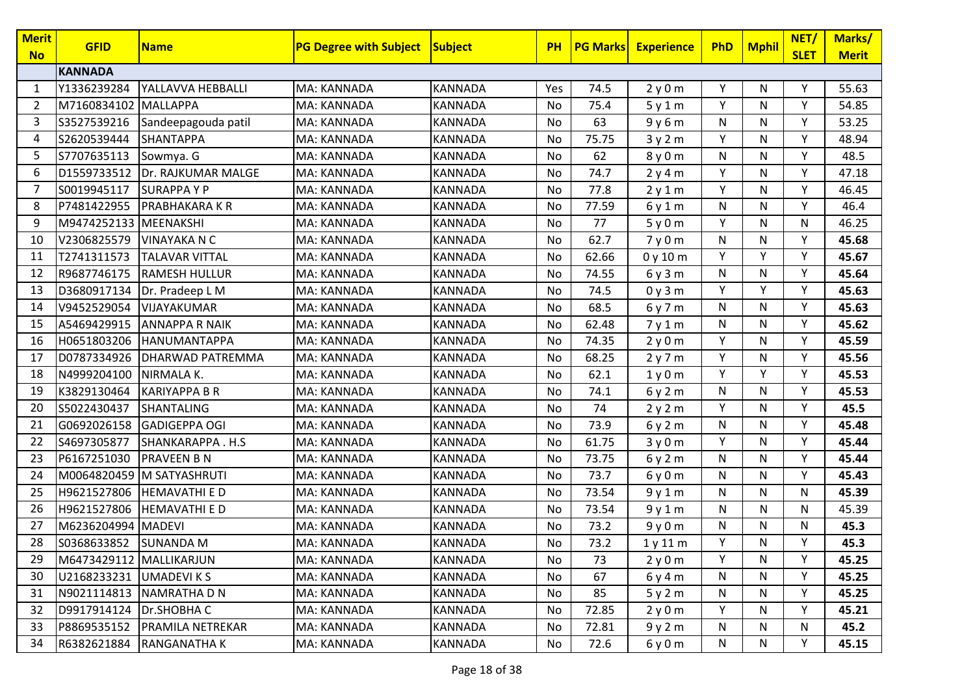| <b>Merit</b><br><b>No</b> | <b>GFID</b>             | <b>Name</b>           | <b>PG Degree with Subject</b> | Subject        | <b>PH</b> | <b>PG Marks</b> | <b>Experience</b> | <b>PhD</b> | <b>Mphil</b> | NET/<br><b>SLET</b> | Marks/<br><b>Merit</b> |
|---------------------------|-------------------------|-----------------------|-------------------------------|----------------|-----------|-----------------|-------------------|------------|--------------|---------------------|------------------------|
|                           | <b>KANNADA</b>          |                       |                               |                |           |                 |                   |            |              |                     |                        |
| 1                         | Y1336239284             | YALLAVVA HEBBALLI     | MA: KANNADA                   | <b>KANNADA</b> | Yes       | 74.5            | 2y0m              | Υ          | N            | Υ                   | 55.63                  |
| $\overline{2}$            | M7160834102             | MALLAPPA              | MA: KANNADA                   | KANNADA        | No        | 75.4            | 5y1m              | Y          | N            | Y                   | 54.85                  |
| 3                         | S3527539216             | Sandeepagouda patil   | MA: KANNADA                   | KANNADA        | No        | 63              | 9y6m              | N          | N            | Υ                   | 53.25                  |
| 4                         | S2620539444             | <b>SHANTAPPA</b>      | MA: KANNADA                   | <b>KANNADA</b> | No        | 75.75           | 3y2m              | Y          | N            | Y                   | 48.94                  |
| 5                         | S7707635113             | Sowmya. G             | MA: KANNADA                   | <b>KANNADA</b> | No        | 62              | 8y0m              | N          | N            | Y                   | 48.5                   |
| 6                         | D1559733512             | Dr. RAJKUMAR MALGE    | MA: KANNADA                   | <b>KANNADA</b> | No        | 74.7            | 2y4m              | Y          | N            | Y                   | 47.18                  |
| 7                         | S0019945117             | <b>SURAPPAYP</b>      | MA: KANNADA                   | KANNADA        | No        | 77.8            | 2y1m              | Υ          | N            | Y                   | 46.45                  |
| 8                         | P7481422955             | <b>PRABHAKARA K R</b> | MA: KANNADA                   | <b>KANNADA</b> | No        | 77.59           | 6y1m              | N          | $\mathsf{N}$ | Y                   | 46.4                   |
| 9                         | M9474252133 MEENAKSHI   |                       | MA: KANNADA                   | <b>KANNADA</b> | No        | 77              | 5y0m              | Y          | N            | N                   | 46.25                  |
| 10                        | V2306825579             | <b>VINAYAKA N C</b>   | MA: KANNADA                   | <b>KANNADA</b> | No        | 62.7            | 7y0m              | N          | N            | Y                   | 45.68                  |
| 11                        | T2741311573             | <b>TALAVAR VITTAL</b> | MA: KANNADA                   | <b>KANNADA</b> | No        | 62.66           | 0y10m             | Y          | Y            | Y                   | 45.67                  |
| 12                        | R9687746175             | <b>RAMESH HULLUR</b>  | MA: KANNADA                   | <b>KANNADA</b> | No        | 74.55           | 6y3m              | N          | N            | Y                   | 45.64                  |
| 13                        | D3680917134             | Dr. Pradeep L M       | MA: KANNADA                   | <b>KANNADA</b> | No        | 74.5            | 0y3m              | Y          | Y            | Y                   | 45.63                  |
| 14                        | V9452529054             | <b>VIJAYAKUMAR</b>    | MA: KANNADA                   | KANNADA        | No        | 68.5            | 6y7m              | N          | N            | Y                   | 45.63                  |
| 15                        | A5469429915             | <b>ANNAPPA R NAIK</b> | MA: KANNADA                   | <b>KANNADA</b> | No        | 62.48           | 7y1m              | N          | ${\sf N}$    | Υ                   | 45.62                  |
| 16                        | H0651803206             | <b>HANUMANTAPPA</b>   | MA: KANNADA                   | <b>KANNADA</b> | No        | 74.35           | 2y0m              | Y          | N            | Y                   | 45.59                  |
| 17                        | D0787334926             | DHARWAD PATREMMA      | MA: KANNADA                   | <b>KANNADA</b> | No        | 68.25           | 2y7m              | Y          | N            | Y                   | 45.56                  |
| 18                        | N4999204100             | NIRMALA K.            | MA: KANNADA                   | <b>KANNADA</b> | No        | 62.1            | 1y0m              | Y          | Y            | Y                   | 45.53                  |
| 19                        | K3829130464             | <b>KARIYAPPA B R</b>  | MA: KANNADA                   | KANNADA        | No        | 74.1            | 6y2m              | N          | N            | Y                   | 45.53                  |
| 20                        | S5022430437             | <b>SHANTALING</b>     | MA: KANNADA                   | KANNADA        | No        | 74              | 2y2m              | Y          | $\mathsf{N}$ | Y                   | 45.5                   |
| 21                        | G0692026158             | <b>GADIGEPPA OGI</b>  | MA: KANNADA                   | KANNADA        | No        | 73.9            | 6y2m              | N          | ${\sf N}$    | Y                   | 45.48                  |
| 22                        | S4697305877             | SHANKARAPPA.H.S       | MA: KANNADA                   | KANNADA        | No        | 61.75           | 3y0m              | Y          | N            | Y                   | 45.44                  |
| 23                        | P6167251030             | <b>PRAVEEN B N</b>    | MA: KANNADA                   | <b>KANNADA</b> | No        | 73.75           | 6y2m              | N          | N            | Y                   | 45.44                  |
| 24                        | M0064820459             | M SATYASHRUTI         | MA: KANNADA                   | <b>KANNADA</b> | No        | 73.7            | 6y0m              | N          | N            | Y                   | 45.43                  |
| 25                        | H9621527806             | <b>HEMAVATHI E D</b>  | MA: KANNADA                   | <b>KANNADA</b> | No        | 73.54           | 9y1m              | N          | N            | N                   | 45.39                  |
| 26                        | H9621527806             | <b>HEMAVATHI E D</b>  | MA: KANNADA                   | KANNADA        | No        | 73.54           | 9y1m              | N          | N            | N                   | 45.39                  |
| 27                        | M6236204994 MADEVI      |                       | MA: KANNADA                   | <b>KANNADA</b> | No        | 73.2            | 9y0m              | N          | N            | N                   | 45.3                   |
| 28                        | S0368633852 SUNANDA M   |                       | MA: KANNADA                   | <b>KANNADA</b> | No        | 73.2            | 1y11m             | Υ          | N            | Υ                   | 45.3                   |
| 29                        | M6473429112 MALLIKARJUN |                       | MA: KANNADA                   | <b>KANNADA</b> | No        | 73              | 2y0m              | Y          | N            | Y                   | 45.25                  |
| 30                        | U2168233231 UMADEVIKS   |                       | MA: KANNADA                   | KANNADA        | No        | 67              | 6y4m              | N          | N            | Υ                   | 45.25                  |
| 31                        | N9021114813             | NAMRATHA D N          | MA: KANNADA                   | KANNADA        | No        | 85              | 5y2m              | N          | N            | Y                   | 45.25                  |
| 32                        | D9917914124             | Dr.SHOBHAC            | MA: KANNADA                   | KANNADA        | No        | 72.85           | 2y0m              | Y          | N            | Υ                   | 45.21                  |
| 33                        | P8869535152             | PRAMILA NETREKAR      | MA: KANNADA                   | KANNADA        | No        | 72.81           | 9y2m              | N          | N            | N                   | 45.2                   |
| 34                        | R6382621884             | <b>RANGANATHAK</b>    | MA: KANNADA                   | KANNADA        | No        | 72.6            | 6y0m              | N          | N            | Y                   | 45.15                  |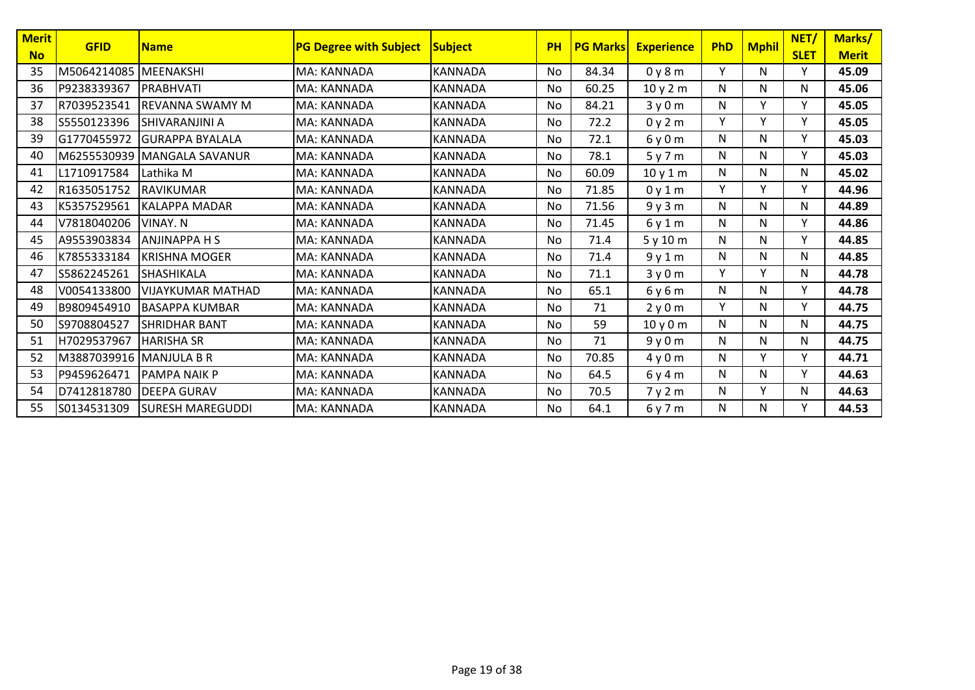| Merit           | <b>GFID</b>             | <b>Name</b>              | <b>PG Degree with Subject</b> | <b>Subject</b> | <b>PH</b> | <b>PG Marks</b> | <b>Experience</b> | <b>PhD</b> | <b>Mphil</b> | NET/             | Marks/                |
|-----------------|-------------------------|--------------------------|-------------------------------|----------------|-----------|-----------------|-------------------|------------|--------------|------------------|-----------------------|
| <b>No</b><br>35 | M5064214085             | <b>MEENAKSHI</b>         | MA: KANNADA                   | <b>KANNADA</b> | No        | 84.34           | 0y8m              | Υ          | N            | <b>SLET</b><br>Υ | <b>Merit</b><br>45.09 |
|                 |                         |                          |                               |                |           |                 |                   |            |              |                  |                       |
| 36              | P9238339367             | PRABHVATI                | MA: KANNADA                   | <b>KANNADA</b> | No        | 60.25           | 10y2m             | N          | N            | N                | 45.06                 |
| 37              | R7039523541             | <b>REVANNA SWAMY M</b>   | MA: KANNADA                   | <b>KANNADA</b> | No        | 84.21           | 3y0m              | N          | Y            | Υ                | 45.05                 |
| 38              | S5550123396             | SHIVARANJINI A           | MA: KANNADA                   | <b>KANNADA</b> | No        | 72.2            | 0y2m              | Y          | Y            | Y                | 45.05                 |
| 39              | G1770455972             | <b>GURAPPA BYALALA</b>   | MA: KANNADA                   | <b>KANNADA</b> | No        | 72.1            | 6y0m              | N          | N            | Υ                | 45.03                 |
| 40              | M6255530939             | <b>IMANGALA SAVANUR</b>  | MA: KANNADA                   | <b>KANNADA</b> | No        | 78.1            | 5y7m              | N          | N            | Y                | 45.03                 |
| 41              | L1710917584             | Lathika M                | MA: KANNADA                   | <b>KANNADA</b> | No        | 60.09           | 10y1m             | N          | N            | N                | 45.02                 |
| 42              | R1635051752             | <b>RAVIKUMAR</b>         | MA: KANNADA                   | <b>KANNADA</b> | No        | 71.85           | 0y1m              | Y          | Y            | Y                | 44.96                 |
| 43              | K5357529561             | KALAPPA MADAR            | MA: KANNADA                   | <b>KANNADA</b> | No        | 71.56           | 9y3m              | N          | N            | N                | 44.89                 |
| 44              | V7818040206             | <b>VINAY, N</b>          | MA: KANNADA                   | <b>KANNADA</b> | No        | 71.45           | 6y1m              | N          | N            | Y                | 44.86                 |
| 45              | A9553903834             | <b>ANJINAPPA H S</b>     | MA: KANNADA                   | <b>KANNADA</b> | No        | 71.4            | 5y10m             | N          | N            | Υ                | 44.85                 |
| 46              | K7855333184             | <b>KRISHNA MOGER</b>     | MA: KANNADA                   | <b>KANNADA</b> | <b>No</b> | 71.4            | 9y1m              | N          | N            | N                | 44.85                 |
| 47              | S5862245261             | <b>SHASHIKALA</b>        | MA: KANNADA                   | <b>KANNADA</b> | No.       | 71.1            | 3y0m              | Υ          | Y            | N                | 44.78                 |
| 48              | V0054133800             | <b>VIJAYKUMAR MATHAD</b> | MA: KANNADA                   | KANNADA        | No        | 65.1            | 6y6m              | N          | N            | Y                | 44.78                 |
| 49              | B9809454910             | <b>BASAPPA KUMBAR</b>    | MA: KANNADA                   | <b>KANNADA</b> | No        | 71              | 2y0m              | Υ          | N            | Y                | 44.75                 |
| 50              | S9708804527             | <b>SHRIDHAR BANT</b>     | MA: KANNADA                   | KANNADA        | No        | 59              | 10y0m             | N          | N            | N                | 44.75                 |
| 51              | H7029537967             | <b>HARISHA SR</b>        | MA: KANNADA                   | <b>KANNADA</b> | No        | 71              | 9y0m              | N          | N            | N                | 44.75                 |
| 52              | M3887039916 MANJULA B R |                          | MA: KANNADA                   | <b>KANNADA</b> | No        | 70.85           | 4y0m              | N          | Y            | Υ                | 44.71                 |
| 53              | P9459626471             | <b>PAMPA NAIK P</b>      | MA: KANNADA                   | <b>KANNADA</b> | No        | 64.5            | 6y4m              | N          | N            | Y                | 44.63                 |
| 54              | D7412818780             | <b>DEEPA GURAV</b>       | MA: KANNADA                   | <b>KANNADA</b> | No        | 70.5            | 7y2m              | N          | Y            | N                | 44.63                 |
| 55              | S0134531309             | <b>SURESH MAREGUDDI</b>  | MA: KANNADA                   | <b>KANNADA</b> | No        | 64.1            | 6y7m              | N          | N            | Y                | 44.53                 |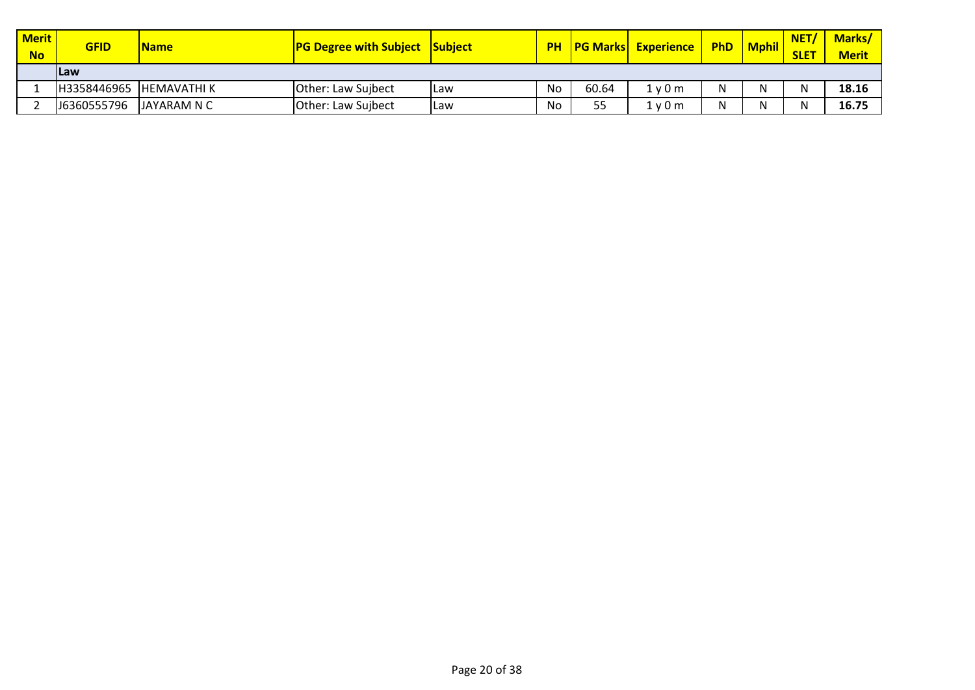| <b>Merit</b><br><b>No</b> | <b>GFID</b> | <b>Name</b>         | <b>PG Degree with Subject Subject</b> |       |    |       | <b>PH   PG Marks  Experience  </b> | <b>PhD</b> | <b>Mphil</b> | NET/<br><b>SLET</b> | <b>Marks/</b><br><b>Merit</b> |
|---------------------------|-------------|---------------------|---------------------------------------|-------|----|-------|------------------------------------|------------|--------------|---------------------|-------------------------------|
|                           | <b>ILaw</b> |                     |                                       |       |    |       |                                    |            |              |                     |                               |
|                           | H3358446965 | <b>IHEMAVATHI K</b> | Other: Law Sujbect                    | l Law | No | 60.64 | 1 v 0 m                            |            | N            | N                   | 18.16                         |
|                           | J6360555796 | JAYARAM N C         | Other: Law Sujbect                    | ILaw  | No | 55    | l v 0 m                            |            | N            | N                   | 16.75                         |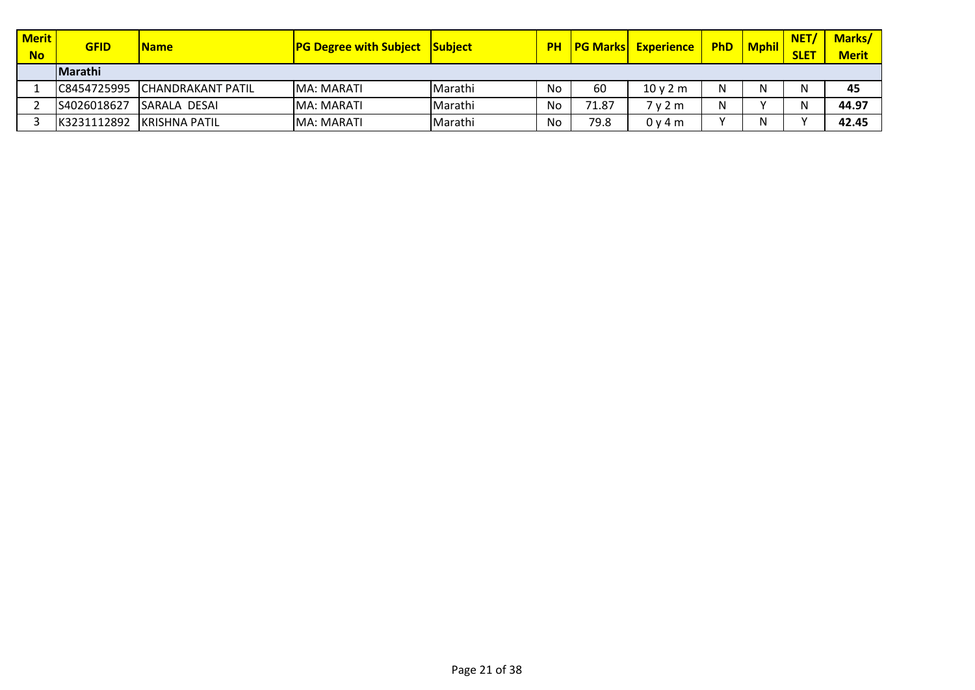| <b>Merit</b><br><b>No</b> | <b>GFID</b> | <b>Name</b>                   | <b>PG Degree with Subject</b> | <b>Subject</b> |    |       | <b>PH   PG Marks   Experience</b> | <b>PhD</b> | <b>Mphil</b> | <b>NET</b><br><b>SLET</b> | <b>Marks/</b><br><b>Merit</b> |
|---------------------------|-------------|-------------------------------|-------------------------------|----------------|----|-------|-----------------------------------|------------|--------------|---------------------------|-------------------------------|
|                           | lMarathi    |                               |                               |                |    |       |                                   |            |              |                           |                               |
|                           |             | C8454725995 CHANDRAKANT PATIL | MA: MARATI                    | Marathi        | No | 60    | 10v2m                             | N          |              | N                         | 45                            |
|                           | S4026018627 | <b>ISARALA DESAI</b>          | MA: MARATI                    | Marathi        | No | 71.87 | 7 v 2 m                           |            |              | N                         | 44.97                         |
|                           | K3231112892 | <b>IKRISHNA PATIL</b>         | MA: MARATI                    | Marathi        | No | 79.8  | 0v4m                              |            |              | $\lambda$                 | 42.45                         |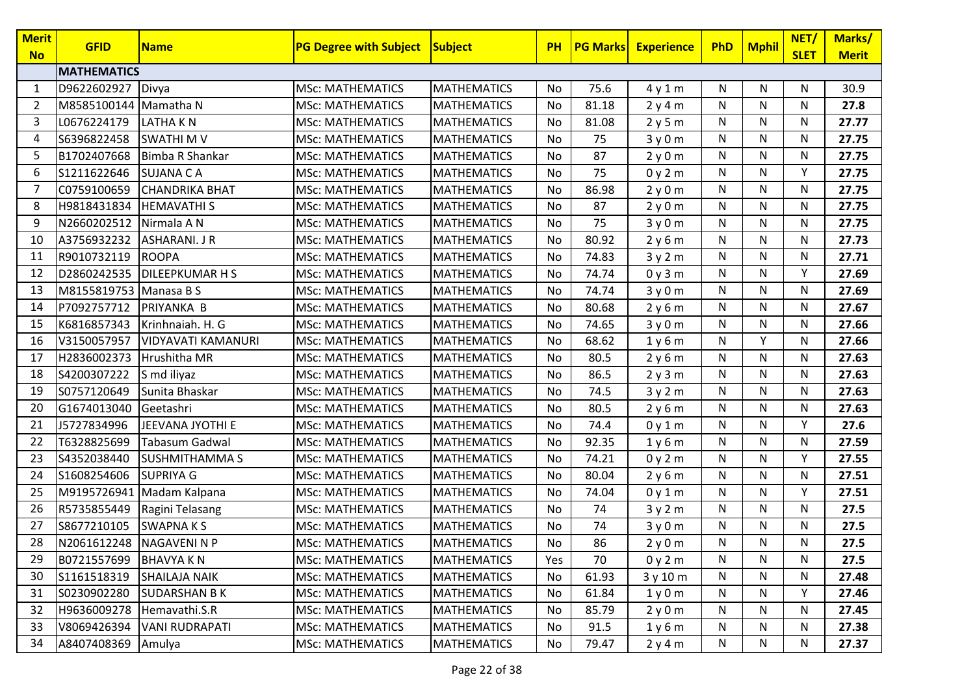| <b>Merit</b><br><b>No</b> | <b>GFID</b>            | <b>Name</b>               | <b>PG Degree with Subject</b> | Subject            | <b>PH</b> | <b>PG Marks</b> | <b>Experience</b> | PhD | <b>Mphil</b> | NET/<br><b>SLET</b> | Marks/<br><b>Merit</b> |
|---------------------------|------------------------|---------------------------|-------------------------------|--------------------|-----------|-----------------|-------------------|-----|--------------|---------------------|------------------------|
|                           | <b>MATHEMATICS</b>     |                           |                               |                    |           |                 |                   |     |              |                     |                        |
| 1                         | D9622602927            | Divya                     | <b>MSc: MATHEMATICS</b>       | <b>MATHEMATICS</b> | No        | 75.6            | 4y1m              | N   | N            | N                   | 30.9                   |
| 2                         | M8585100144 Mamatha N  |                           | <b>MSc: MATHEMATICS</b>       | <b>MATHEMATICS</b> | No        | 81.18           | 2y4m              | N   | $\mathsf{N}$ | N                   | 27.8                   |
| 3                         | L0676224179            | <b>LATHAKN</b>            | <b>MSc: MATHEMATICS</b>       | <b>MATHEMATICS</b> | No        | 81.08           | 2y5m              | N   | N            | N                   | 27.77                  |
| 4                         | S6396822458            | <b>SWATHIMV</b>           | <b>MSc: MATHEMATICS</b>       | <b>MATHEMATICS</b> | No        | 75              | 3y0m              | N   | N            | N                   | 27.75                  |
| 5                         | B1702407668            | Bimba R Shankar           | <b>MSc: MATHEMATICS</b>       | <b>MATHEMATICS</b> | No        | 87              | 2y0m              | N   | N            | N                   | 27.75                  |
| 6                         | S1211622646            | <b>SUJANA CA</b>          | <b>MSc: MATHEMATICS</b>       | <b>MATHEMATICS</b> | No        | 75              | 0y2m              | N   | $\mathsf{N}$ | Υ                   | 27.75                  |
| 7                         | C0759100659            | <b>CHANDRIKA BHAT</b>     | <b>MSc: MATHEMATICS</b>       | <b>MATHEMATICS</b> | No        | 86.98           | 2y0m              | N   | N            | N                   | 27.75                  |
| 8                         | H9818431834            | <b>HEMAVATHIS</b>         | <b>MSc: MATHEMATICS</b>       | <b>MATHEMATICS</b> | No        | 87              | 2y0m              | N   | $\mathsf{N}$ | N                   | 27.75                  |
| 9                         | N2660202512            | Nirmala A N               | <b>MSc: MATHEMATICS</b>       | <b>MATHEMATICS</b> | No        | 75              | 3y0m              | N   | N            | N                   | 27.75                  |
| 10                        | A3756932232            | <b>ASHARANI. J R</b>      | <b>MSc: MATHEMATICS</b>       | <b>MATHEMATICS</b> | No        | 80.92           | 2y6m              | N   | N            | N                   | 27.73                  |
| 11                        | R9010732119            | ROOPA                     | <b>MSc: MATHEMATICS</b>       | <b>MATHEMATICS</b> | No        | 74.83           | 3y2m              | N   | $\mathsf{N}$ | N                   | 27.71                  |
| 12                        | D2860242535            | <b>DILEEPKUMAR H S</b>    | <b>MSc: MATHEMATICS</b>       | <b>MATHEMATICS</b> | No        | 74.74           | 0y3m              | N   | N            | Y                   | 27.69                  |
| 13                        | M8155819753 Manasa B S |                           | <b>MSc: MATHEMATICS</b>       | <b>MATHEMATICS</b> | No        | 74.74           | 3y0m              | N   | $\mathsf{N}$ | N                   | 27.69                  |
| 14                        | P7092757712            | PRIYANKA B                | <b>MSc: MATHEMATICS</b>       | <b>MATHEMATICS</b> | No        | 80.68           | 2y6m              | N   | $\mathsf{N}$ | N                   | 27.67                  |
| 15                        | K6816857343            | Krinhnaiah. H. G          | <b>MSc: MATHEMATICS</b>       | <b>MATHEMATICS</b> | No        | 74.65           | 3y0m              | N   | N            | N                   | 27.66                  |
| 16                        | V3150057957            | VIDYAVATI KAMANURI        | <b>MSc: MATHEMATICS</b>       | <b>MATHEMATICS</b> | No        | 68.62           | 1y6m              | N   | Y            | N                   | 27.66                  |
| 17                        | H2836002373            | Hrushitha MR              | <b>MSc: MATHEMATICS</b>       | <b>MATHEMATICS</b> | No        | 80.5            | 2y6m              | N   | N            | N                   | 27.63                  |
| 18                        | S4200307222            | S md iliyaz               | <b>MSc: MATHEMATICS</b>       | <b>MATHEMATICS</b> | No        | 86.5            | 2y3m              | N   | N            | N                   | 27.63                  |
| 19                        | S0757120649            | Sunita Bhaskar            | <b>MSc: MATHEMATICS</b>       | <b>MATHEMATICS</b> | No        | 74.5            | 3y2m              | N   | N            | N                   | 27.63                  |
| 20                        | G1674013040            | Geetashri                 | <b>MSc: MATHEMATICS</b>       | <b>MATHEMATICS</b> | No        | 80.5            | 2y6m              | N   | $\mathsf{N}$ | N                   | 27.63                  |
| 21                        | J5727834996            | JEEVANA JYOTHI E          | <b>MSc: MATHEMATICS</b>       | <b>MATHEMATICS</b> | No        | 74.4            | 0y1m              | N   | $\mathsf{N}$ | Y                   | 27.6                   |
| 22                        | T6328825699            | <b>Tabasum Gadwal</b>     | <b>MSc: MATHEMATICS</b>       | <b>MATHEMATICS</b> | No        | 92.35           | 1y6m              | N   | ${\sf N}$    | N                   | 27.59                  |
| 23                        | S4352038440            | <b>SUSHMITHAMMAS</b>      | <b>MSc: MATHEMATICS</b>       | <b>MATHEMATICS</b> | No        | 74.21           | 0y2m              | N   | N            | Y                   | 27.55                  |
| 24                        | S1608254606            | <b>SUPRIYA G</b>          | <b>MSc: MATHEMATICS</b>       | <b>MATHEMATICS</b> | No        | 80.04           | 2y6m              | N   | N            | N                   | 27.51                  |
| 25                        |                        | M9195726941 Madam Kalpana | <b>MSc: MATHEMATICS</b>       | <b>MATHEMATICS</b> | No        | 74.04           | 0y1m              | N   | N            | Y                   | 27.51                  |
| 26                        | R5735855449            | Ragini Telasang           | <b>MSc: MATHEMATICS</b>       | <b>MATHEMATICS</b> | No        | 74              | 3y2m              | N   | N            | N                   | 27.5                   |
| 27                        | S8677210105            | <b>SWAPNAKS</b>           | <b>MSc: MATHEMATICS</b>       | <b>MATHEMATICS</b> | No        | 74              | 3y0m              | N   | $\mathsf{N}$ | N                   | 27.5                   |
| 28                        | N2061612248 NAGAVENINP |                           | <b>MSc: MATHEMATICS</b>       | <b>MATHEMATICS</b> | No        | 86              | 2y0m              | N   | N            | N                   | 27.5                   |
| 29                        | B0721557699            | <b>BHAVYA K N</b>         | <b>MSc: MATHEMATICS</b>       | <b>MATHEMATICS</b> | Yes       | 70              | 0y2m              | N   | N            | N                   | 27.5                   |
| 30                        | S1161518319            | <b>SHAILAJA NAIK</b>      | <b>MSc: MATHEMATICS</b>       | <b>MATHEMATICS</b> | No        | 61.93           | 3y10m             | N   | N            | N                   | 27.48                  |
| 31                        | S0230902280            | <b>SUDARSHAN B K</b>      | <b>MSc: MATHEMATICS</b>       | <b>MATHEMATICS</b> | No        | 61.84           | 1y0m              | N   | N            | Y                   | 27.46                  |
| 32                        | H9636009278            | Hemavathi.S.R             | <b>MSc: MATHEMATICS</b>       | <b>MATHEMATICS</b> | No        | 85.79           | 2y0m              | N   | N            | N                   | 27.45                  |
| 33                        | V8069426394            | <b>VANI RUDRAPATI</b>     | <b>MSc: MATHEMATICS</b>       | <b>MATHEMATICS</b> | No        | 91.5            | 1y6m              | N   | N            | N                   | 27.38                  |
| 34                        | A8407408369            | Amulya                    | <b>MSc: MATHEMATICS</b>       | <b>MATHEMATICS</b> | No        | 79.47           | 2y4m              | N   | N            | N                   | 27.37                  |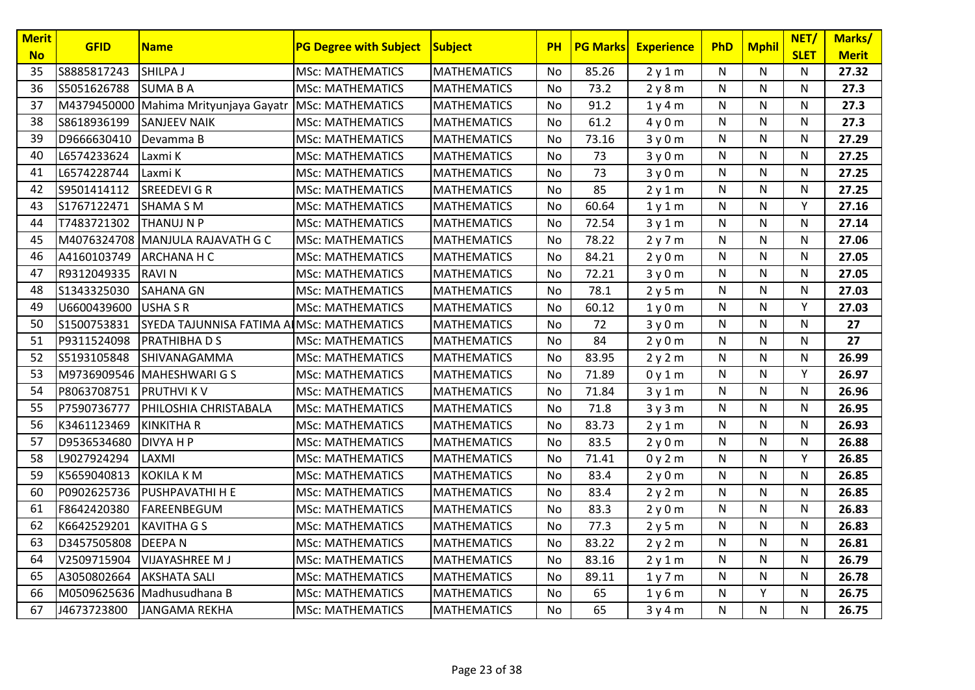| <b>Merit</b><br><b>No</b> | <b>GFID</b> | <b>Name</b>                               | <b>PG Degree with Subject</b> | <b>Subject</b>     | <b>PH</b> | <b>PG Marks</b> | <b>Experience</b> | <b>PhD</b>   | <b>Mphil</b> | NET/<br><b>SLET</b> | Marks/<br><b>Merit</b> |
|---------------------------|-------------|-------------------------------------------|-------------------------------|--------------------|-----------|-----------------|-------------------|--------------|--------------|---------------------|------------------------|
| 35                        | S8885817243 | SHILPA J                                  | <b>MSc: MATHEMATICS</b>       | <b>MATHEMATICS</b> | No        | 85.26           | 2y1m              | N            | N            | N                   | 27.32                  |
| 36                        | S5051626788 | <b>SUMABA</b>                             | <b>MSc: MATHEMATICS</b>       | <b>MATHEMATICS</b> | No        | 73.2            | 2y8m              | N            | $\mathsf{N}$ | ${\sf N}$           | 27.3                   |
| 37                        | M4379450000 | Mahima Mrityunjaya Gayatr                 | <b>MSc: MATHEMATICS</b>       | <b>MATHEMATICS</b> | No        | 91.2            | 1y4m              | N            | $\mathsf{N}$ | $\mathsf{N}$        | 27.3                   |
| 38                        | S8618936199 | <b>SANJEEV NAIK</b>                       | <b>MSc: MATHEMATICS</b>       | <b>MATHEMATICS</b> | No        | 61.2            | 4y0m              | N            | N            | N                   | 27.3                   |
| 39                        | D9666630410 | Devamma B                                 | <b>MSc: MATHEMATICS</b>       | <b>MATHEMATICS</b> | No        | 73.16           | 3y0m              | $\mathsf{N}$ | N            | N                   | 27.29                  |
| 40                        | L6574233624 | Laxmi K                                   | <b>MSc: MATHEMATICS</b>       | <b>MATHEMATICS</b> | No        | 73              | 3y0m              | N            | N            | N                   | 27.25                  |
| 41                        | L6574228744 | Laxmi K                                   | <b>MSc: MATHEMATICS</b>       | <b>MATHEMATICS</b> | No        | 73              | 3y0m              | N            | N            | N                   | 27.25                  |
| 42                        | S9501414112 | <b>SREEDEVIGR</b>                         | <b>MSc: MATHEMATICS</b>       | <b>MATHEMATICS</b> | No        | 85              | 2y1m              | N            | N            | N                   | 27.25                  |
| 43                        | S1767122471 | <b>SHAMA SM</b>                           | <b>MSc: MATHEMATICS</b>       | <b>MATHEMATICS</b> | No        | 60.64           | 1y1m              | $\mathsf{N}$ | N            | Y                   | 27.16                  |
| 44                        | T7483721302 | <b>THANUJ N P</b>                         | <b>MSc: MATHEMATICS</b>       | <b>MATHEMATICS</b> | No        | 72.54           | 3y1m              | N            | $\mathsf{N}$ | N                   | 27.14                  |
| 45                        | M4076324708 | MANJULA RAJAVATH G C                      | <b>MSc: MATHEMATICS</b>       | <b>MATHEMATICS</b> | No        | 78.22           | 2y7m              | N            | N            | N                   | 27.06                  |
| 46                        | A4160103749 | <b>ARCHANA H C</b>                        | <b>MSc: MATHEMATICS</b>       | <b>MATHEMATICS</b> | No        | 84.21           | 2y0m              | N            | N            | $\mathsf{N}$        | 27.05                  |
| 47                        | R9312049335 | <b>RAVIN</b>                              | <b>MSc: MATHEMATICS</b>       | <b>MATHEMATICS</b> | No        | 72.21           | 3y0m              | N            | $\mathsf{N}$ | ${\sf N}$           | 27.05                  |
| 48                        | S1343325030 | <b>SAHANA GN</b>                          | <b>MSc: MATHEMATICS</b>       | <b>MATHEMATICS</b> | No        | 78.1            | 2y5m              | N            | N            | N                   | 27.03                  |
| 49                        | U6600439600 | <b>USHA S R</b>                           | <b>MSc: MATHEMATICS</b>       | <b>MATHEMATICS</b> | No        | 60.12           | 1y0m              | N            | N            | Y                   | 27.03                  |
| 50                        | S1500753831 | SYEDA TAJUNNISA FATIMA ALMSc: MATHEMATICS |                               | <b>MATHEMATICS</b> | No        | 72              | 3y0m              | N            | N            | N                   | 27                     |
| 51                        | P9311524098 | <b>PRATHIBHADS</b>                        | <b>MSc: MATHEMATICS</b>       | <b>MATHEMATICS</b> | No        | 84              | 2y0m              | N            | $\mathsf{N}$ | ${\sf N}$           | 27                     |
| 52                        | S5193105848 | SHIVANAGAMMA                              | <b>MSc: MATHEMATICS</b>       | <b>MATHEMATICS</b> | No        | 83.95           | 2y2m              | N            | $\mathsf{N}$ | $\mathsf{N}$        | 26.99                  |
| 53                        | M9736909546 | MAHESHWARI G S                            | <b>MSc: MATHEMATICS</b>       | <b>MATHEMATICS</b> | No        | 71.89           | 0y1m              | N            | $\mathsf{N}$ | Y                   | 26.97                  |
| 54                        | P8063708751 | <b>PRUTHVIKV</b>                          | <b>MSc: MATHEMATICS</b>       | <b>MATHEMATICS</b> | No        | 71.84           | 3y1m              | N            | $\mathsf{N}$ | $\mathsf{N}$        | 26.96                  |
| 55                        | P7590736777 | PHILOSHIA CHRISTABALA                     | <b>MSc: MATHEMATICS</b>       | <b>MATHEMATICS</b> | No        | 71.8            | 3y3m              | N            | N            | N                   | 26.95                  |
| 56                        | K3461123469 | KINKITHA R                                | <b>MSc: MATHEMATICS</b>       | <b>MATHEMATICS</b> | No        | 83.73           | 2y1m              | N            | N            | N                   | 26.93                  |
| 57                        | D9536534680 | DIVYA H P                                 | <b>MSc: MATHEMATICS</b>       | <b>MATHEMATICS</b> | No        | 83.5            | 2y0m              | N            | $\mathsf{N}$ | N                   | 26.88                  |
| 58                        | L9027924294 | LAXMI                                     | <b>MSc: MATHEMATICS</b>       | <b>MATHEMATICS</b> | No        | 71.41           | 0y2m              | N            | $\mathsf{N}$ | Y                   | 26.85                  |
| 59                        | K5659040813 | <b>KOKILA KM</b>                          | <b>MSc: MATHEMATICS</b>       | <b>MATHEMATICS</b> | No        | 83.4            | 2y0m              | N            | N            | $\mathsf{N}$        | 26.85                  |
| 60                        | P0902625736 | PUSHPAVATHI H E                           | <b>MSc: MATHEMATICS</b>       | <b>MATHEMATICS</b> | No        | 83.4            | 2y2m              | N            | $\mathsf{N}$ | $\mathsf{N}$        | 26.85                  |
| 61                        | F8642420380 | FAREENBEGUM                               | <b>MSc: MATHEMATICS</b>       | <b>MATHEMATICS</b> | No        | 83.3            | 2y0m              | N            | N            | $\mathsf{N}$        | 26.83                  |
| 62                        | K6642529201 | <b>KAVITHA G S</b>                        | <b>MSc: MATHEMATICS</b>       | <b>MATHEMATICS</b> | No        | 77.3            | 2y5m              | N            | $\mathsf{N}$ | $\mathsf{N}$        | 26.83                  |
| 63                        | D3457505808 | <b>DEEPAN</b>                             | <b>MSc: MATHEMATICS</b>       | <b>MATHEMATICS</b> | No        | 83.22           | 2y2m              | N            | N            | N                   | 26.81                  |
| 64                        | V2509715904 | <b>VIJAYASHREE M J</b>                    | <b>MSc: MATHEMATICS</b>       | <b>MATHEMATICS</b> | No        | 83.16           | 2y1m              | N            | $\mathsf{N}$ | N                   | 26.79                  |
| 65                        | A3050802664 | <b>AKSHATA SALI</b>                       | <b>MSc: MATHEMATICS</b>       | <b>MATHEMATICS</b> | No        | 89.11           | 1y7m              | N            | N            | N                   | 26.78                  |
| 66                        | M0509625636 | Madhusudhana B                            | <b>MSc: MATHEMATICS</b>       | <b>MATHEMATICS</b> | No        | 65              | 1y6m              | N            | Y            | $\mathsf{N}$        | 26.75                  |
| 67                        | J4673723800 | <b>JANGAMA REKHA</b>                      | <b>MSc: MATHEMATICS</b>       | <b>MATHEMATICS</b> | No.       | 65              | 3y4m              | N            | $\mathsf{N}$ | N                   | 26.75                  |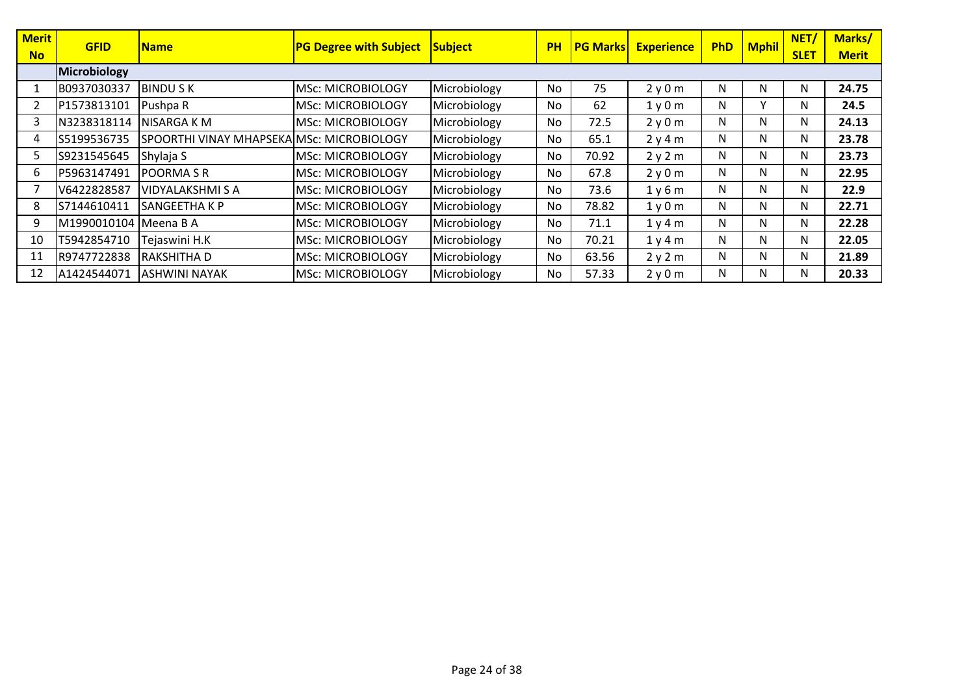| <b>Merit</b> | <b>GFID</b>  | <b>Name</b>                               | <b>PG Degree with Subject</b> | Subject      | <b>PH</b> | <b>PG Marks</b> | <b>Experience</b> | <b>PhD</b> | <b>Mphil</b> | <b>NET</b>  | Marks/       |
|--------------|--------------|-------------------------------------------|-------------------------------|--------------|-----------|-----------------|-------------------|------------|--------------|-------------|--------------|
| <b>No</b>    |              |                                           |                               |              |           |                 |                   |            |              | <b>SLET</b> | <b>Merit</b> |
|              | Microbiology |                                           |                               |              |           |                 |                   |            |              |             |              |
|              | B0937030337  | <b>BINDU S K</b>                          | <b>MSc: MICROBIOLOGY</b>      | Microbiology | <b>No</b> | 75              | 2y0m              | N          | N            | N           | 24.75        |
|              | P1573813101  | Pushpa R                                  | <b>MSc: MICROBIOLOGY</b>      | Microbiology | No        | 62              | 1y0m              | N          | $\checkmark$ | N           | 24.5         |
| 3            | N3238318114  | NISARGA K M                               | <b>MSc: MICROBIOLOGY</b>      | Microbiology | No        | 72.5            | 2y0m              | N          | N            | N           | 24.13        |
| 4            | S5199536735  | SPOORTHI VINAY MHAPSEKAIMSC: MICROBIOLOGY |                               | Microbiology | No        | 65.1            | 2y4m              | N          | N            | N           | 23.78        |
| 5.           | S9231545645  | Shylaja S                                 | <b>MSc: MICROBIOLOGY</b>      | Microbiology | No        | 70.92           | 2y2m              | N          | N            | N           | 23.73        |
| 6.           | P5963147491  | <b>POORMASR</b>                           | <b>MSc: MICROBIOLOGY</b>      | Microbiology | No        | 67.8            | 2y0m              | N          | N            | N           | 22.95        |
|              | V6422828587  | VIDYALAKSHMI S A                          | <b>MSc: MICROBIOLOGY</b>      | Microbiology | No        | 73.6            | 1y6m              | N          | N            | N           | 22.9         |
| 8            | S7144610411  | SANGEETHA K P                             | MSc: MICROBIOLOGY             | Microbiology | No        | 78.82           | 1y0m              | N          | N            | N           | 22.71        |
| 9            | M1990010104  | Meena B A                                 | <b>MSc: MICROBIOLOGY</b>      | Microbiology | No        | 71.1            | 1y4m              | N          | N            | N           | 22.28        |
| 10           | T5942854710  | Tejaswini H.K                             | <b>MSc: MICROBIOLOGY</b>      | Microbiology | No        | 70.21           | 1y4m              | N          | N            | N           | 22.05        |
| 11           | R9747722838  | <b>RAKSHITHAD</b>                         | <b>MSc: MICROBIOLOGY</b>      | Microbiology | No        | 63.56           | 2y2m              | N          | N            | N           | 21.89        |
| 12           | A1424544071  | <b>ASHWINI NAYAK</b>                      | <b>MSc: MICROBIOLOGY</b>      | Microbiology | No        | 57.33           | 2y0m              | N          | N            | N           | 20.33        |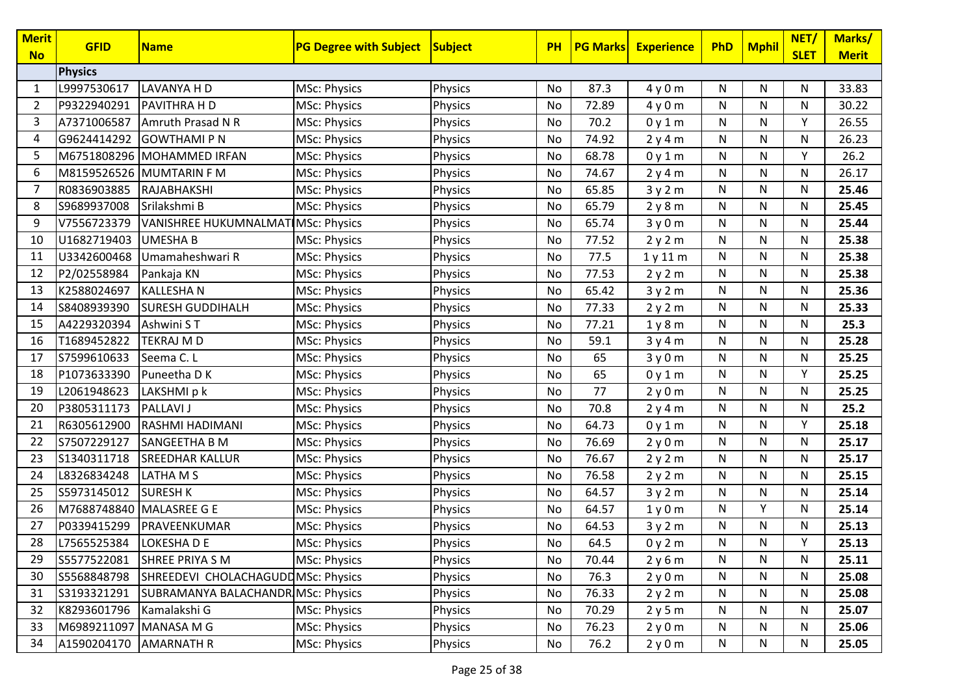| <b>Merit</b><br><b>No</b> | <b>GFID</b>    | <b>Name</b>                        | <b>PG Degree with Subject</b> | Subject        | <b>PH</b> | <b>PG Marks</b> | <b>Experience</b> | <b>PhD</b> | <b>Mphil</b> | NET/<br><b>SLET</b> | Marks/<br><b>Merit</b> |
|---------------------------|----------------|------------------------------------|-------------------------------|----------------|-----------|-----------------|-------------------|------------|--------------|---------------------|------------------------|
|                           | <b>Physics</b> |                                    |                               |                |           |                 |                   |            |              |                     |                        |
| 1                         | L9997530617    | LAVANYA H D                        | <b>MSc: Physics</b>           | Physics        | No        | 87.3            | 4y0m              | N          | N            | N                   | 33.83                  |
| 2                         | P9322940291    | PAVITHRA H D                       | <b>MSc: Physics</b>           | Physics        | No        | 72.89           | 4y0m              | N          | N            | N                   | 30.22                  |
| 3                         | A7371006587    | Amruth Prasad N R                  | MSc: Physics                  | Physics        | No        | 70.2            | 0y1m              | N          | ${\sf N}$    | Υ                   | 26.55                  |
| 4                         | G9624414292    | <b>GOWTHAMI P N</b>                | <b>MSc: Physics</b>           | Physics        | No        | 74.92           | 2y4m              | N          | ${\sf N}$    | N                   | 26.23                  |
| 5                         | M6751808296    | <b>MOHAMMED IRFAN</b>              | <b>MSc: Physics</b>           | Physics        | No        | 68.78           | 0y1m              | N          | ${\sf N}$    | Y                   | 26.2                   |
| 6                         |                | <b>M8159526526 MUMTARIN F M</b>    | <b>MSc: Physics</b>           | Physics        | No        | 74.67           | 2y4m              | N          | N            | N                   | 26.17                  |
| 7                         | R0836903885    | RAJABHAKSHI                        | MSc: Physics                  | Physics        | No        | 65.85           | 3y2m              | N          | N            | N                   | 25.46                  |
| 8                         | S9689937008    | Srilakshmi B                       | <b>MSc: Physics</b>           | Physics        | No        | 65.79           | 2y8m              | N          | N            | N                   | 25.45                  |
| 9                         | V7556723379    | VANISHREE HUKUMNALMATIMSc: Physics |                               | Physics        | No        | 65.74           | 3y0m              | N          | ${\sf N}$    | N                   | 25.44                  |
| 10                        | U1682719403    | <b>UMESHA B</b>                    | MSc: Physics                  | Physics        | No        | 77.52           | 2y2m              | N          | N            | N                   | 25.38                  |
| 11                        | U3342600468    | Umamaheshwari R                    | <b>MSc: Physics</b>           | Physics        | No        | 77.5            | 1y11m             | N          | N            | N                   | 25.38                  |
| 12                        | P2/02558984    | Pankaja KN                         | MSc: Physics                  | Physics        | No        | 77.53           | 2y2m              | N          | N            | N                   | 25.38                  |
| 13                        | K2588024697    | <b>KALLESHAN</b>                   | <b>MSc: Physics</b>           | Physics        | No        | 65.42           | 3y2m              | N          | N            | N                   | 25.36                  |
| 14                        | S8408939390    | <b>SURESH GUDDIHALH</b>            | MSc: Physics                  | <b>Physics</b> | No        | 77.33           | 2y2m              | N          | N            | N                   | 25.33                  |
| 15                        | A4229320394    | Ashwini ST                         | MSc: Physics                  | Physics        | No        | 77.21           | 1y8m              | N          | ${\sf N}$    | N                   | 25.3                   |
| 16                        | T1689452822    | <b>TEKRAJ M D</b>                  | <b>MSc: Physics</b>           | Physics        | No        | 59.1            | 3y4m              | N          | ${\sf N}$    | N                   | 25.28                  |
| 17                        | S7599610633    | Seema C. L                         | MSc: Physics                  | Physics        | No        | 65              | 3y0m              | N          | N            | N                   | 25.25                  |
| 18                        | P1073633390    | Puneetha D K                       | <b>MSc: Physics</b>           | Physics        | No        | 65              | 0y1m              | N          | N            | Y                   | 25.25                  |
| 19                        | L2061948623    | LAKSHMI p k                        | MSc: Physics                  | Physics        | No        | 77              | 2y0m              | N          | ${\sf N}$    | N                   | 25.25                  |
| 20                        | P3805311173    | <b>PALLAVI J</b>                   | <b>MSc: Physics</b>           | Physics        | No        | 70.8            | 2y4m              | N          | N            | N                   | 25.2                   |
| 21                        | R6305612900    | RASHMI HADIMANI                    | <b>MSc: Physics</b>           | <b>Physics</b> | No        | 64.73           | 0y1m              | N          | N            | Υ                   | 25.18                  |
| 22                        | S7507229127    | SANGEETHA B M                      | <b>MSc: Physics</b>           | Physics        | No        | 76.69           | 2y0m              | N          | N            | N                   | 25.17                  |
| 23                        | S1340311718    | <b>SREEDHAR KALLUR</b>             | MSc: Physics                  | Physics        | No        | 76.67           | 2y2m              | N          | N            | N                   | 25.17                  |
| 24                        | L8326834248    | LATHA M S                          | MSc: Physics                  | Physics        | No        | 76.58           | 2y2m              | N          | N            | N                   | 25.15                  |
| 25                        | S5973145012    | <b>SURESH K</b>                    | <b>MSc: Physics</b>           | Physics        | No        | 64.57           | 3y2m              | N          | N            | N                   | 25.14                  |
| 26                        | M7688748840    | MALASREE G E                       | MSc: Physics                  | Physics        | No        | 64.57           | 1y0m              | N          | Y            | N                   | 25.14                  |
| 27                        | P0339415299    | PRAVEENKUMAR                       | MSc: Physics                  | Physics        | No        | 64.53           | 3y2m              | N          | ${\sf N}$    | N                   | 25.13                  |
| 28                        | L7565525384    | LOKESHA D E                        | MSc: Physics                  | Physics        | No        | 64.5            | 0y2m              | N          | N            | Υ                   | 25.13                  |
| 29                        | S5577522081    | SHREE PRIYA S M                    | <b>MSc: Physics</b>           | Physics        | No        | 70.44           | 2y6m              | N          | N            | N                   | 25.11                  |
| 30                        | S5568848798    | SHREEDEVI CHOLACHAGUDDMSc: Physics |                               | Physics        | No        | 76.3            | 2y0m              | N          | N            | N                   | 25.08                  |
| 31                        | S3193321291    | SUBRAMANYA BALACHANDR MSc: Physics |                               | Physics        | No        | 76.33           | 2y2m              | N          | N            | N                   | 25.08                  |
| 32                        | K8293601796    | Kamalakshi G                       | <b>MSc: Physics</b>           | Physics        | No        | 70.29           | 2y5m              | N          | N            | N                   | 25.07                  |
| 33                        | M6989211097    | MANASA M G                         | MSc: Physics                  | Physics        | No        | 76.23           | 2y0m              | N          | N            | N                   | 25.06                  |
| 34                        | A1590204170    | <b>AMARNATH R</b>                  | <b>MSc: Physics</b>           | Physics        | No        | 76.2            | 2y0m              | N          | N            | N                   | 25.05                  |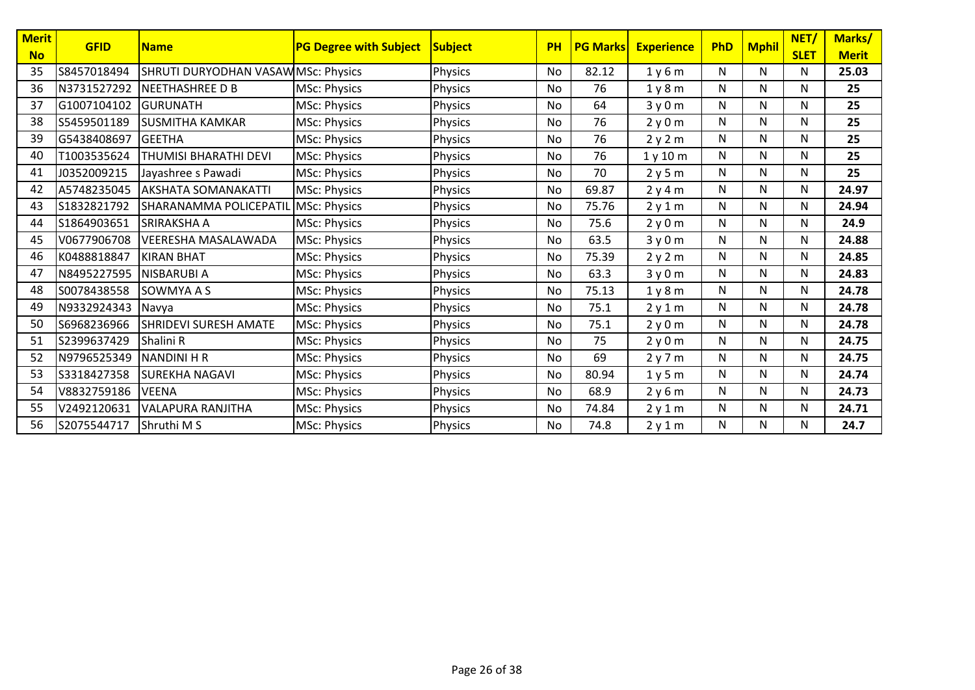| <b>Merit</b> | <b>GFID</b> | <b>Name</b>                                | <b>PG Degree with Subject</b> | Subject        | <b>PH</b> | <b>PG Marks</b> | <b>Experience</b>             | PhD | <b>Mphil</b> | NET/        | Marks/       |
|--------------|-------------|--------------------------------------------|-------------------------------|----------------|-----------|-----------------|-------------------------------|-----|--------------|-------------|--------------|
| <b>No</b>    |             |                                            |                               |                |           |                 |                               |     |              | <b>SLET</b> | <b>Merit</b> |
| 35           | S8457018494 | <b>SHRUTI DURYODHAN VASAWIMSC: Physics</b> |                               | Physics        | No        | 82.12           | 1y6m                          | N   | N            | N           | 25.03        |
| 36           | N3731527292 | <b>NEETHASHREE D B</b>                     | <b>MSc: Physics</b>           | <b>Physics</b> | No        | 76              | 1 <sub>y</sub> 8 <sub>m</sub> | N   | N            | N           | 25           |
| 37           | G1007104102 | <b>GURUNATH</b>                            | <b>MSc: Physics</b>           | <b>Physics</b> | No        | 64              | 3y0m                          | N   | N            | N           | 25           |
| 38           | S5459501189 | <b>SUSMITHA KAMKAR</b>                     | <b>MSc: Physics</b>           | <b>Physics</b> | No        | 76              | 2y0m                          | N   | N            | N           | 25           |
| 39           | G5438408697 | <b>GEETHA</b>                              | <b>MSc: Physics</b>           | <b>Physics</b> | No        | 76              | 2y2m                          | N   | N            | N           | 25           |
| 40           | T1003535624 | THUMISI BHARATHI DEVI                      | <b>MSc: Physics</b>           | Physics        | No        | 76              | 1y10m                         | N   | N            | N           | 25           |
| 41           | J0352009215 | Javashree s Pawadi                         | <b>MSc: Physics</b>           | <b>Physics</b> | No        | 70              | 2y5m                          | N   | N            | N           | 25           |
| 42           | A5748235045 | <b>AKSHATA SOMANAKATTI</b>                 | <b>MSc: Physics</b>           | <b>Physics</b> | No        | 69.87           | 2y4m                          | N   | N            | N           | 24.97        |
| 43           | S1832821792 | SHARANAMMA POLICEPATIL MSc: Physics        |                               | <b>Physics</b> | No        | 75.76           | 2y1m                          | N   | N            | N           | 24.94        |
| 44           | S1864903651 | <b>SRIRAKSHA A</b>                         | <b>MSc: Physics</b>           | <b>Physics</b> | No        | 75.6            | 2y0m                          | N   | $\mathsf{N}$ | N           | 24.9         |
| 45           | V0677906708 | <b>VEERESHA MASALAWADA</b>                 | <b>MSc: Physics</b>           | <b>Physics</b> | No        | 63.5            | 3y0m                          | N   | N            | N           | 24.88        |
| 46           | K0488818847 | <b>KIRAN BHAT</b>                          | <b>MSc: Physics</b>           | <b>Physics</b> | No        | 75.39           | 2y2m                          | N   | N            | N           | 24.85        |
| 47           | N8495227595 | NISBARUBI A                                | <b>MSc: Physics</b>           | <b>Physics</b> | No        | 63.3            | 3y0m                          | N   | N            | N           | 24.83        |
| 48           | S0078438558 | SOWMYA A S                                 | <b>MSc: Physics</b>           | <b>Physics</b> | No        | 75.13           | 1y8m                          | N   | N            | N           | 24.78        |
| 49           | N9332924343 | Navya                                      | <b>MSc: Physics</b>           | <b>Physics</b> | No        | 75.1            | 2y1m                          | N   | N            | N           | 24.78        |
| 50           | S6968236966 | <b>SHRIDEVI SURESH AMATE</b>               | <b>MSc: Physics</b>           | <b>Physics</b> | No        | 75.1            | 2y0m                          | N   | N            | N           | 24.78        |
| 51           | S2399637429 | Shalini R                                  | <b>MSc: Physics</b>           | <b>Physics</b> | No        | 75              | 2y0m                          | N   | N            | N           | 24.75        |
| 52           | N9796525349 | <b>NANDINI H R</b>                         | <b>MSc: Physics</b>           | <b>Physics</b> | No        | 69              | 2y7m                          | N   | N            | N           | 24.75        |
| 53           | S3318427358 | <b>SUREKHA NAGAVI</b>                      | <b>MSc: Physics</b>           | Physics        | No        | 80.94           | 1v5m                          | N   | N            | N           | 24.74        |
| 54           | V8832759186 | <b>VEENA</b>                               | <b>MSc: Physics</b>           | <b>Physics</b> | No        | 68.9            | 2y6m                          | N   | N            | N           | 24.73        |
| 55           | V2492120631 | <b>VALAPURA RANJITHA</b>                   | <b>MSc: Physics</b>           | <b>Physics</b> | No        | 74.84           | 2y1m                          | N   | N            | N           | 24.71        |
| 56           | S2075544717 | Shruthi M S                                | <b>MSc: Physics</b>           | <b>Physics</b> | No        | 74.8            | 2y1m                          | N   | N            | N           | 24.7         |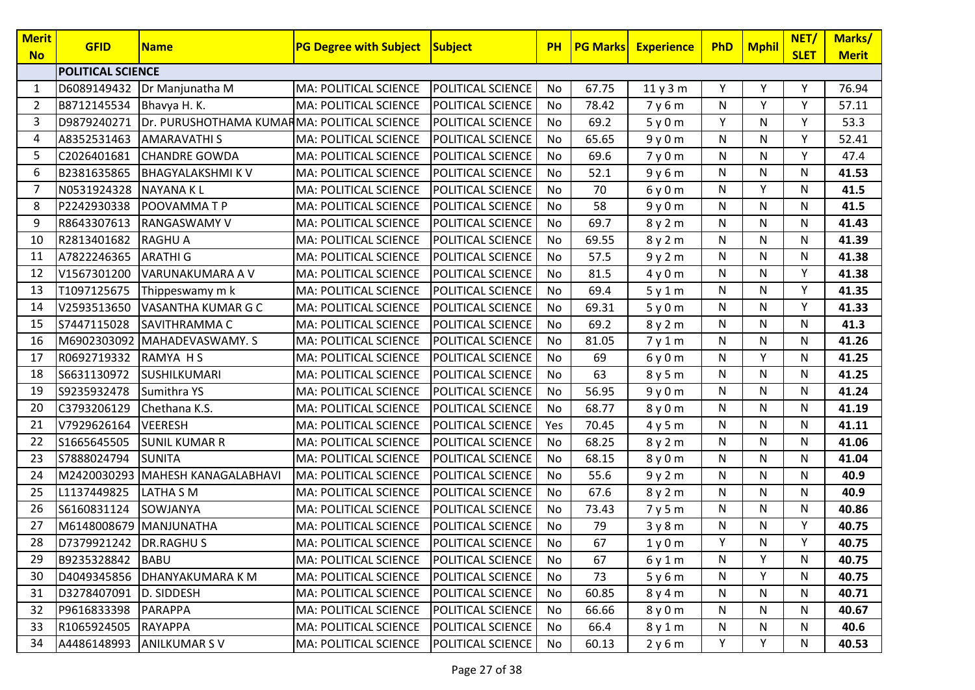| <b>Merit</b><br><b>No</b> | <b>GFID</b>              | <b>Name</b>                                 | <b>PG Degree with Subject</b> | Subject           | <b>PH</b> | <b>PG Marks</b> | <b>Experience</b> | PhD | <b>Mphil</b> | NET/<br><b>SLET</b> | Marks/<br><b>Merit</b> |
|---------------------------|--------------------------|---------------------------------------------|-------------------------------|-------------------|-----------|-----------------|-------------------|-----|--------------|---------------------|------------------------|
|                           | <b>POLITICAL SCIENCE</b> |                                             |                               |                   |           |                 |                   |     |              |                     |                        |
| 1                         | D6089149432              | Dr Manjunatha M                             | <b>MA: POLITICAL SCIENCE</b>  | POLITICAL SCIENCE | No        | 67.75           | 11y3m             | Υ   | Y            | Υ                   | 76.94                  |
| 2                         | B8712145534              | Bhavya H. K.                                | MA: POLITICAL SCIENCE         | POLITICAL SCIENCE | No        | 78.42           | 7y6m              | N   | Y            | Y                   | 57.11                  |
| 3                         | D9879240271              | Dr. PURUSHOTHAMA KUMARMA: POLITICAL SCIENCE |                               | POLITICAL SCIENCE | No        | 69.2            | 5y0m              | Y   | ${\sf N}$    | Y                   | 53.3                   |
| 4                         | A8352531463              | <b>AMARAVATHIS</b>                          | MA: POLITICAL SCIENCE         | POLITICAL SCIENCE | No        | 65.65           | 9y0m              | N   | N            | Y                   | 52.41                  |
| 5                         | C2026401681              | <b>CHANDRE GOWDA</b>                        | MA: POLITICAL SCIENCE         | POLITICAL SCIENCE | No        | 69.6            | 7y0m              | N   | N            | Y                   | 47.4                   |
| 6                         | B2381635865              | <b>BHAGYALAKSHMIKV</b>                      | MA: POLITICAL SCIENCE         | POLITICAL SCIENCE | No        | 52.1            | 9y6m              | N   | $\mathsf{N}$ | N                   | 41.53                  |
| $\overline{7}$            | N0531924328              | <b>NAYANAKL</b>                             | MA: POLITICAL SCIENCE         | POLITICAL SCIENCE | No        | 70              | 6y0m              | N   | Y            | N                   | 41.5                   |
| 8                         | P2242930338              | POOVAMMATP                                  | MA: POLITICAL SCIENCE         | POLITICAL SCIENCE | No        | 58              | 9y0m              | N   | N            | N                   | 41.5                   |
| 9                         | R8643307613              | <b>RANGASWAMY V</b>                         | MA: POLITICAL SCIENCE         | POLITICAL SCIENCE | No        | 69.7            | 8y2m              | N   | N            | N                   | 41.43                  |
| 10                        | R2813401682              | <b>RAGHU A</b>                              | MA: POLITICAL SCIENCE         | POLITICAL SCIENCE | No        | 69.55           | 8y2m              | N   | N            | N                   | 41.39                  |
| 11                        | A7822246365              | <b>ARATHI G</b>                             | MA: POLITICAL SCIENCE         | POLITICAL SCIENCE | No        | 57.5            | 9y2m              | N   | N            | N                   | 41.38                  |
| 12                        | V1567301200              | VARUNAKUMARA A V                            | MA: POLITICAL SCIENCE         | POLITICAL SCIENCE | No        | 81.5            | 4y0m              | N   | N            | Y                   | 41.38                  |
| 13                        | T1097125675              | Thippeswamy m k                             | MA: POLITICAL SCIENCE         | POLITICAL SCIENCE | No        | 69.4            | 5y1m              | N   | N            | Y                   | 41.35                  |
| 14                        | V2593513650              | VASANTHA KUMAR G C                          | MA: POLITICAL SCIENCE         | POLITICAL SCIENCE | No        | 69.31           | 5y0m              | N   | N            | Y                   | 41.33                  |
| 15                        | S7447115028              | SAVITHRAMMA C                               | <b>MA: POLITICAL SCIENCE</b>  | POLITICAL SCIENCE | No        | 69.2            | 8y2m              | N   | N            | N                   | 41.3                   |
| 16                        |                          | M6902303092 MAHADEVASWAMY. S                | <b>MA: POLITICAL SCIENCE</b>  | POLITICAL SCIENCE | No        | 81.05           | 7y1m              | N   | N            | N                   | 41.26                  |
| 17                        | R0692719332              | RAMYA HS                                    | MA: POLITICAL SCIENCE         | POLITICAL SCIENCE | No        | 69              | 6y0m              | N   | Y            | N                   | 41.25                  |
| 18                        | S6631130972              | SUSHILKUMARI                                | MA: POLITICAL SCIENCE         | POLITICAL SCIENCE | No        | 63              | 8y5m              | N   | N            | N                   | 41.25                  |
| 19                        | S9235932478              | Sumithra YS                                 | MA: POLITICAL SCIENCE         | POLITICAL SCIENCE | No        | 56.95           | 9y0m              | N   | ${\sf N}$    | N                   | 41.24                  |
| 20                        | C3793206129              | Chethana K.S.                               | MA: POLITICAL SCIENCE         | POLITICAL SCIENCE | No        | 68.77           | 8y0m              | N   | N            | N                   | 41.19                  |
| 21                        | V7929626164              | <b>VEERESH</b>                              | MA: POLITICAL SCIENCE         | POLITICAL SCIENCE | Yes       | 70.45           | 4y5m              | N   | N            | N                   | 41.11                  |
| 22                        | S1665645505              | <b>SUNIL KUMAR R</b>                        | MA: POLITICAL SCIENCE         | POLITICAL SCIENCE | No        | 68.25           | 8y2m              | N   | N            | N                   | 41.06                  |
| 23                        | S7888024794              | <b>SUNITA</b>                               | MA: POLITICAL SCIENCE         | POLITICAL SCIENCE | No        | 68.15           | 8y0m              | N   | N            | N                   | 41.04                  |
| 24                        | M2420030293              | MAHESH KANAGALABHAVI                        | MA: POLITICAL SCIENCE         | POLITICAL SCIENCE | No        | 55.6            | 9y2m              | N   | N            | N                   | 40.9                   |
| 25                        | L1137449825              | LATHA S M                                   | MA: POLITICAL SCIENCE         | POLITICAL SCIENCE | No        | 67.6            | 8y2m              | N   | $\mathsf{N}$ | N                   | 40.9                   |
| 26                        | S6160831124              | SOWJANYA                                    | MA: POLITICAL SCIENCE         | POLITICAL SCIENCE | No        | 73.43           | 7y5m              | N   | ${\sf N}$    | N                   | 40.86                  |
| 27                        | M6148008679 MANJUNATHA   |                                             | MA: POLITICAL SCIENCE         | POLITICAL SCIENCE | No        | 79              | 3y8m              | N   | N            | Y                   | 40.75                  |
| 28                        | D7379921242 DR.RAGHUS    |                                             | MA: POLITICAL SCIENCE         | POLITICAL SCIENCE | No        | 67              | 1y0m              | Y   | N            | Y                   | 40.75                  |
| 29                        | B9235328842              | <b>BABU</b>                                 | <b>MA: POLITICAL SCIENCE</b>  | POLITICAL SCIENCE | No        | 67              | 6y1m              | N   | Y            | N                   | 40.75                  |
| 30                        | D4049345856              | DHANYAKUMARA K M                            | MA: POLITICAL SCIENCE         | POLITICAL SCIENCE | No        | 73              | 5y6m              | N   | Υ            | N                   | 40.75                  |
| 31                        | D3278407091              | D. SIDDESH                                  | MA: POLITICAL SCIENCE         | POLITICAL SCIENCE | No        | 60.85           | 8y4m              | N   | N            | N                   | 40.71                  |
| 32                        | P9616833398              | <b>PARAPPA</b>                              | MA: POLITICAL SCIENCE         | POLITICAL SCIENCE | No        | 66.66           | 8y0m              | N   | N            | N                   | 40.67                  |
| 33                        | R1065924505              | <b>RAYAPPA</b>                              | MA: POLITICAL SCIENCE         | POLITICAL SCIENCE | No        | 66.4            | 8y1m              | N   | N            | N                   | 40.6                   |
| 34                        | A4486148993              | <b>ANILKUMARSV</b>                          | MA: POLITICAL SCIENCE         | POLITICAL SCIENCE | No        | 60.13           | 2y6m              | Y   | Υ            | N                   | 40.53                  |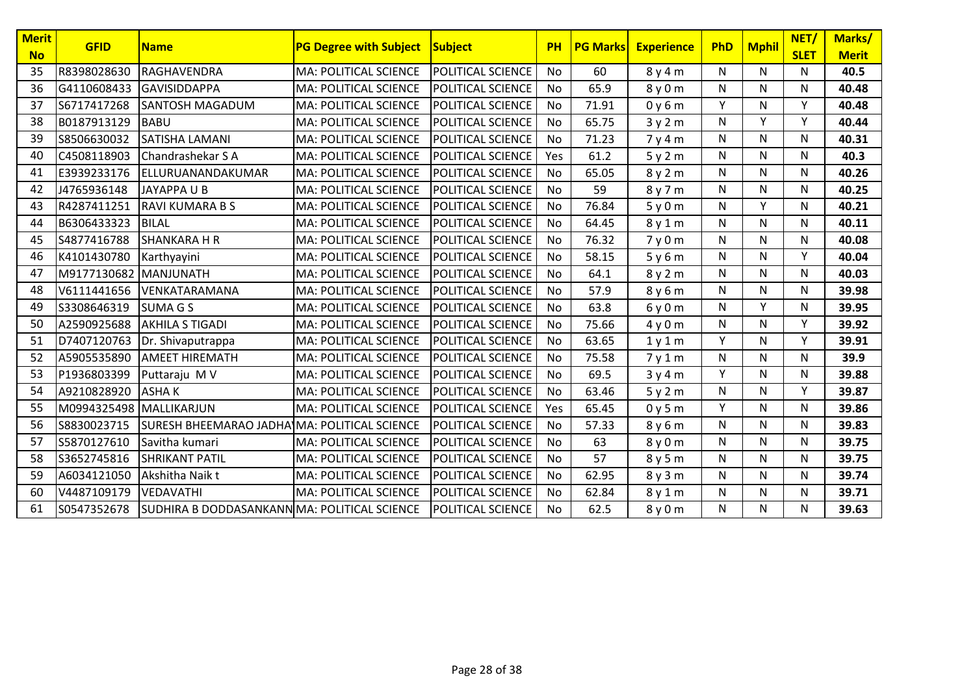| Merit<br><b>No</b> | <b>GFID</b> | <b>Name</b>                                  | <b>PG Degree with Subject</b> | <b>Subject</b>    | PH        | <b>PG Marks</b> | <b>Experience</b> | PhD | <b>Mphil</b> | NET/<br><b>SLET</b> | Marks/<br><b>Merit</b> |
|--------------------|-------------|----------------------------------------------|-------------------------------|-------------------|-----------|-----------------|-------------------|-----|--------------|---------------------|------------------------|
| 35                 | R8398028630 | <b>RAGHAVENDRA</b>                           | MA: POLITICAL SCIENCE         | POLITICAL SCIENCE | <b>No</b> | 60              | 8y4m              | N   | N            | N                   | 40.5                   |
| 36                 | G4110608433 | <b>GAVISIDDAPPA</b>                          | MA: POLITICAL SCIENCE         | POLITICAL SCIENCE | No        | 65.9            | 8y0m              | N   | N            | Ν                   | 40.48                  |
| 37                 | S6717417268 | <b>SANTOSH MAGADUM</b>                       | <b>MA: POLITICAL SCIENCE</b>  | POLITICAL SCIENCE | No        | 71.91           | 0y6m              | Y   | N            | Υ                   | 40.48                  |
| 38                 | B0187913129 | <b>BABU</b>                                  | MA: POLITICAL SCIENCE         | POLITICAL SCIENCE | No        | 65.75           | 3y2m              | N   | Y            | Y                   | 40.44                  |
| 39                 | S8506630032 | <b>SATISHA LAMANI</b>                        | MA: POLITICAL SCIENCE         | POLITICAL SCIENCE | No        | 71.23           | 7y4m              | N   | $\mathsf{N}$ | N                   | 40.31                  |
| 40                 | C4508118903 | Chandrashekar S A                            | MA: POLITICAL SCIENCE         | POLITICAL SCIENCE | Yes       | 61.2            | 5y2m              | N   | N            | N                   | 40.3                   |
| 41                 | E3939233176 | ELLURUANANDAKUMAR                            | MA: POLITICAL SCIENCE         | POLITICAL SCIENCE | No        | 65.05           | 8y2m              | N   | N            | N                   | 40.26                  |
| 42                 | J4765936148 | JAYAPPA U B                                  | MA: POLITICAL SCIENCE         | POLITICAL SCIENCE | <b>No</b> | 59              | 8y7m              | N   | N            | N                   | 40.25                  |
| 43                 | R4287411251 | <b>RAVI KUMARA B S</b>                       | MA: POLITICAL SCIENCE         | POLITICAL SCIENCE | No        | 76.84           | 5y0m              | N   | Y            | Ν                   | 40.21                  |
| 44                 | B6306433323 | <b>BILAL</b>                                 | <b>MA: POLITICAL SCIENCE</b>  | POLITICAL SCIENCE | No        | 64.45           | 8y1m              | N   | N            | N                   | 40.11                  |
| 45                 | S4877416788 | <b>SHANKARA H R</b>                          | MA: POLITICAL SCIENCE         | POLITICAL SCIENCE | No        | 76.32           | 7y0m              | N   | N            | N                   | 40.08                  |
| 46                 | K4101430780 | Karthyayini                                  | MA: POLITICAL SCIENCE         | POLITICAL SCIENCE | No        | 58.15           | 5y6m              | N   | $\mathsf{N}$ | Y                   | 40.04                  |
| 47                 | M9177130682 | MANJUNATH                                    | MA: POLITICAL SCIENCE         | POLITICAL SCIENCE | No        | 64.1            | 8y2m              | N   | N            | N                   | 40.03                  |
| 48                 | V6111441656 | VENKATARAMANA                                | MA: POLITICAL SCIENCE         | POLITICAL SCIENCE | No        | 57.9            | 8y6m              | N   | N            | N                   | 39.98                  |
| 49                 | S3308646319 | <b>SUMA G S</b>                              | MA: POLITICAL SCIENCE         | POLITICAL SCIENCE | <b>No</b> | 63.8            | 6y0m              | N   | Y            | N                   | 39.95                  |
| 50                 | A2590925688 | <b>AKHILA S TIGADI</b>                       | MA: POLITICAL SCIENCE         | POLITICAL SCIENCE | No        | 75.66           | 4y0m              | N   | N            | Y                   | 39.92                  |
| 51                 | D7407120763 | Dr. Shivaputrappa                            | <b>MA: POLITICAL SCIENCE</b>  | POLITICAL SCIENCE | <b>No</b> | 63.65           | 1y1m              | Y   | N            | Y                   | 39.91                  |
| 52                 | A5905535890 | <b>AMEET HIREMATH</b>                        | MA: POLITICAL SCIENCE         | POLITICAL SCIENCE | No        | 75.58           | 7y1m              | N   | $\mathsf{N}$ | N                   | 39.9                   |
| 53                 | P1936803399 | Puttaraju M V                                | MA: POLITICAL SCIENCE         | POLITICAL SCIENCE | No        | 69.5            | 3y4m              | Y   | N            | N                   | 39.88                  |
| 54                 | A9210828920 | <b>ASHAK</b>                                 | MA: POLITICAL SCIENCE         | POLITICAL SCIENCE | No        | 63.46           | 5y2m              | N   | N            | Y                   | 39.87                  |
| 55                 | M0994325498 | MALLIKARJUN                                  | MA: POLITICAL SCIENCE         | POLITICAL SCIENCE | Yes       | 65.45           | 0y5m              | Y   | N            | N                   | 39.86                  |
| 56                 | S8830023715 | SURESH BHEEMARAO JADHA MA: POLITICAL SCIENCE |                               | POLITICAL SCIENCE | <b>No</b> | 57.33           | 8y6m              | N   | N            | N                   | 39.83                  |
| 57                 | S5870127610 | Savitha kumari                               | MA: POLITICAL SCIENCE         | POLITICAL SCIENCE | No        | 63              | 8y0m              | N   | N            | Ν                   | 39.75                  |
| 58                 | S3652745816 | <b>SHRIKANT PATIL</b>                        | <b>MA: POLITICAL SCIENCE</b>  | POLITICAL SCIENCE | No        | 57              | 8y5m              | N   | N            | N                   | 39.75                  |
| 59                 | A6034121050 | Akshitha Naik t                              | MA: POLITICAL SCIENCE         | POLITICAL SCIENCE | No        | 62.95           | 8y3m              | N   | $\mathsf{N}$ | N                   | 39.74                  |
| 60                 | V4487109179 | VEDAVATHI                                    | MA: POLITICAL SCIENCE         | POLITICAL SCIENCE | No        | 62.84           | 8y1m              | N   | N            | N                   | 39.71                  |
| 61                 | S0547352678 | SUDHIRA B DODDASANKANN MA: POLITICAL SCIENCE |                               | POLITICAL SCIENCE | No        | 62.5            | 8y0m              | N   | N            | N                   | 39.63                  |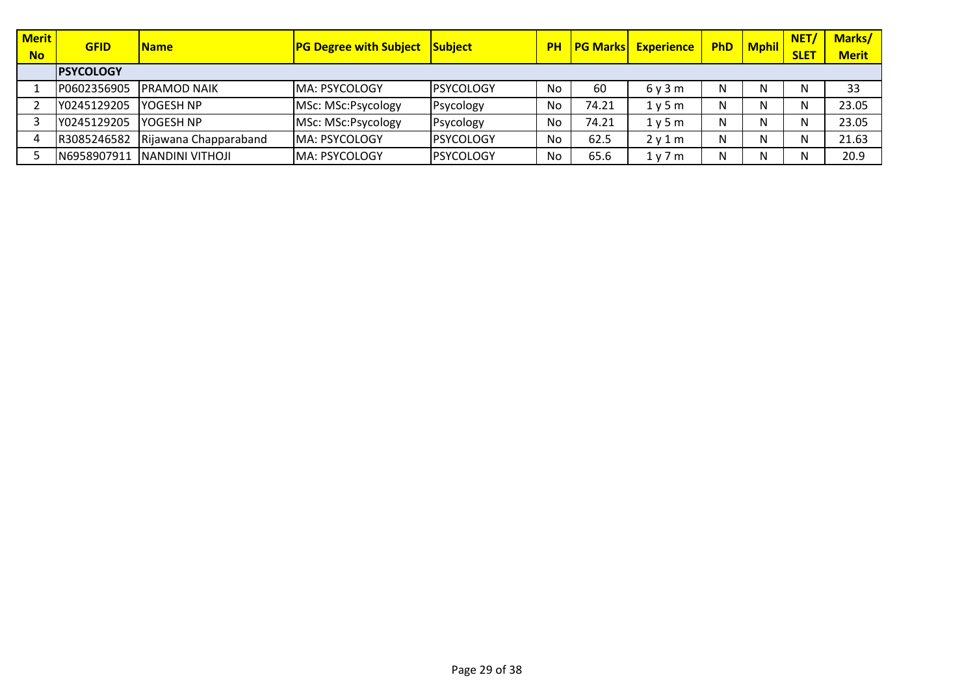| <b>Merit</b><br><b>No</b> | <b>GFID</b>       | <b>Name</b>           | <b>PG Degree with Subject</b> | Subject           | <b>PH</b> |       | <b>PG Marks Experience</b> | <b>PhD</b> | Mphil | NET/<br><b>SLET</b> | Marks/<br><b>Merit</b> |
|---------------------------|-------------------|-----------------------|-------------------------------|-------------------|-----------|-------|----------------------------|------------|-------|---------------------|------------------------|
|                           | <b>IPSYCOLOGY</b> |                       |                               |                   |           |       |                            |            |       |                     |                        |
|                           | P0602356905       | <b>IPRAMOD NAIK</b>   | <b>MA: PSYCOLOGY</b>          | <b>IPSYCOLOGY</b> | <b>No</b> | 60    | 6v3m                       | N          | N     | N                   | 33                     |
|                           | Y0245129205       | lyogesh NP            | MSc: MSc:Psycology            | Psycology         | No        | 74.21 | 1y5m                       | N          | N     | N                   | 23.05                  |
|                           | Y0245129205       | YOGESH NP             | MSc: MSc:Psycology            | Psycology         | No        | 74.21 | 1 v 5 m                    |            | N     | N                   | 23.05                  |
|                           | R3085246582       | Rijawana Chapparaband | <b>MA: PSYCOLOGY</b>          | <b>PSYCOLOGY</b>  | No        | 62.5  | 2v1m                       |            | N     | N                   | 21.63                  |
|                           | N6958907911       | INANDINI VITHOJI      | <b>MA: PSYCOLOGY</b>          | <b>IPSYCOLOGY</b> | No        | 65.6  | 1y7m                       |            | N     | N                   | 20.9                   |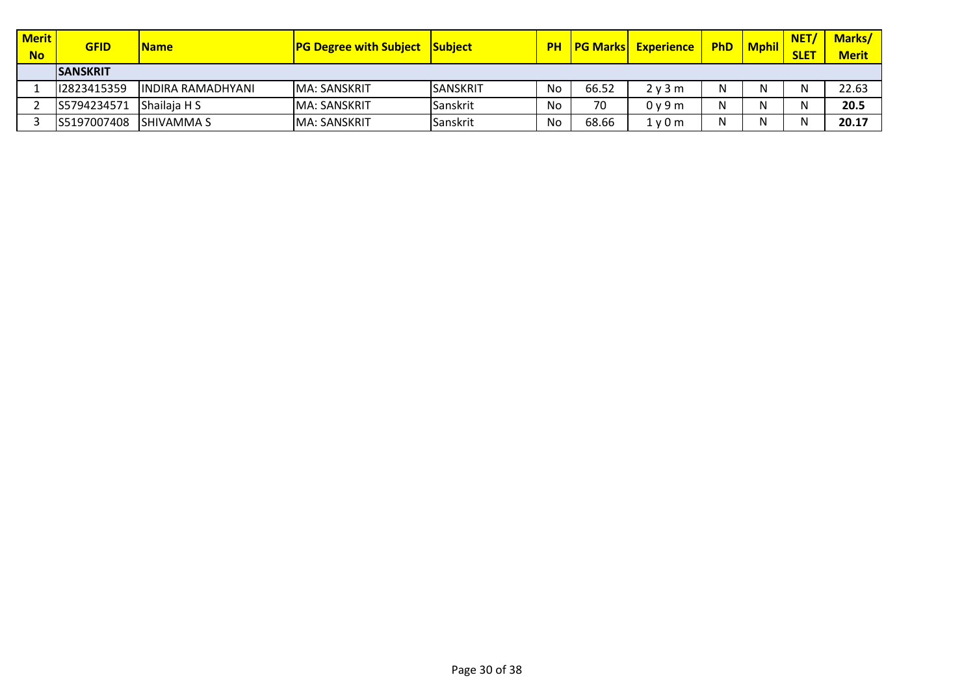| <b>Merit</b><br><b>No</b> | <b>GFID</b>      | <b>Name</b>               | <b>PG Degree with Subject</b> | <b>Subiect</b>  |    | <b>PH PG Marks</b> | <b>Experience</b>             | <b>PhD</b> | <b>Mphil</b> | <b>NET</b><br><b>SLET</b> | <b>Marks/</b><br><b>Merit</b> |
|---------------------------|------------------|---------------------------|-------------------------------|-----------------|----|--------------------|-------------------------------|------------|--------------|---------------------------|-------------------------------|
|                           | <b>ISANSKRIT</b> |                           |                               |                 |    |                    |                               |            |              |                           |                               |
|                           | 12823415359      | <b>IINDIRA RAMADHYANI</b> | <b>IMA: SANSKRIT</b>          | <b>SANSKRIT</b> | No | 66.52              | 2 v 3 m                       | N          |              | N                         | 22.63                         |
|                           | S5794234571      | Shailaja H S              | <b>IMA: SANSKRIT</b>          | Sanskrit        | No | 70                 | 0 <sub>V</sub> 9 <sub>m</sub> |            |              |                           | 20.5                          |
|                           | IS5197007408     | <b>ISHIVAMMA S</b>        | MA: SANSKRIT                  | Sanskrit        | No | 68.66              | 1y0m                          |            |              | N                         | 20.17                         |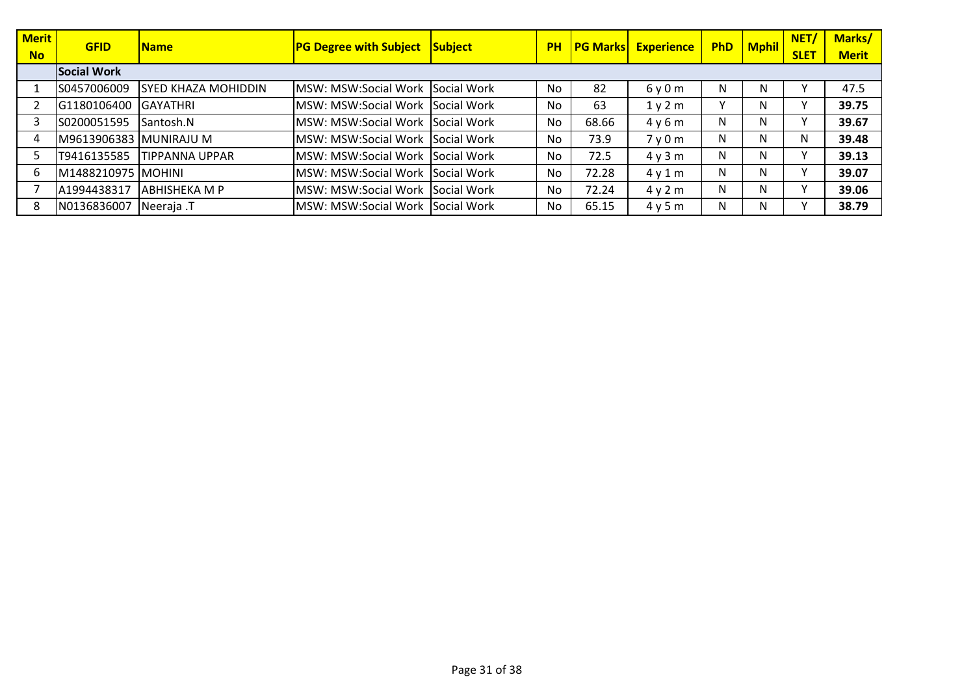| <b>Merit</b> | <b>GFID</b>            | <b>Name</b>                | <b>PG Degree with Subject Subject</b> | <b>PH</b> |       | <b>PG Marks Experience</b> | <b>PhD</b> | Mphil | NET/        | Marks/       |
|--------------|------------------------|----------------------------|---------------------------------------|-----------|-------|----------------------------|------------|-------|-------------|--------------|
| <b>No</b>    |                        |                            |                                       |           |       |                            |            |       | <b>SLET</b> | <b>Merit</b> |
|              | <b>Social Work</b>     |                            |                                       |           |       |                            |            |       |             |              |
|              | S0457006009            | <b>SYED KHAZA MOHIDDIN</b> | MSW: MSW:Social Work Social Work      | <b>No</b> | 82    | 6y0m                       | N          | N     |             | 47.5         |
|              | G1180106400            | <b>GAYATHRI</b>            | MSW: MSW:Social Work Social Work      | No        | 63    | 1y2m                       |            | N     | v           | 39.75        |
|              | S0200051595            | Santosh.N                  | MSW: MSW:Social Work Social Work      | No        | 68.66 | 4y6m                       | N          | N     | ٧           | 39.67        |
|              | M9613906383 MUNIRAJU M |                            | MSW: MSW:Social Work Social Work      | <b>No</b> | 73.9  | 7y0m                       | N          | N     | N           | 39.48        |
|              | T9416135585            | <b>ITIPPANNA UPPAR</b>     | MSW: MSW:Social Work Social Work      | No        | 72.5  | 4y3m                       | N          | N     | v           | 39.13        |
|              | M1488210975 MOHINI     |                            | MSW: MSW:Social Work Social Work      | No        | 72.28 | 4y1m                       | N          | N     | v           | 39.07        |
|              | A1994438317            | <b>ABHISHEKA M P</b>       | MSW: MSW:Social Work Social Work      | <b>No</b> | 72.24 | 4y2m                       | N          | N     | v           | 39.06        |
| 8            | N0136836007            | Neeraja .T                 | MSW: MSW:Social Work Social Work      | No        | 65.15 | 4y5m                       | N          | N     | v           | 38.79        |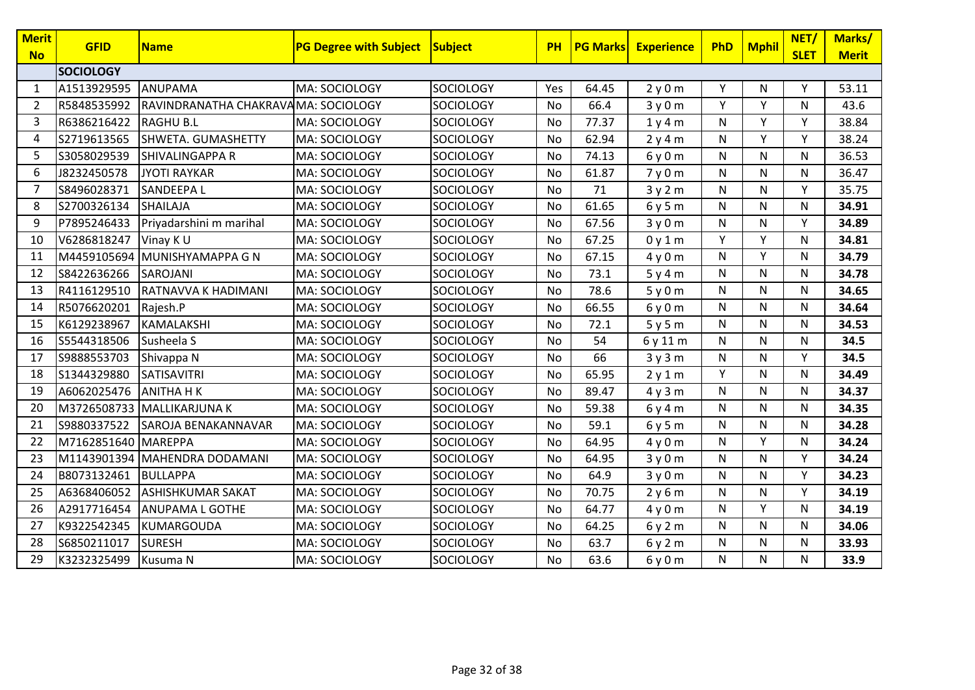| Merit<br><b>No</b> | <b>GFID</b>         | <b>Name</b>                         | <b>PG Degree with Subject</b> | Subject          | <b>PH</b> | <b>PG Marks</b> | <b>Experience</b> | <b>PhD</b> | <b>Mphil</b> | NET/<br><b>SLET</b> | Marks/<br><b>Merit</b> |
|--------------------|---------------------|-------------------------------------|-------------------------------|------------------|-----------|-----------------|-------------------|------------|--------------|---------------------|------------------------|
|                    | <b>SOCIOLOGY</b>    |                                     |                               |                  |           |                 |                   |            |              |                     |                        |
| 1                  | A1513929595         | ANUPAMA                             | MA: SOCIOLOGY                 | <b>SOCIOLOGY</b> | Yes       | 64.45           | 2y0m              | Υ          | N            | Y                   | 53.11                  |
| $\overline{2}$     | R5848535992         | RAVINDRANATHA CHAKRAVAMA: SOCIOLOGY |                               | <b>SOCIOLOGY</b> | No        | 66.4            | 3y0m              | Y          | Y            | N                   | 43.6                   |
| 3                  | R6386216422         | <b>RAGHU B.L</b>                    | MA: SOCIOLOGY                 | <b>SOCIOLOGY</b> | No        | 77.37           | 1y4m              | N          | Y            | Y                   | 38.84                  |
| 4                  | S2719613565         | SHWETA. GUMASHETTY                  | MA: SOCIOLOGY                 | <b>SOCIOLOGY</b> | No        | 62.94           | 2y4m              | N          | Y            | Y                   | 38.24                  |
| 5                  | S3058029539         | SHIVALINGAPPA R                     | MA: SOCIOLOGY                 | <b>SOCIOLOGY</b> | <b>No</b> | 74.13           | 6y0m              | N          | $\mathsf{N}$ | $\mathsf{N}$        | 36.53                  |
| 6                  | J8232450578         | <b>JYOTI RAYKAR</b>                 | MA: SOCIOLOGY                 | SOCIOLOGY        | No        | 61.87           | 7y0m              | N          | N            | N                   | 36.47                  |
| 7                  | S8496028371         | SANDEEPA L                          | MA: SOCIOLOGY                 | <b>SOCIOLOGY</b> | No        | 71              | 3y2m              | N          | N            | Y                   | 35.75                  |
| 8                  | S2700326134         | <b>SHAILAJA</b>                     | MA: SOCIOLOGY                 | <b>SOCIOLOGY</b> | No        | 61.65           | 6y5m              | N          | $\mathsf{N}$ | $\mathsf{N}$        | 34.91                  |
| 9                  | P7895246433         | Priyadarshini m marihal             | MA: SOCIOLOGY                 | <b>SOCIOLOGY</b> | No        | 67.56           | 3y0m              | N          | N            | Y                   | 34.89                  |
| 10                 | V6286818247         | Vinay KU                            | MA: SOCIOLOGY                 | <b>SOCIOLOGY</b> | No        | 67.25           | 0y1m              | Y          | Y            | N                   | 34.81                  |
| 11                 | M4459105694         | MUNISHYAMAPPA G N                   | MA: SOCIOLOGY                 | <b>SOCIOLOGY</b> | <b>No</b> | 67.15           | 4y0m              | N          | Y            | $\mathsf{N}$        | 34.79                  |
| 12                 | S8422636266         | SAROJANI                            | MA: SOCIOLOGY                 | <b>SOCIOLOGY</b> | No        | 73.1            | 5y4m              | N          | N            | N                   | 34.78                  |
| 13                 | R4116129510         | RATNAVVA K HADIMANI                 | MA: SOCIOLOGY                 | <b>SOCIOLOGY</b> | No        | 78.6            | 5y0m              | N          | N            | N                   | 34.65                  |
| 14                 | R5076620201         | Rajesh.P                            | MA: SOCIOLOGY                 | <b>SOCIOLOGY</b> | No        | 66.55           | 6y0m              | N          | N            | N                   | 34.64                  |
| 15                 | K6129238967         | KAMALAKSHI                          | MA: SOCIOLOGY                 | <b>SOCIOLOGY</b> | No        | 72.1            | 5y5m              | N          | N            | N                   | 34.53                  |
| 16                 | S5544318506         | Susheela S                          | MA: SOCIOLOGY                 | <b>SOCIOLOGY</b> | No        | 54              | 6y11m             | N          | N            | N                   | 34.5                   |
| 17                 | S9888553703         | Shivappa N                          | MA: SOCIOLOGY                 | <b>SOCIOLOGY</b> | <b>No</b> | 66              | 3y3m              | N          | $\mathsf{N}$ | Y                   | 34.5                   |
| 18                 | S1344329880         | SATISAVITRI                         | MA: SOCIOLOGY                 | <b>SOCIOLOGY</b> | No        | 65.95           | 2y1m              | Y          | $\mathsf{N}$ | N                   | 34.49                  |
| 19                 | A6062025476         | <b>ANITHA HK</b>                    | MA: SOCIOLOGY                 | <b>SOCIOLOGY</b> | No        | 89.47           | 4y3m              | N          | $\mathsf{N}$ | N                   | 34.37                  |
| 20                 | M3726508733         | <b>MALLIKARJUNA K</b>               | MA: SOCIOLOGY                 | <b>SOCIOLOGY</b> | No        | 59.38           | 6y4m              | N          | N            | N                   | 34.35                  |
| 21                 | S9880337522         | SAROJA BENAKANNAVAR                 | MA: SOCIOLOGY                 | <b>SOCIOLOGY</b> | No        | 59.1            | 6y5m              | N          | N            | N                   | 34.28                  |
| 22                 | M7162851640 MAREPPA |                                     | MA: SOCIOLOGY                 | <b>SOCIOLOGY</b> | No        | 64.95           | 4y0m              | N          | Y            | N                   | 34.24                  |
| 23                 | M1143901394         | MAHENDRA DODAMANI                   | MA: SOCIOLOGY                 | SOCIOLOGY        | <b>No</b> | 64.95           | 3y0m              | N          | N            | Y                   | 34.24                  |
| 24                 | B8073132461         | BULLAPPA                            | MA: SOCIOLOGY                 | <b>SOCIOLOGY</b> | No        | 64.9            | 3y0m              | N          | $\mathsf{N}$ | Y                   | 34.23                  |
| 25                 | A6368406052         | <b>ASHISHKUMAR SAKAT</b>            | MA: SOCIOLOGY                 | <b>SOCIOLOGY</b> | No        | 70.75           | 2y6m              | N          | N            | Y                   | 34.19                  |
| 26                 | A2917716454         | <b>ANUPAMA L GOTHE</b>              | MA: SOCIOLOGY                 | <b>SOCIOLOGY</b> | No        | 64.77           | 4y0m              | N          | Y            | N                   | 34.19                  |
| 27                 | K9322542345         | KUMARGOUDA                          | MA: SOCIOLOGY                 | <b>SOCIOLOGY</b> | <b>No</b> | 64.25           | 6y2m              | N          | N            | N                   | 34.06                  |
| 28                 | S6850211017         | <b>SURESH</b>                       | MA: SOCIOLOGY                 | <b>SOCIOLOGY</b> | No        | 63.7            | 6y2m              | N          | N            | N                   | 33.93                  |
| 29                 | K3232325499         | Kusuma N                            | MA: SOCIOLOGY                 | <b>SOCIOLOGY</b> | No        | 63.6            | 6y0m              | N          | N            | N                   | 33.9                   |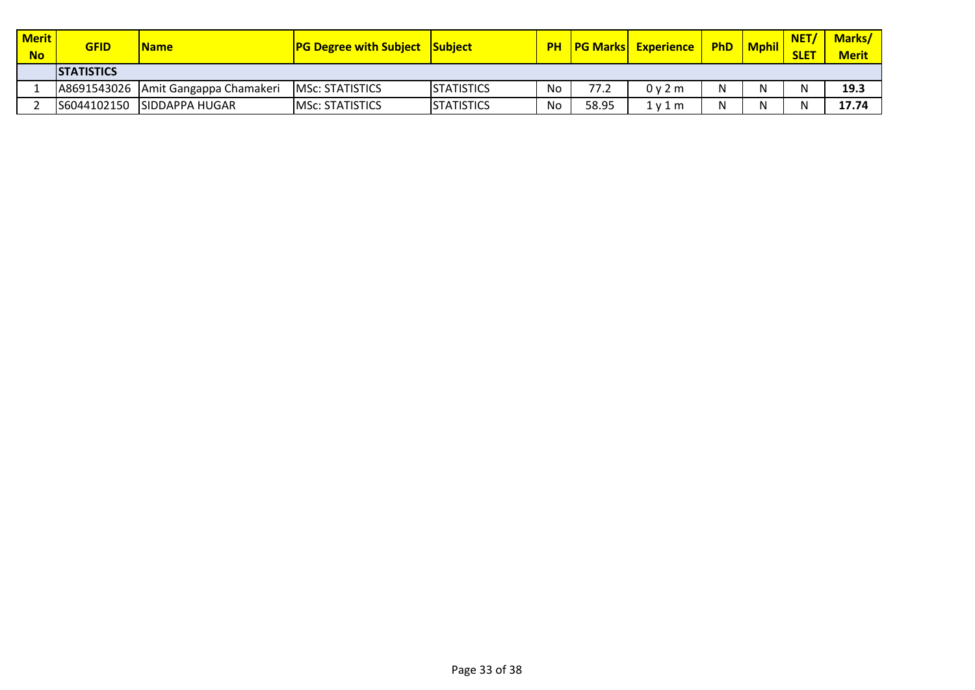| <b>Merit</b><br><b>No</b> | <b>GFID</b>        | <b>Name</b>                         | <b>PG Degree with Subject Subject</b> |                   |    |       | <b>PH   PG Marks   Experience  </b> | <b>PhD</b> | <b>Mphil</b> | NET/<br><b>SLET</b> | <b>Marks/</b><br><b>Merit</b> |
|---------------------------|--------------------|-------------------------------------|---------------------------------------|-------------------|----|-------|-------------------------------------|------------|--------------|---------------------|-------------------------------|
|                           | <b>ISTATISTICS</b> |                                     |                                       |                   |    |       |                                     |            |              |                     |                               |
|                           |                    | A8691543026 Amit Gangappa Chamakeri | <b>IMSc: STATISTICS</b>               | <b>STATISTICS</b> | No | 77.2  | 0 v 2 m                             |            | N            | N                   | 19.3                          |
|                           | S6044102150        | <b>SIDDAPPA HUGAR</b>               | <b>MSC: STATISTICS</b>                | <b>STATISTICS</b> | No | 58.95 | 1 v 1 m                             |            | N            | N                   | 17.74                         |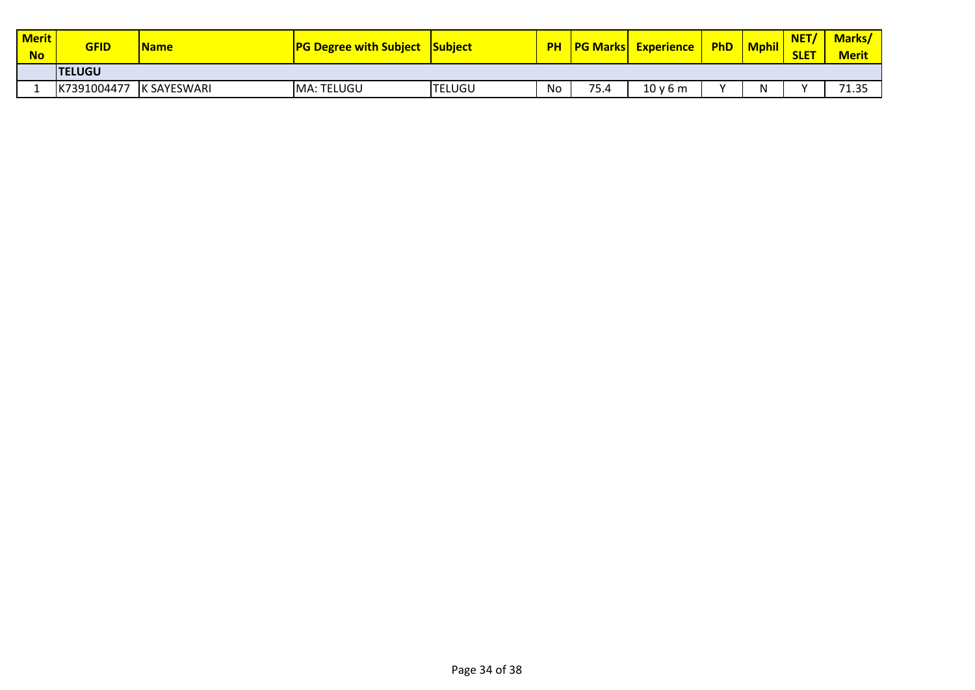| Merit<br><b>No</b> | <b>GFID</b>    | <b>Name</b> | <b>PG Degree with Subject Subject</b> |               |    |      | <b>PH PG Marks Experience</b> | <b>PhD</b> | <b>Mphil</b> | NET/<br><b>SLET</b> | <b>Marks</b><br><b>Merit</b> |
|--------------------|----------------|-------------|---------------------------------------|---------------|----|------|-------------------------------|------------|--------------|---------------------|------------------------------|
|                    | <b>ITELUGU</b> |             |                                       |               |    |      |                               |            |              |                     |                              |
|                    | K7391004477    | K SAYESWARI | MA: TELUGU                            | <b>TELUGU</b> | No | 75.4 | 10v6m                         | $\lambda$  | N            | $\lambda$           | 71.35                        |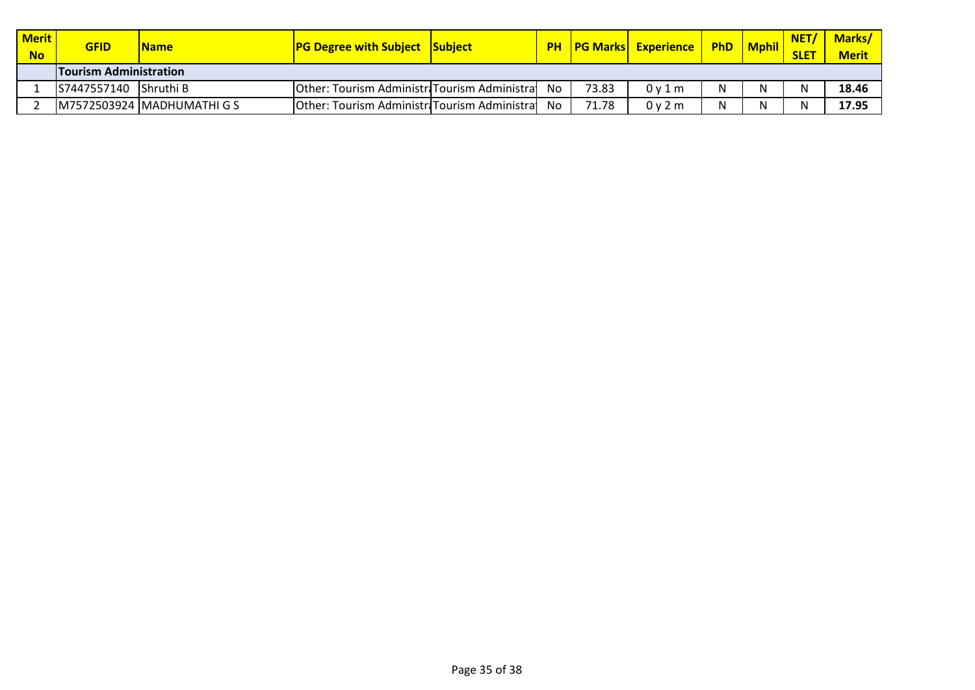| Merit<br><b>No</b> | <b>GFID</b>                   | <b>Name</b>                | <b>PG Degree with Subject Subject</b>         |    |       | <b>PH   PG Marks   Experience  </b> | <b>PhD</b> | <b>Mphil</b> | NET/<br><b>SLET</b> | <b>Marks/</b><br><b>Merit</b> |
|--------------------|-------------------------------|----------------------------|-----------------------------------------------|----|-------|-------------------------------------|------------|--------------|---------------------|-------------------------------|
|                    | <b>Tourism Administration</b> |                            |                                               |    |       |                                     |            |              |                     |                               |
|                    | S7447557140                   | Shruthi B                  | Other: Tourism Administri Tourism Administral | No | 73.83 | 0v1m                                |            | N            | N                   | 18.46                         |
|                    |                               | M7572503924 MADHUMATHI G S | Other: Tourism Administri Tourism Administral | No | 71.78 | 0 v 2 m                             |            | N            | N                   | 17.95                         |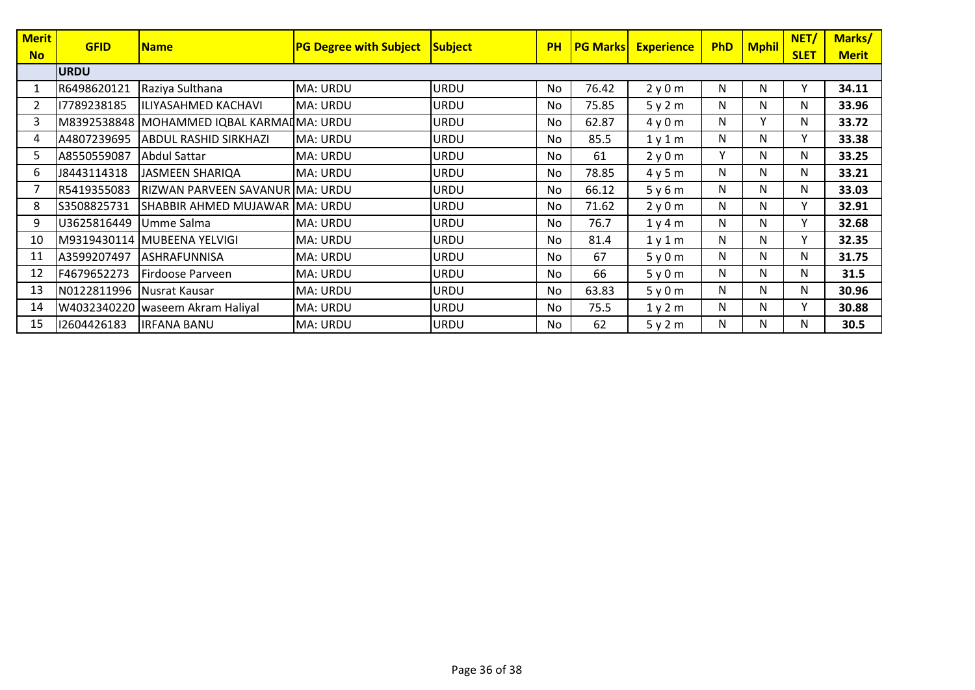| <b>Merit</b> | <b>GFID</b> | <b>Name</b>                                | <b>PG Degree with Subject</b> | <b>Subject</b> | <b>PH</b> | <b>PG Marksl</b> | <b>Experience</b> | <b>PhD</b> | <b>Mphil</b> | NET/        | Marks/       |
|--------------|-------------|--------------------------------------------|-------------------------------|----------------|-----------|------------------|-------------------|------------|--------------|-------------|--------------|
| <b>No</b>    |             |                                            |                               |                |           |                  |                   |            |              | <b>SLET</b> | <b>Merit</b> |
|              | <b>URDU</b> |                                            |                               |                |           |                  |                   |            |              |             |              |
|              | R6498620121 | Raziya Sulthana                            | MA: URDU                      | <b>URDU</b>    | No        | 76.42            | 2y0m              | N          | N            | Υ           | 34.11        |
|              | 17789238185 | ILIYASAHMED KACHAVI                        | MA: URDU                      | URDU           | No        | 75.85            | 5y2m              | N          | N            | N           | 33.96        |
| 3            |             | M8392538848 MOHAMMED IQBAL KARMAI MA: URDU |                               | URDU           | No        | 62.87            | 4y0m              | N          | $\mathsf{v}$ | N           | 33.72        |
| 4            | A4807239695 | <b>ABDUL RASHID SIRKHAZI</b>               | MA: URDU                      | <b>URDU</b>    | No        | 85.5             | 1y1m              | N          | N            | Y           | 33.38        |
| 5.           | A8550559087 | <b>Abdul Sattar</b>                        | MA: URDU                      | URDU           | No        | 61               | 2y0m              | v          | N            | N           | 33.25        |
| 6.           | J8443114318 | <b>JASMEEN SHARIQA</b>                     | MA: URDU                      | URDU           | No        | 78.85            | 4y5m              | N          | N            | N           | 33.21        |
|              | R5419355083 | RIZWAN PARVEEN SAVANUR MA: URDU            |                               | URDU           | No        | 66.12            | 5y6m              | N          | N            | N           | 33.03        |
| 8            | S3508825731 | SHABBIR AHMED MUJAWAR MA: URDU             |                               | URDU           | No        | 71.62            | 2y0m              | N          | N            | Y           | 32.91        |
| 9            | U3625816449 | Umme Salma                                 | MA: URDU                      | URDU           | No        | 76.7             | 1y4m              | N          | N            | Y           | 32.68        |
| 10           |             | M9319430114 MUBEENA YELVIGI                | MA: URDU                      | URDU           | No        | 81.4             | 1y1m              | N          | N            | Υ           | 32.35        |
| 11           | A3599207497 | <b>ASHRAFUNNISA</b>                        | MA: URDU                      | URDU           | No        | 67               | 5y0m              | N          | N            | N           | 31.75        |
| 12           | F4679652273 | Firdoose Parveen                           | MA: URDU                      | URDU           | No        | 66               | 5y0m              | N          | N            | N           | 31.5         |
| 13           | N0122811996 | Nusrat Kausar                              | MA: URDU                      | URDU           | No        | 63.83            | 5y0m              | N          | N            | N           | 30.96        |
| 14           |             | W4032340220   waseem Akram Haliyal         | MA: URDU                      | URDU           | No        | 75.5             | 1y2m              | N          | N            | Y           | 30.88        |
| 15           | 12604426183 | <b>IRFANA BANU</b>                         | MA: URDU                      | <b>URDU</b>    | No.       | 62               | 5y2m              | N          | N            | N           | 30.5         |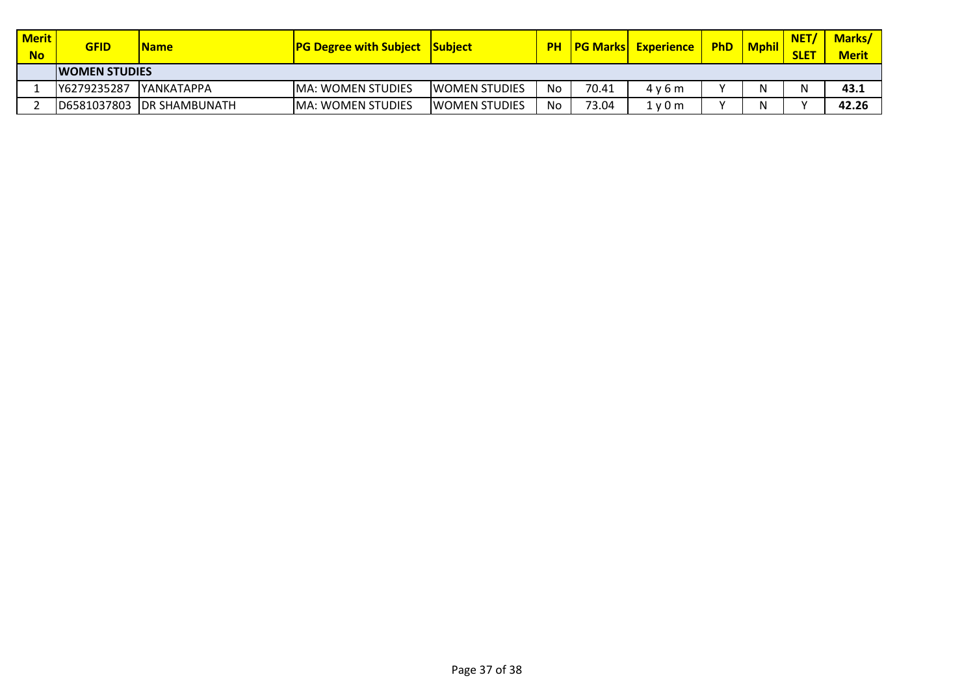| Merit<br><b>No</b> | <b>GFID</b>           | <b>Name</b>               | <b>PG Degree with Subject Subject</b> |                       | <b>PH</b> | <b>PG Marksl</b> | <b>Experience</b> | <b>PhD</b>   | <b>Mphil</b> | <b>NET</b><br><b>SLET</b> | <b>Marks/</b><br><b>Merit</b> |
|--------------------|-----------------------|---------------------------|---------------------------------------|-----------------------|-----------|------------------|-------------------|--------------|--------------|---------------------------|-------------------------------|
|                    | <b>IWOMEN STUDIES</b> |                           |                                       |                       |           |                  |                   |              |              |                           |                               |
|                    | Y6279235287           | <b>IYANKATAPPA</b>        | <b>IMA: WOMEN STUDIES</b>             | <b>IWOMEN STUDIES</b> | No        | 70.41            | 4v6m              | $\mathbf{v}$ |              |                           | 43.1                          |
|                    |                       | D6581037803 DR SHAMBUNATH | <b>IMA: WOMEN STUDIES</b>             | <b>IWOMEN STUDIES</b> | No        | 73.04            | 1 y 0 m           | $\cdot$      |              |                           | 42.26                         |